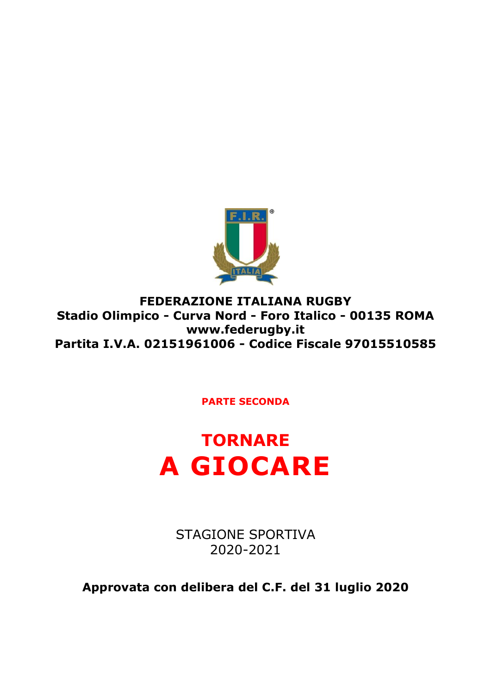

**FEDERAZIONE ITALIANA RUGBY Stadio Olimpico - Curva Nord - Foro Italico - 00135 ROMA www.federugby.it Partita I.V.A. 02151961006 - Codice Fiscale 97015510585**

**PARTE SECONDA**



STAGIONE SPORTIVA 2020-2021

**Approvata con delibera del C.F. del 31 luglio 2020**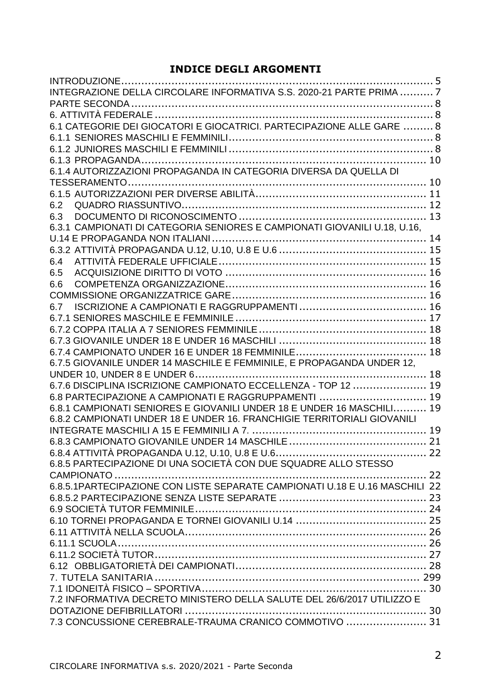## **INDICE DEGLI ARGOMENTI**

| INTEGRAZIONE DELLA CIRCOLARE INFORMATIVA S.S. 2020-21 PARTE PRIMA  7        |  |
|-----------------------------------------------------------------------------|--|
|                                                                             |  |
|                                                                             |  |
| 6.1 CATEGORIE DEI GIOCATORI E GIOCATRICI. PARTECIPAZIONE ALLE GARE  8       |  |
|                                                                             |  |
|                                                                             |  |
|                                                                             |  |
| 6.1.4 AUTORIZZAZIONI PROPAGANDA IN CATEGORIA DIVERSA DA QUELLA DI           |  |
|                                                                             |  |
|                                                                             |  |
| 6.2                                                                         |  |
| 6.3                                                                         |  |
| 6.3.1 CAMPIONATI DI CATEGORIA SENIORES E CAMPIONATI GIOVANILI U.18, U.16,   |  |
|                                                                             |  |
|                                                                             |  |
| 6.4                                                                         |  |
| 6.5                                                                         |  |
| 6.6                                                                         |  |
|                                                                             |  |
| 6.7                                                                         |  |
|                                                                             |  |
|                                                                             |  |
|                                                                             |  |
|                                                                             |  |
| 6.7.5 GIOVANILE UNDER 14 MASCHILE E FEMMINILE, E PROPAGANDA UNDER 12,       |  |
|                                                                             |  |
| 6.7.6 DISCIPLINA ISCRIZIONE CAMPIONATO ECCELLENZA - TOP 12  19              |  |
| 6.8 PARTECIPAZIONE A CAMPIONATI E RAGGRUPPAMENTI  19                        |  |
| 6.8.1 CAMPIONATI SENIORES E GIOVANILI UNDER 18 E UNDER 16 MASCHILI 19       |  |
| 6.8.2 CAMPIONATI UNDER 18 E UNDER 16. FRANCHIGIE TERRITORIALI GIOVANILI     |  |
|                                                                             |  |
|                                                                             |  |
|                                                                             |  |
| 6.8.5 PARTECIPAZIONE DI UNA SOCIETÀ CON DUE SQUADRE ALLO STESSO             |  |
|                                                                             |  |
| 6.8.5.1PARTECIPAZIONE CON LISTE SEPARATE CAMPIONATI U.18 E U.16 MASCHILI 22 |  |
|                                                                             |  |
|                                                                             |  |
|                                                                             |  |
|                                                                             |  |
|                                                                             |  |
|                                                                             |  |
|                                                                             |  |
|                                                                             |  |
| 7.2 INFORMATIVA DECRETO MINISTERO DELLA SALUTE DEL 26/6/2017 UTILIZZO E     |  |
|                                                                             |  |
| 7.3 CONCUSSIONE CEREBRALE-TRAUMA CRANICO COMMOTIVO  31                      |  |
|                                                                             |  |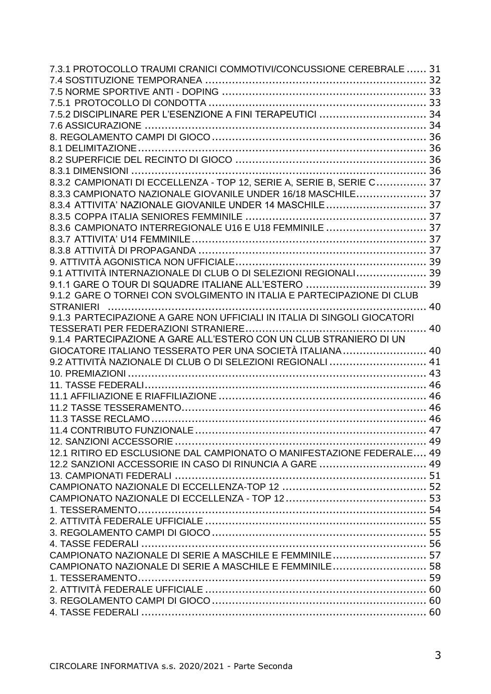| 7.3.1 PROTOCOLLO TRAUMI CRANICI COMMOTIVI/CONCUSSIONE CEREBRALE  31      |  |
|--------------------------------------------------------------------------|--|
|                                                                          |  |
|                                                                          |  |
|                                                                          |  |
| 7.5.2 DISCIPLINARE PER L'ESENZIONE A FINI TERAPEUTICI  34                |  |
|                                                                          |  |
|                                                                          |  |
|                                                                          |  |
|                                                                          |  |
|                                                                          |  |
| 8.3.2 CAMPIONATI DI ECCELLENZA - TOP 12, SERIE A, SERIE B, SERIE C 37    |  |
| 8.3.3 CAMPIONATO NAZIONALE GIOVANILE UNDER 16/18 MASCHILE 37             |  |
| 8.3.4 ATTIVITA' NAZIONALE GIOVANILE UNDER 14 MASCHILE 37                 |  |
|                                                                          |  |
| 8.3.6 CAMPIONATO INTERREGIONALE U16 E U18 FEMMINILE  37                  |  |
|                                                                          |  |
|                                                                          |  |
|                                                                          |  |
| 9.1 ATTIVITÀ INTERNAZIONALE DI CLUB O DI SELEZIONI REGIONALI 39          |  |
|                                                                          |  |
| 9.1.2 GARE O TORNEI CON SVOLGIMENTO IN ITALIA E PARTECIPAZIONE DI CLUB   |  |
|                                                                          |  |
| 9.1.3 PARTECIPAZIONE A GARE NON UFFICIALI IN ITALIA DI SINGOLI GIOCATORI |  |
|                                                                          |  |
| 9.1.4 PARTECIPAZIONE A GARE ALL'ESTERO CON UN CLUB STRANIERO DI UN       |  |
| GIOCATORE ITALIANO TESSERATO PER UNA SOCIETÀ ITALIANA 40                 |  |
| 9.2 ATTIVITÀ NAZIONALE DI CLUB O DI SELEZIONI REGIONALI  41              |  |
|                                                                          |  |
|                                                                          |  |
|                                                                          |  |
|                                                                          |  |
|                                                                          |  |
|                                                                          |  |
|                                                                          |  |
| 12.1 RITIRO ED ESCLUSIONE DAL CAMPIONATO O MANIFESTAZIONE FEDERALE 49    |  |
| 12.2 SANZIONI ACCESSORIE IN CASO DI RINUNCIA A GARE  49                  |  |
|                                                                          |  |
|                                                                          |  |
|                                                                          |  |
|                                                                          |  |
|                                                                          |  |
|                                                                          |  |
|                                                                          |  |
| CAMPIONATO NAZIONALE DI SERIE A MASCHILE E FEMMINILE 57                  |  |
| CAMPIONATO NAZIONALE DI SERIE A MASCHILE E FEMMINILE 58                  |  |
|                                                                          |  |
|                                                                          |  |
|                                                                          |  |
|                                                                          |  |
|                                                                          |  |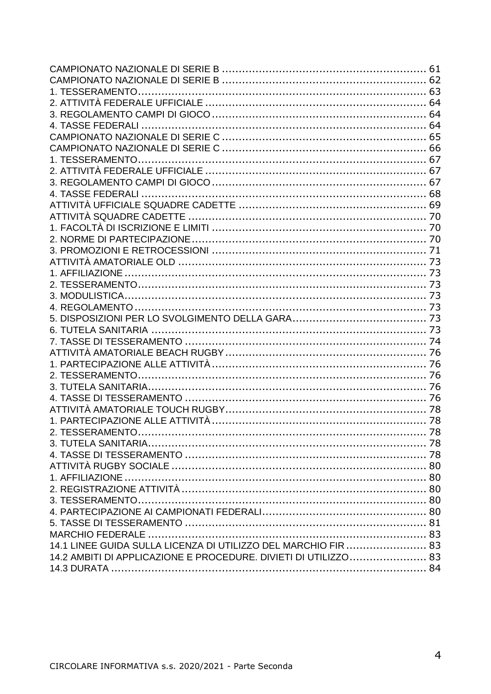| 14.1 LINEE GUIDA SULLA LICENZA DI UTILIZZO DEL MARCHIO FIR  83  |  |
|-----------------------------------------------------------------|--|
| 14.2 AMBITI DI APPLICAZIONE E PROCEDURE. DIVIETI DI UTILIZZO 83 |  |
|                                                                 |  |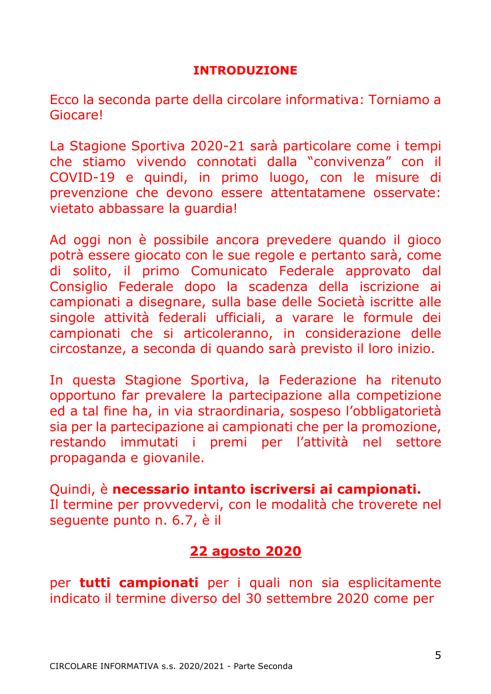## **INTRODUZIONE**

<span id="page-4-0"></span>Ecco la seconda parte della circolare informativa: Torniamo a Giocare!

La Stagione Sportiva 2020-21 sarà particolare come i tempi che stiamo vivendo connotati dalla "convivenza" con il COVID-19 e quindi, in primo luogo, con le misure di prevenzione che devono essere attentatamene osservate: vietato abbassare la guardia!

Ad oggi non è possibile ancora prevedere quando il gioco potrà essere giocato con le sue regole e pertanto sarà, come di solito, il primo Comunicato Federale approvato dal Consiglio Federale dopo la scadenza della iscrizione ai campionati a disegnare, sulla base delle Società iscritte alle singole attività federali ufficiali, a varare le formule dei campionati che si articoleranno, in considerazione delle circostanze, a seconda di quando sarà previsto il loro inizio.

In questa Stagione Sportiva, la Federazione ha ritenuto opportuno far prevalere la partecipazione alla competizione ed a tal fine ha, in via straordinaria, sospeso l'obbligatorietà sia per la partecipazione ai campionati che per la promozione, restando immutati i premi per l'attività nel settore propaganda e giovanile.

Quindi, è **necessario intanto iscriversi ai campionati.** Il termine per provvedervi, con le modalità che troverete nel seguente punto n. 6.7, è il

## **22 agosto 2020**

per **tutti campionati** per i quali non sia esplicitamente indicato il termine diverso del 30 settembre 2020 come per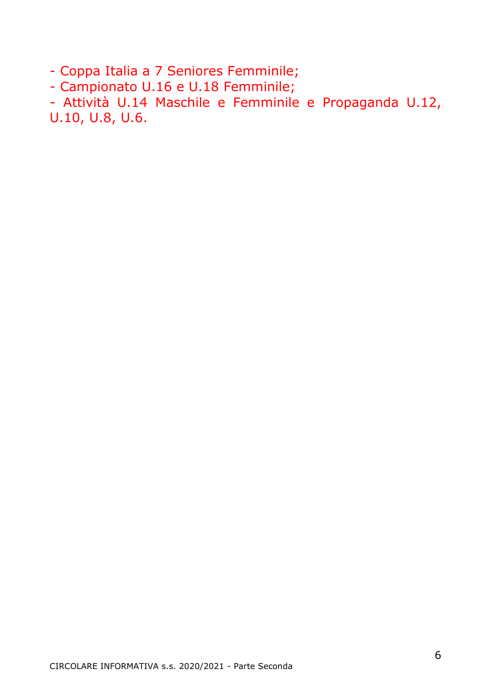- Coppa Italia a 7 Seniores Femminile;

- Campionato U.16 e U.18 Femminile;

- Attività U.14 Maschile e Femminile e Propaganda U.12, U.10, U.8, U.6.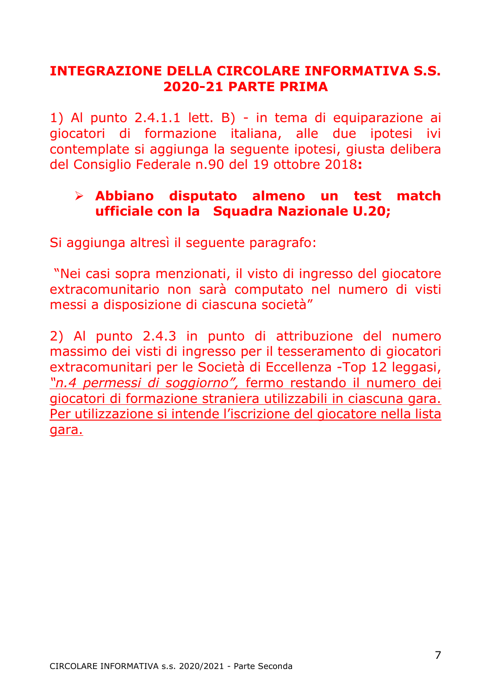## <span id="page-6-0"></span>**INTEGRAZIONE DELLA CIRCOLARE INFORMATIVA S.S. 2020-21 PARTE PRIMA**

1) Al punto 2.4.1.1 lett. B) - in tema di equiparazione ai giocatori di formazione italiana, alle due ipotesi ivi contemplate si aggiunga la seguente ipotesi, giusta delibera del Consiglio Federale n.90 del 19 ottobre 2018**:**

## ➢ **Abbiano disputato almeno un test match ufficiale con la Squadra Nazionale U.20;**

Si aggiunga altresì il seguente paragrafo:

"Nei casi sopra menzionati, il visto di ingresso del giocatore extracomunitario non sarà computato nel numero di visti messi a disposizione di ciascuna società"

2) Al punto 2.4.3 in punto di attribuzione del numero massimo dei visti di ingresso per il tesseramento di giocatori extracomunitari per le Società di Eccellenza -Top 12 leggasi, *"n.4 permessi di soggiorno",* fermo restando il numero dei giocatori di formazione straniera utilizzabili in ciascuna gara. Per utilizzazione si intende l'iscrizione del giocatore nella lista gara.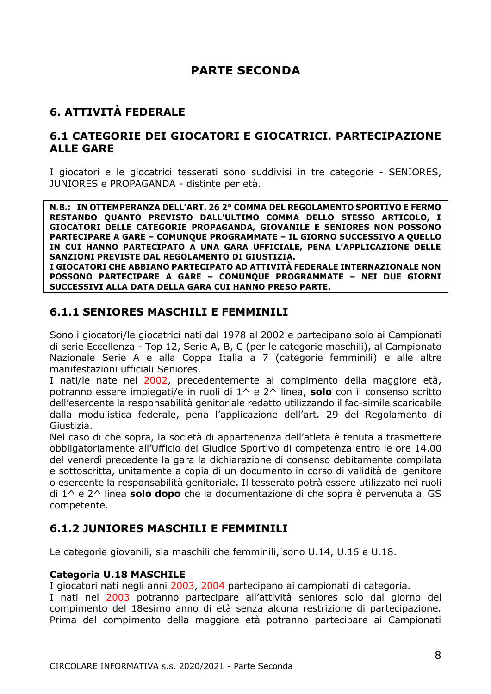## **PARTE SECONDA**

## <span id="page-7-1"></span><span id="page-7-0"></span>**6. ATTIVITÀ FEDERALE**

## <span id="page-7-2"></span>**6.1 CATEGORIE DEI GIOCATORI E GIOCATRICI. PARTECIPAZIONE ALLE GARE**

I giocatori e le giocatrici tesserati sono suddivisi in tre categorie - SENIORES, JUNIORES e PROPAGANDA - distinte per età.

**N.B.: IN OTTEMPERANZA DELL'ART. 26 2° COMMA DEL REGOLAMENTO SPORTIVO E FERMO RESTANDO QUANTO PREVISTO DALL'ULTIMO COMMA DELLO STESSO ARTICOLO, I GIOCATORI DELLE CATEGORIE PROPAGANDA, GIOVANILE E SENIORES NON POSSONO PARTECIPARE A GARE – COMUNQUE PROGRAMMATE – IL GIORNO SUCCESSIVO A QUELLO IN CUI HANNO PARTECIPATO A UNA GARA UFFICIALE, PENA L'APPLICAZIONE DELLE SANZIONI PREVISTE DAL REGOLAMENTO DI GIUSTIZIA. I GIOCATORI CHE ABBIANO PARTECIPATO AD ATTIVITÀ FEDERALE INTERNAZIONALE NON POSSONO PARTECIPARE A GARE – COMUNQUE PROGRAMMATE – NEI DUE GIORNI SUCCESSIVI ALLA DATA DELLA GARA CUI HANNO PRESO PARTE.**

## <span id="page-7-3"></span>**6.1.1 SENIORES MASCHILI E FEMMINILI**

Sono i giocatori/le giocatrici nati dal 1978 al 2002 e partecipano solo ai Campionati di serie Eccellenza - Top 12, Serie A, B, C (per le categorie maschili), al Campionato Nazionale Serie A e alla Coppa Italia a 7 (categorie femminili) e alle altre manifestazioni ufficiali Seniores.

I nati/le nate nel 2002, precedentemente al compimento della maggiore età, potranno essere impiegati/e in ruoli di 1^ e 2^ linea, **solo** con il consenso scritto dell'esercente la responsabilità genitoriale redatto utilizzando il fac-simile scaricabile dalla modulistica federale, pena l'applicazione dell'art. 29 del Regolamento di Giustizia.

Nel caso di che sopra, la società di appartenenza dell'atleta è tenuta a trasmettere obbligatoriamente all'Ufficio del Giudice Sportivo di competenza entro le ore 14.00 del venerdì precedente la gara la dichiarazione di consenso debitamente compilata e sottoscritta, unitamente a copia di un documento in corso di validità del genitore o esercente la responsabilità genitoriale. Il tesserato potrà essere utilizzato nei ruoli di 1^ e 2^ linea **solo dopo** che la documentazione di che sopra è pervenuta al GS competente.

## <span id="page-7-4"></span>**6.1.2 JUNIORES MASCHILI E FEMMINILI**

Le categorie giovanili, sia maschili che femminili, sono U.14, U.16 e U.18.

## **Categoria U.18 MASCHILE**

I giocatori nati negli anni 2003, 2004 partecipano ai campionati di categoria.

I nati nel 2003 potranno partecipare all'attività seniores solo dal giorno del compimento del 18esimo anno di età senza alcuna restrizione di partecipazione. Prima del compimento della maggiore età potranno partecipare ai Campionati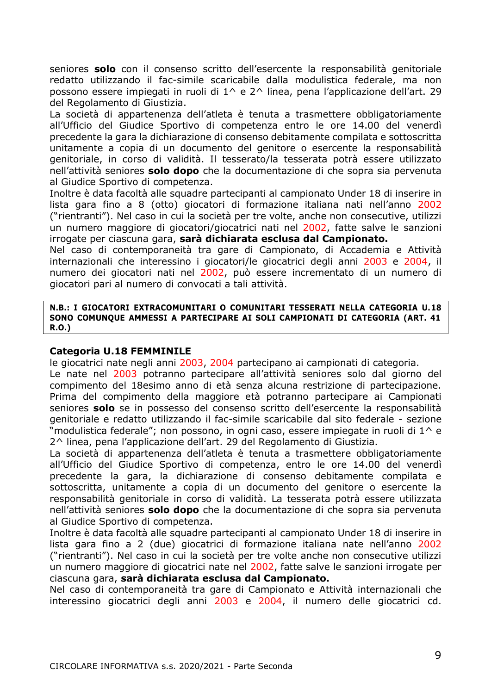seniores **solo** con il consenso scritto dell'esercente la responsabilità genitoriale redatto utilizzando il fac-simile scaricabile dalla modulistica federale, ma non possono essere impiegati in ruoli di  $1^6$  e  $2^6$  linea, pena l'applicazione dell'art. 29 del Regolamento di Giustizia.

La società di appartenenza dell'atleta è tenuta a trasmettere obbligatoriamente all'Ufficio del Giudice Sportivo di competenza entro le ore 14.00 del venerdì precedente la gara la dichiarazione di consenso debitamente compilata e sottoscritta unitamente a copia di un documento del genitore o esercente la responsabilità genitoriale, in corso di validità. Il tesserato/la tesserata potrà essere utilizzato nell'attività seniores **solo dopo** che la documentazione di che sopra sia pervenuta al Giudice Sportivo di competenza.

Inoltre è data facoltà alle squadre partecipanti al campionato Under 18 di inserire in lista gara fino a 8 (otto) giocatori di formazione italiana nati nell'anno 2002 ("rientranti"). Nel caso in cui la società per tre volte, anche non consecutive, utilizzi un numero maggiore di giocatori/giocatrici nati nel 2002, fatte salve le sanzioni irrogate per ciascuna gara, **sarà dichiarata esclusa dal Campionato.** 

Nel caso di contemporaneità tra gare di Campionato, di Accademia e Attività internazionali che interessino i giocatori/le giocatrici degli anni 2003 e 2004, il numero dei giocatori nati nel 2002, può essere incrementato di un numero di giocatori pari al numero di convocati a tali attività.

#### **N.B.: I GIOCATORI EXTRACOMUNITARI O COMUNITARI TESSERATI NELLA CATEGORIA U.18 SONO COMUNQUE AMMESSI A PARTECIPARE AI SOLI CAMPIONATI DI CATEGORIA (ART. 41 R.O.)**

#### **Categoria U.18 FEMMINILE**

le giocatrici nate negli anni 2003, 2004 partecipano ai campionati di categoria.

Le nate nel 2003 potranno partecipare all'attività seniores solo dal giorno del compimento del 18esimo anno di età senza alcuna restrizione di partecipazione. Prima del compimento della maggiore età potranno partecipare ai Campionati seniores **solo** se in possesso del consenso scritto dell'esercente la responsabilità genitoriale e redatto utilizzando il fac-simile scaricabile dal sito federale - sezione "modulistica federale"; non possono, in ogni caso, essere impiegate in ruoli di 1^ e 2^ linea, pena l'applicazione dell'art. 29 del Regolamento di Giustizia.

La società di appartenenza dell'atleta è tenuta a trasmettere obbligatoriamente all'Ufficio del Giudice Sportivo di competenza, entro le ore 14.00 del venerdì precedente la gara, la dichiarazione di consenso debitamente compilata e sottoscritta, unitamente a copia di un documento del genitore o esercente la responsabilità genitoriale in corso di validità. La tesserata potrà essere utilizzata nell'attività seniores **solo dopo** che la documentazione di che sopra sia pervenuta al Giudice Sportivo di competenza.

Inoltre è data facoltà alle squadre partecipanti al campionato Under 18 di inserire in lista gara fino a 2 (due) giocatrici di formazione italiana nate nell'anno 2002 ("rientranti"). Nel caso in cui la società per tre volte anche non consecutive utilizzi un numero maggiore di giocatrici nate nel 2002, fatte salve le sanzioni irrogate per ciascuna gara, **sarà dichiarata esclusa dal Campionato.** 

Nel caso di contemporaneità tra gare di Campionato e Attività internazionali che interessino giocatrici degli anni 2003 e 2004, il numero delle giocatrici cd.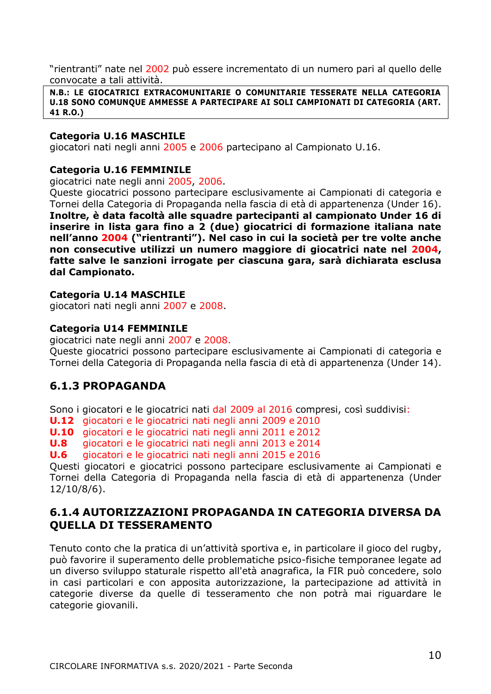"rientranti" nate nel 2002 può essere incrementato di un numero pari al quello delle convocate a tali attività.

**N.B.: LE GIOCATRICI EXTRACOMUNITARIE O COMUNITARIE TESSERATE NELLA CATEGORIA U.18 SONO COMUNQUE AMMESSE A PARTECIPARE AI SOLI CAMPIONATI DI CATEGORIA (ART. 41 R.O.)**

#### **Categoria U.16 MASCHILE**

giocatori nati negli anni 2005 e 2006 partecipano al Campionato U.16.

#### **Categoria U.16 FEMMINILE**

giocatrici nate negli anni 2005, 2006.

Queste giocatrici possono partecipare esclusivamente ai Campionati di categoria e Tornei della Categoria di Propaganda nella fascia di età di appartenenza (Under 16). **Inoltre, è data facoltà alle squadre partecipanti al campionato Under 16 di inserire in lista gara fino a 2 (due) giocatrici di formazione italiana nate nell'anno 2004 ("rientranti"). Nel caso in cui la società per tre volte anche non consecutive utilizzi un numero maggiore di giocatrici nate nel 2004, fatte salve le sanzioni irrogate per ciascuna gara, sarà dichiarata esclusa dal Campionato.** 

#### **Categoria U.14 MASCHILE**

giocatori nati negli anni 2007 e 2008.

#### **Categoria U14 FEMMINILE**

giocatrici nate negli anni 2007 e 2008.

Queste giocatrici possono partecipare esclusivamente ai Campionati di categoria e Tornei della Categoria di Propaganda nella fascia di età di appartenenza (Under 14).

## <span id="page-9-0"></span>**6.1.3 PROPAGANDA**

Sono i giocatori e le giocatrici nati dal 2009 al 2016 compresi, così suddivisi:

**U.12** giocatori e le giocatrici nati negli anni 2009 e 2010

**U.10** giocatori e le giocatrici nati negli anni 2011 e 2012

**U.8** giocatori e le giocatrici nati negli anni 2013 e 2014

**U.6** giocatori e le giocatrici nati negli anni 2015 e 2016

Questi giocatori e giocatrici possono partecipare esclusivamente ai Campionati e Tornei della Categoria di Propaganda nella fascia di età di appartenenza (Under 12/10/8/6).

## <span id="page-9-1"></span>**6.1.4 AUTORIZZAZIONI PROPAGANDA IN CATEGORIA DIVERSA DA QUELLA DI TESSERAMENTO**

Tenuto conto che la pratica di un'attività sportiva e, in particolare il gioco del rugby, può favorire il superamento delle problematiche psico-fisiche temporanee legate ad un diverso sviluppo staturale rispetto all'età anagrafica, la FIR può concedere, solo in casi particolari e con apposita autorizzazione, la partecipazione ad attività in categorie diverse da quelle di tesseramento che non potrà mai riguardare le categorie giovanili.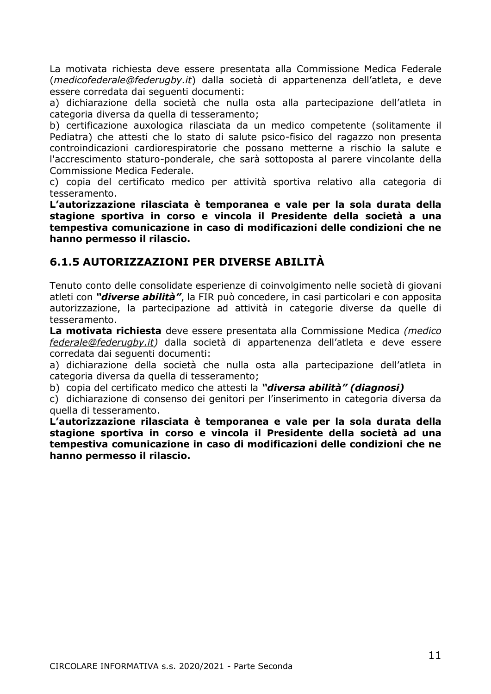La motivata richiesta deve essere presentata alla Commissione Medica Federale (*medicofederale@federugby.it*) dalla società di appartenenza dell'atleta, e deve essere corredata dai seguenti documenti:

a) dichiarazione della società che nulla osta alla partecipazione dell'atleta in categoria diversa da quella di tesseramento;

b) certificazione auxologica rilasciata da un medico competente (solitamente il Pediatra) che attesti che lo stato di salute psico-fisico del ragazzo non presenta controindicazioni cardiorespiratorie che possano metterne a rischio la salute e l'accrescimento staturo-ponderale, che sarà sottoposta al parere vincolante della Commissione Medica Federale.

c) copia del certificato medico per attività sportiva relativo alla categoria di tesseramento.

**L'autorizzazione rilasciata è temporanea e vale per la sola durata della stagione sportiva in corso e vincola il Presidente della società a una tempestiva comunicazione in caso di modificazioni delle condizioni che ne hanno permesso il rilascio.**

## <span id="page-10-0"></span>**6.1.5 AUTORIZZAZIONI PER DIVERSE ABILITÀ**

Tenuto conto delle consolidate esperienze di coinvolgimento nelle società di giovani atleti con *"diverse abilità"*, la FIR può concedere, in casi particolari e con apposita autorizzazione, la partecipazione ad attività in categorie diverse da quelle di tesseramento.

**La motivata richiesta** deve essere presentata alla Commissione Medica *(medico [federale@federugby.it\)](mailto:federale@federugby.it)* dalla società di appartenenza dell'atleta e deve essere corredata dai seguenti documenti:

a) dichiarazione della società che nulla osta alla partecipazione dell'atleta in categoria diversa da quella di tesseramento;

b) copia del certificato medico che attesti la *"diversa abilità" (diagnosi)*

c) dichiarazione di consenso dei genitori per l'inserimento in categoria diversa da quella di tesseramento.

**L'autorizzazione rilasciata è temporanea e vale per la sola durata della stagione sportiva in corso e vincola il Presidente della società ad una tempestiva comunicazione in caso di modificazioni delle condizioni che ne hanno permesso il rilascio.**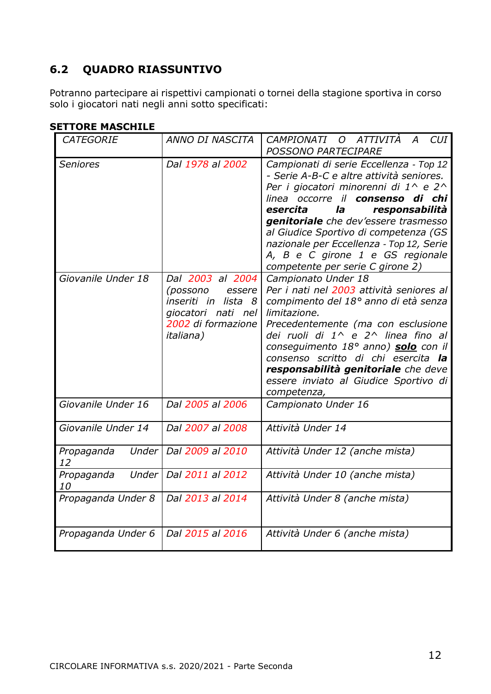## <span id="page-11-0"></span>**6.2 QUADRO RIASSUNTIVO**

Potranno partecipare ai rispettivi campionati o tornei della stagione sportiva in corso solo i giocatori nati negli anni sotto specificati:

| I IVNL MAJVIIILL   |                                                                                                                                   |                                                                                                                                                                                                                                                                                                                                                                                                                 |
|--------------------|-----------------------------------------------------------------------------------------------------------------------------------|-----------------------------------------------------------------------------------------------------------------------------------------------------------------------------------------------------------------------------------------------------------------------------------------------------------------------------------------------------------------------------------------------------------------|
| <b>CATEGORIE</b>   | ANNO DI NASCITA                                                                                                                   | O ATTIVITÀ<br>CUI<br>CAMPIONATI<br>$\overline{A}$<br>POSSONO PARTECIPARE                                                                                                                                                                                                                                                                                                                                        |
| <b>Seniores</b>    | Dal 1978 al 2002                                                                                                                  | Campionati di serie Eccellenza - Top 12<br>- Serie A-B-C e altre attività seniores.<br>Per i giocatori minorenni di 1^ e 2^<br>linea occorre il <b>consenso di chi</b><br>esercita<br>la<br>responsabilità<br>genitoriale che dev'essere trasmesso<br>al Giudice Sportivo di competenza (GS<br>nazionale per Eccellenza - Top 12, Serie<br>A, B e C girone 1 e GS regionale<br>competente per serie C girone 2) |
| Giovanile Under 18 | Dal 2003 al 2004<br>(possono<br>essere<br>lista 8<br>inseriti in<br>giocatori nati nel<br>2002 di formazione<br><i>italiana</i> ) | Campionato Under 18<br>Per i nati nel 2003 attività seniores al<br>compimento del 18º anno di età senza<br>limitazione.<br>Precedentemente (ma con esclusione<br>dei ruoli di 1^ e 2^ linea fino al<br>consequimento 18° anno) solo con il<br>consenso scritto di chi esercita la<br>responsabilità genitoriale che deve<br>essere inviato al Giudice Sportivo di<br>competenza,                                |
| Giovanile Under 16 | Dal 2005 al 2006                                                                                                                  | Campionato Under 16                                                                                                                                                                                                                                                                                                                                                                                             |
| Giovanile Under 14 | Dal 2007 al 2008                                                                                                                  | Attività Under 14                                                                                                                                                                                                                                                                                                                                                                                               |
| Propaganda<br>12   | Under   Dal 2009 al 2010                                                                                                          | Attività Under 12 (anche mista)                                                                                                                                                                                                                                                                                                                                                                                 |
| Propaganda<br>10   | Under   Dal 2011 al 2012                                                                                                          | Attività Under 10 (anche mista)                                                                                                                                                                                                                                                                                                                                                                                 |
| Propaganda Under 8 | Dal 2013 al 2014                                                                                                                  | Attività Under 8 (anche mista)                                                                                                                                                                                                                                                                                                                                                                                  |
| Propaganda Under 6 | Dal 2015 al 2016                                                                                                                  | Attività Under 6 (anche mista)                                                                                                                                                                                                                                                                                                                                                                                  |

## **SETTORE MASCHILE**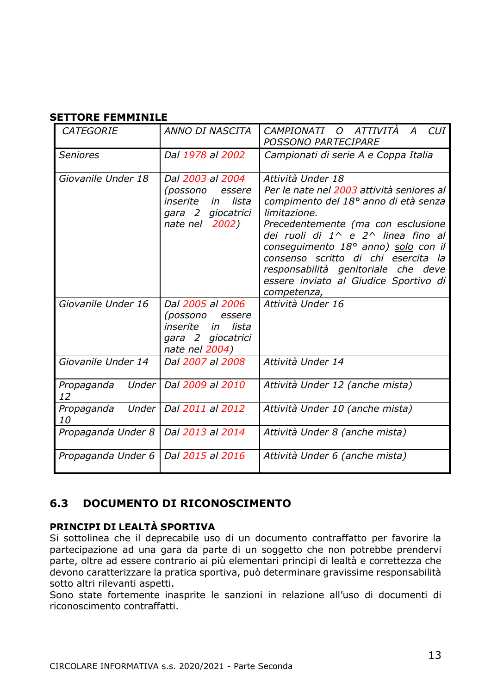#### **SETTORE FEMMINILE**

| <b>CATEGORIE</b>            | ANNO DI NASCITA                                                                                          | CAMPIONATI O ATTIVITÀ<br>CUI.<br>A<br><b>POSSONO PARTECIPARE</b>                                                                                                                                                                                                                                                                                                                |
|-----------------------------|----------------------------------------------------------------------------------------------------------|---------------------------------------------------------------------------------------------------------------------------------------------------------------------------------------------------------------------------------------------------------------------------------------------------------------------------------------------------------------------------------|
| <b>Seniores</b>             | Dal 1978 al 2002                                                                                         | Campionati di serie A e Coppa Italia                                                                                                                                                                                                                                                                                                                                            |
| Giovanile Under 18          | Dal 2003 al 2004<br>(possono<br>essere<br>inserite<br>lista<br>in<br>gara 2 giocatrici<br>nate nel 2002) | Attività Under 18<br>Per le nate nel 2003 attività seniores al<br>compimento del 18º anno di età senza<br>limitazione.<br>Precedentemente (ma con esclusione<br>dei ruoli di 1^ e 2^ linea fino al<br>consequimento 18° anno) solo con il<br>consenso scritto di chi esercita la<br>responsabilità genitoriale che deve<br>essere inviato al Giudice Sportivo di<br>competenza, |
| Giovanile Under 16          | Dal 2005 al 2006<br>(possono<br>essere<br>inserite<br>in<br>lista<br>gara 2 giocatrici<br>nate nel 2004) | Attività Under 16                                                                                                                                                                                                                                                                                                                                                               |
| Giovanile Under 14          | Dal 2007 al 2008                                                                                         | Attività Under 14                                                                                                                                                                                                                                                                                                                                                               |
| Under I<br>Propaganda<br>12 | Dal 2009 al 2010                                                                                         | Attività Under 12 (anche mista)                                                                                                                                                                                                                                                                                                                                                 |
| Propaganda<br>Under I<br>10 | Dal 2011 al 2012                                                                                         | Attività Under 10 (anche mista)                                                                                                                                                                                                                                                                                                                                                 |
| Propaganda Under 8          | Dal 2013 al 2014                                                                                         | Attività Under 8 (anche mista)                                                                                                                                                                                                                                                                                                                                                  |
| Propaganda Under 6          | Dal 2015 al 2016                                                                                         | Attività Under 6 (anche mista)                                                                                                                                                                                                                                                                                                                                                  |

## <span id="page-12-0"></span>**6.3 DOCUMENTO DI RICONOSCIMENTO**

## **PRINCIPI DI LEALTÀ SPORTIVA**

Si sottolinea che il deprecabile uso di un documento contraffatto per favorire la partecipazione ad una gara da parte di un soggetto che non potrebbe prendervi parte, oltre ad essere contrario ai più elementari principi di lealtà e correttezza che devono caratterizzare la pratica sportiva, può determinare gravissime responsabilità sotto altri rilevanti aspetti.

Sono state fortemente inasprite le sanzioni in relazione all'uso di documenti di riconoscimento contraffatti.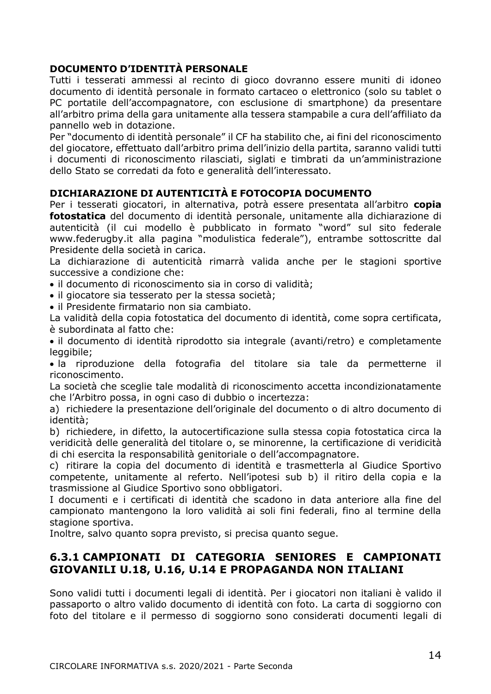## **DOCUMENTO D'IDENTITÀ PERSONALE**

Tutti i tesserati ammessi al recinto di gioco dovranno essere muniti di idoneo documento di identità personale in formato cartaceo o elettronico (solo su tablet o PC portatile dell'accompagnatore, con esclusione di smartphone) da presentare all'arbitro prima della gara unitamente alla tessera stampabile a cura dell'affiliato da pannello web in dotazione.

Per "documento di identità personale" il CF ha stabilito che, ai fini del riconoscimento del giocatore, effettuato dall'arbitro prima dell'inizio della partita, saranno validi tutti i documenti di riconoscimento rilasciati, siglati e timbrati da un'amministrazione dello Stato se corredati da foto e generalità dell'interessato.

## **DICHIARAZIONE DI AUTENTICITÀ E FOTOCOPIA DOCUMENTO**

Per i tesserati giocatori, in alternativa, potrà essere presentata all'arbitro **copia fotostatica** del documento di identità personale, unitamente alla dichiarazione di autenticità (il cui modello è pubblicato in formato "word" sul sito federale www.federugby.it alla pagina "modulistica federale"), entrambe sottoscritte dal Presidente della società in carica.

La dichiarazione di autenticità rimarrà valida anche per le stagioni sportive successive a condizione che:

• il documento di riconoscimento sia in corso di validità;

• il giocatore sia tesserato per la stessa società;

• il Presidente firmatario non sia cambiato.

La validità della copia fotostatica del documento di identità, come sopra certificata, è subordinata al fatto che:

• il documento di identità riprodotto sia integrale (avanti/retro) e completamente leggibile;

• la riproduzione della fotografia del titolare sia tale da permetterne il riconoscimento.

La società che sceglie tale modalità di riconoscimento accetta incondizionatamente che l'Arbitro possa, in ogni caso di dubbio o incertezza:

a) richiedere la presentazione dell'originale del documento o di altro documento di identità;

b) richiedere, in difetto, la autocertificazione sulla stessa copia fotostatica circa la veridicità delle generalità del titolare o, se minorenne, la certificazione di veridicità di chi esercita la responsabilità genitoriale o dell'accompagnatore.

c) ritirare la copia del documento di identità e trasmetterla al Giudice Sportivo competente, unitamente al referto. Nell'ipotesi sub b) il ritiro della copia e la trasmissione al Giudice Sportivo sono obbligatori.

I documenti e i certificati di identità che scadono in data anteriore alla fine del campionato mantengono la loro validità ai soli fini federali, fino al termine della stagione sportiva.

Inoltre, salvo quanto sopra previsto, si precisa quanto segue.

## <span id="page-13-0"></span>**6.3.1 CAMPIONATI DI CATEGORIA SENIORES E CAMPIONATI GIOVANILI U.18, U.16, U.14 E PROPAGANDA NON ITALIANI**

Sono validi tutti i documenti legali di identità. Per i giocatori non italiani è valido il passaporto o altro valido documento di identità con foto. La carta di soggiorno con foto del titolare e il permesso di soggiorno sono considerati documenti legali di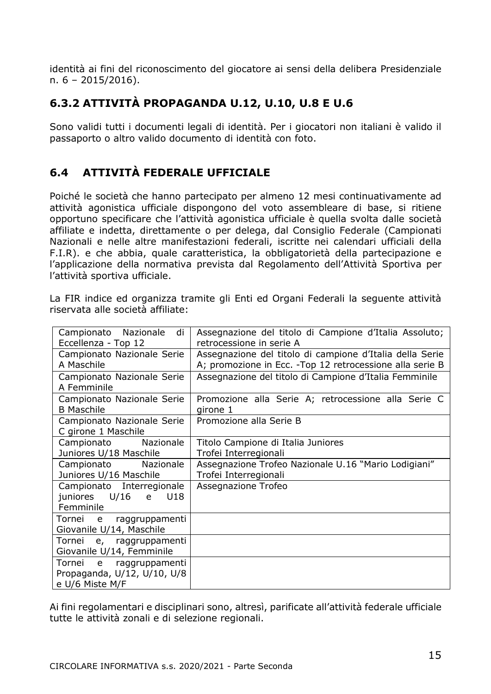identità ai fini del riconoscimento del giocatore ai sensi della delibera Presidenziale n. 6 – 2015/2016).

## <span id="page-14-0"></span>**6.3.2 ATTIVITÀ PROPAGANDA U.12, U.10, U.8 E U.6**

Sono validi tutti i documenti legali di identità. Per i giocatori non italiani è valido il passaporto o altro valido documento di identità con foto.

## <span id="page-14-1"></span>**6.4 ATTIVITÀ FEDERALE UFFICIALE**

Poiché le società che hanno partecipato per almeno 12 mesi continuativamente ad attività agonistica ufficiale dispongono del voto assembleare di base, si ritiene opportuno specificare che l'attività agonistica ufficiale è quella svolta dalle società affiliate e indetta, direttamente o per delega, dal Consiglio Federale (Campionati Nazionali e nelle altre manifestazioni federali, iscritte nei calendari ufficiali della F.I.R). e che abbia, quale caratteristica, la obbligatorietà della partecipazione e l'applicazione della normativa prevista dal Regolamento dell'Attività Sportiva per l'attività sportiva ufficiale.

La FIR indice ed organizza tramite gli Enti ed Organi Federali la seguente attività riservata alle società affiliate:

| di<br>Campionato Nazionale  | Assegnazione del titolo di Campione d'Italia Assoluto;    |
|-----------------------------|-----------------------------------------------------------|
| Eccellenza - Top 12         | retrocessione in serie A                                  |
| Campionato Nazionale Serie  | Assegnazione del titolo di campione d'Italia della Serie  |
| A Maschile                  | A; promozione in Ecc. - Top 12 retrocessione alla serie B |
| Campionato Nazionale Serie  | Assegnazione del titolo di Campione d'Italia Femminile    |
| A Femminile                 |                                                           |
| Campionato Nazionale Serie  | Promozione alla Serie A; retrocessione alla Serie C       |
| <b>B</b> Maschile           | girone 1                                                  |
| Campionato Nazionale Serie  | Promozione alla Serie B                                   |
| C girone 1 Maschile         |                                                           |
| Nazionale<br>Campionato     | Titolo Campione di Italia Juniores                        |
| Juniores U/18 Maschile      | Trofei Interregionali                                     |
| Nazionale<br>Campionato     | Assegnazione Trofeo Nazionale U.16 "Mario Lodigiani"      |
| Juniores U/16 Maschile      | Trofei Interregionali                                     |
| Campionato Interregionale   | Assegnazione Trofeo                                       |
| U/16 e<br>juniores<br>U18   |                                                           |
| Femminile                   |                                                           |
| Tornei e<br>raggruppamenti  |                                                           |
| Giovanile U/14, Maschile    |                                                           |
| Tornei e, raggruppamenti    |                                                           |
| Giovanile U/14, Femminile   |                                                           |
| Tornei e<br>raggruppamenti  |                                                           |
| Propaganda, U/12, U/10, U/8 |                                                           |
| e U/6 Miste M/F             |                                                           |

Ai fini regolamentari e disciplinari sono, altresì, parificate all'attività federale ufficiale tutte le attività zonali e di selezione regionali.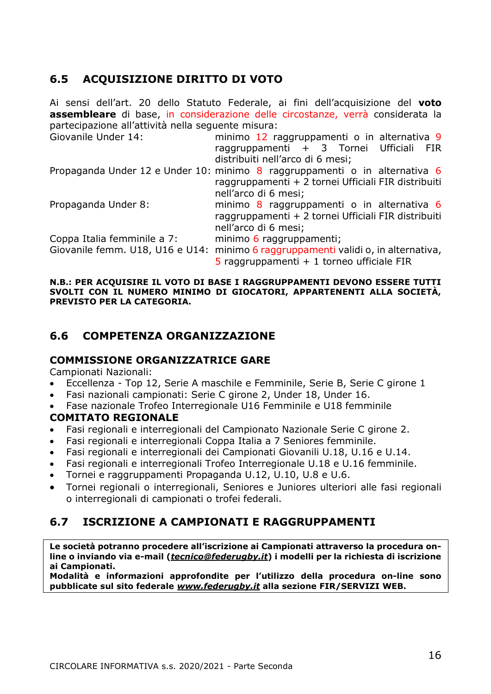## <span id="page-15-0"></span>**6.5 ACQUISIZIONE DIRITTO DI VOTO**

Ai sensi dell'art. 20 dello Statuto Federale, ai fini dell'acquisizione del **voto assembleare** di base, in considerazione delle circostanze, verrà considerata la partecipazione all'attività nella seguente misura: Giovanile Under 14: minimo 12 ragaruppamenti o in alternativa 9 raggruppamenti + 3 Tornei Ufficiali FIR distribuiti nell'arco di 6 mesi; Propaganda Under 12 e Under 10: minimo 8 raggruppamenti o in alternativa 6 raggruppamenti + 2 tornei Ufficiali FIR distribuiti nell'arco di 6 mesi; Propaganda Under 8: minimo 8 raggruppamenti o in alternativa 6 raggruppamenti + 2 tornei Ufficiali FIR distribuiti nell'arco di 6 mesi; Coppa Italia femminile a 7: minimo 6 raggruppamenti; Giovanile femm. U18, U16 e U14: minimo 6 raggruppamenti validi o, in alternativa,  $5$  raggruppamenti + 1 torneo ufficiale FIR

**N.B.: PER ACQUISIRE IL VOTO DI BASE I RAGGRUPPAMENTI DEVONO ESSERE TUTTI SVOLTI CON IL NUMERO MINIMO DI GIOCATORI, APPARTENENTI ALLA SOCIETÀ, PREVISTO PER LA CATEGORIA.** 

## <span id="page-15-1"></span>**6.6 COMPETENZA ORGANIZZAZIONE**

## <span id="page-15-2"></span>**COMMISSIONE ORGANIZZATRICE GARE**

Campionati Nazionali:

- Eccellenza Top 12, Serie A maschile e Femminile, Serie B, Serie C girone 1
- Fasi nazionali campionati: Serie C girone 2, Under 18, Under 16.
- Fase nazionale Trofeo Interregionale U16 Femminile e U18 femminile

## **COMITATO REGIONALE**

- Fasi regionali e interregionali del Campionato Nazionale Serie C girone 2.
- Fasi regionali e interregionali Coppa Italia a 7 Seniores femminile.
- Fasi regionali e interregionali dei Campionati Giovanili U.18, U.16 e U.14.
- Fasi regionali e interregionali Trofeo Interregionale U.18 e U.16 femminile.
- Tornei e raggruppamenti Propaganda U.12, U.10, U.8 e U.6.
- Tornei regionali o interregionali, Seniores e Juniores ulteriori alle fasi regionali o interregionali di campionati o trofei federali.

## <span id="page-15-3"></span>**6.7 ISCRIZIONE A CAMPIONATI E RAGGRUPPAMENTI**

**Le società potranno procedere all'iscrizione ai Campionati attraverso la procedura online o inviando via e-mail (***[tecnico@federugby.it](mailto:tecnico@federugby.it)***) i modelli per la richiesta di iscrizione ai Campionati.**

**Modalità e informazioni approfondite per l'utilizzo della procedura on-line sono pubblicate sul sito federale** *[www.federugby.it](http://www.federugby.it/)* **alla sezione FIR/SERVIZI WEB.**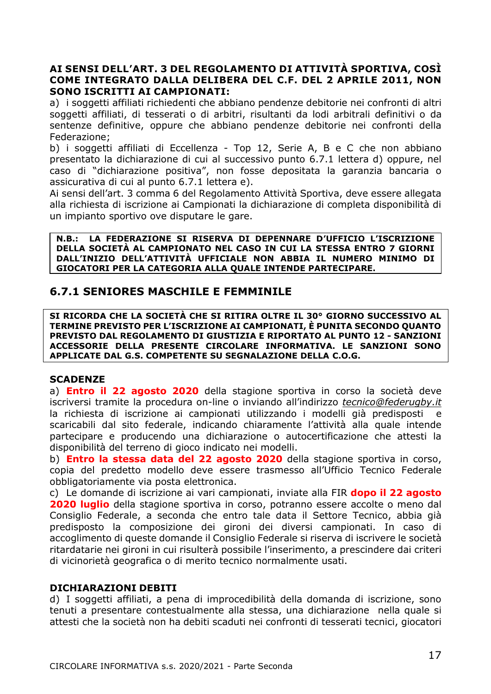#### **AI SENSI DELL'ART. 3 DEL REGOLAMENTO DI ATTIVITÀ SPORTIVA, COSÌ COME INTEGRATO DALLA DELIBERA DEL C.F. DEL 2 APRILE 2011, NON SONO ISCRITTI AI CAMPIONATI:**

a) i soggetti affiliati richiedenti che abbiano pendenze debitorie nei confronti di altri soggetti affiliati, di tesserati o di arbitri, risultanti da lodi arbitrali definitivi o da sentenze definitive, oppure che abbiano pendenze debitorie nei confronti della Federazione;

b) i soggetti affiliati di Eccellenza - Top 12, Serie A, B e C che non abbiano presentato la dichiarazione di cui al successivo punto 6.7.1 lettera d) oppure, nel caso di "dichiarazione positiva", non fosse depositata la garanzia bancaria o assicurativa di cui al punto 6.7.1 lettera e).

Ai sensi dell'art. 3 comma 6 del Regolamento Attività Sportiva, deve essere allegata alla richiesta di iscrizione ai Campionati la dichiarazione di completa disponibilità di un impianto sportivo ove disputare le gare.

**N.B.: LA FEDERAZIONE SI RISERVA DI DEPENNARE D'UFFICIO L'ISCRIZIONE DELLA SOCIETÀ AL CAMPIONATO NEL CASO IN CUI LA STESSA ENTRO 7 GIORNI DALL'INIZIO DELL'ATTIVITÀ UFFICIALE NON ABBIA IL NUMERO MINIMO DI GIOCATORI PER LA CATEGORIA ALLA QUALE INTENDE PARTECIPARE.**

## <span id="page-16-0"></span>**6.7.1 SENIORES MASCHILE E FEMMINILE**

**SI RICORDA CHE LA SOCIETÀ CHE SI RITIRA OLTRE IL 30° GIORNO SUCCESSIVO AL TERMINE PREVISTO PER L'ISCRIZIONE AI CAMPIONATI, È PUNITA SECONDO QUANTO PREVISTO DAL REGOLAMENTO DI GIUSTIZIA E RIPORTATO AL PUNTO 12 - SANZIONI ACCESSORIE DELLA PRESENTE CIRCOLARE INFORMATIVA. LE SANZIONI SONO APPLICATE DAL G.S. COMPETENTE SU SEGNALAZIONE DELLA C.O.G.** 

#### **SCADENZE**

a) **Entro il 22 agosto 2020** della stagione sportiva in corso la società deve iscriversi tramite la procedura on-line o inviando all'indirizzo *[tecnico@federugby.it](mailto:tecnico@federugby.it)* la richiesta di iscrizione ai campionati utilizzando i modelli già predisposti e scaricabili dal sito federale, indicando chiaramente l'attività alla quale intende partecipare e producendo una dichiarazione o autocertificazione che attesti la disponibilità del terreno di gioco indicato nei modelli.

b) **Entro la stessa data del 22 agosto 2020** della stagione sportiva in corso, copia del predetto modello deve essere trasmesso all'Ufficio Tecnico Federale obbligatoriamente via posta elettronica.

c) Le domande di iscrizione ai vari campionati, inviate alla FIR **dopo il 22 agosto 2020 luglio** della stagione sportiva in corso, potranno essere accolte o meno dal Consiglio Federale, a seconda che entro tale data il Settore Tecnico, abbia già predisposto la composizione dei gironi dei diversi campionati. In caso di accoglimento di queste domande il Consiglio Federale si riserva di iscrivere le società ritardatarie nei gironi in cui risulterà possibile l'inserimento, a prescindere dai criteri di vicinorietà geografica o di merito tecnico normalmente usati.

## **DICHIARAZIONI DEBITI**

d) I soggetti affiliati, a pena di improcedibilità della domanda di iscrizione, sono tenuti a presentare contestualmente alla stessa, una dichiarazione nella quale si attesti che la società non ha debiti scaduti nei confronti di tesserati tecnici, giocatori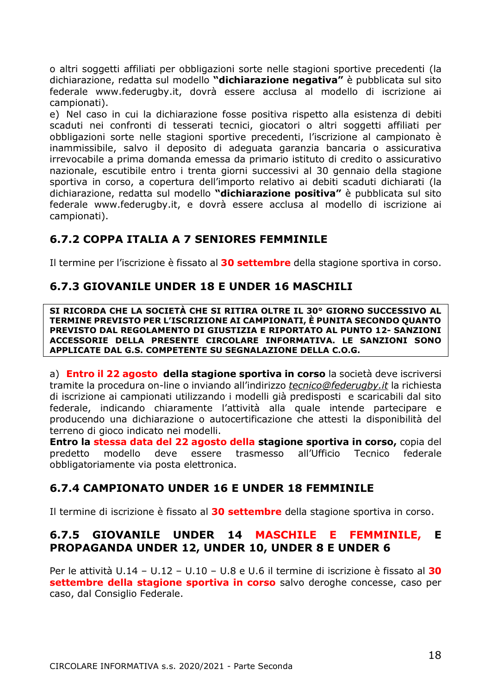o altri soggetti affiliati per obbligazioni sorte nelle stagioni sportive precedenti (la dichiarazione, redatta sul modello **"dichiarazione negativa"** è pubblicata sul sito federale [www.federugby.it,](http://www.federugby.it/) dovrà essere acclusa al modello di iscrizione ai campionati).

e) Nel caso in cui la dichiarazione fosse positiva rispetto alla esistenza di debiti scaduti nei confronti di tesserati tecnici, giocatori o altri soggetti affiliati per obbligazioni sorte nelle stagioni sportive precedenti, l'iscrizione al campionato è inammissibile, salvo il deposito di adeguata garanzia bancaria o assicurativa irrevocabile a prima domanda emessa da primario istituto di credito o assicurativo nazionale, escutibile entro i trenta giorni successivi al 30 gennaio della stagione sportiva in corso, a copertura dell'importo relativo ai debiti scaduti dichiarati (la dichiarazione, redatta sul modello **"dichiarazione positiva"** è pubblicata sul sito federale [www.federugby.it,](http://www.federugby.it/) e dovrà essere acclusa al modello di iscrizione ai campionati).

## <span id="page-17-0"></span>**6.7.2 COPPA ITALIA A 7 SENIORES FEMMINILE**

Il termine per l'iscrizione è fissato al **30 settembre** della stagione sportiva in corso.

## <span id="page-17-1"></span>**6.7.3 GIOVANILE UNDER 18 E UNDER 16 MASCHILI**

**SI RICORDA CHE LA SOCIETÀ CHE SI RITIRA OLTRE IL 30° GIORNO SUCCESSIVO AL TERMINE PREVISTO PER L'ISCRIZIONE AI CAMPIONATI, È PUNITA SECONDO QUANTO PREVISTO DAL REGOLAMENTO DI GIUSTIZIA E RIPORTATO AL PUNTO 12- SANZIONI ACCESSORIE DELLA PRESENTE CIRCOLARE INFORMATIVA. LE SANZIONI SONO APPLICATE DAL G.S. COMPETENTE SU SEGNALAZIONE DELLA C.O.G.** 

a) **Entro il 22 agosto della stagione sportiva in corso** la società deve iscriversi tramite la procedura on-line o inviando all'indirizzo *[tecnico@federugby.it](mailto:tecnico@federugby.it)* la richiesta di iscrizione ai campionati utilizzando i modelli già predisposti e scaricabili dal sito federale, indicando chiaramente l'attività alla quale intende partecipare e producendo una dichiarazione o autocertificazione che attesti la disponibilità del terreno di gioco indicato nei modelli.

**Entro la stessa data del 22 agosto della stagione sportiva in corso,** copia del predetto modello deve essere trasmesso all'Ufficio Tecnico federale obbligatoriamente via posta elettronica.

## <span id="page-17-2"></span>**6.7.4 CAMPIONATO UNDER 16 E UNDER 18 FEMMINILE**

Il termine di iscrizione è fissato al **30 settembre** della stagione sportiva in corso.

## <span id="page-17-3"></span>**6.7.5 GIOVANILE UNDER 14 MASCHILE E FEMMINILE, E PROPAGANDA UNDER 12, UNDER 10, UNDER 8 E UNDER 6**

Per le attività U.14 – U.12 – U.10 – U.8 e U.6 il termine di iscrizione è fissato al **30 settembre della stagione sportiva in corso** salvo deroghe concesse, caso per caso, dal Consiglio Federale.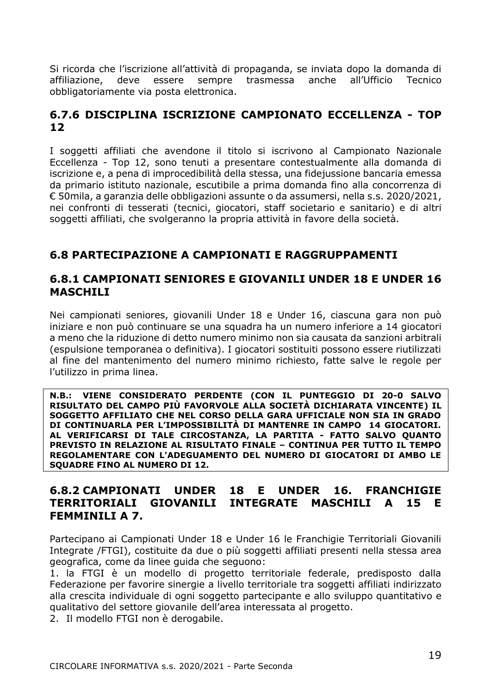Si ricorda che l'iscrizione all'attività di propaganda, se inviata dopo la domanda di affiliazione, deve essere sempre trasmessa anche all'Ufficio Tecnico obbligatoriamente via posta elettronica.

## <span id="page-18-0"></span>**6.7.6 DISCIPLINA ISCRIZIONE CAMPIONATO ECCELLENZA - TOP 12**

I soggetti affiliati che avendone il titolo si iscrivono al Campionato Nazionale Eccellenza - Top 12, sono tenuti a presentare contestualmente alla domanda di iscrizione e, a pena di improcedibilità della stessa, una fidejussione bancaria emessa da primario istituto nazionale, escutibile a prima domanda fino alla concorrenza di € 50mila, a garanzia delle obbligazioni assunte o da assumersi, nella s.s. 2020/2021, nei confronti di tesserati (tecnici, giocatori, staff societario e sanitario) e di altri soggetti affiliati, che svolgeranno la propria attività in favore della società.

## <span id="page-18-1"></span>**6.8 PARTECIPAZIONE A CAMPIONATI E RAGGRUPPAMENTI**

## <span id="page-18-2"></span>**6.8.1 CAMPIONATI SENIORES E GIOVANILI UNDER 18 E UNDER 16 MASCHILI**

Nei campionati seniores, giovanili Under 18 e Under 16, ciascuna gara non può iniziare e non può continuare se una squadra ha un numero inferiore a 14 giocatori a meno che la riduzione di detto numero minimo non sia causata da sanzioni arbitrali (espulsione temporanea o definitiva). I giocatori sostituiti possono essere riutilizzati al fine del mantenimento del numero minimo richiesto, fatte salve le regole per l'utilizzo in prima linea.

**N.B.: VIENE CONSIDERATO PERDENTE (CON IL PUNTEGGIO DI 20-0 SALVO RISULTATO DEL CAMPO PIÙ FAVORVOLE ALLA SOCIETÀ DICHIARATA VINCENTE) IL SOGGETTO AFFILIATO CHE NEL CORSO DELLA GARA UFFICIALE NON SIA IN GRADO DI CONTINUARLA PER L'IMPOSSIBILITÀ DI MANTENRE IN CAMPO 14 GIOCATORI. AL VERIFICARSI DI TALE CIRCOSTANZA, LA PARTITA - FATTO SALVO QUANTO PREVISTO IN RELAZIONE AL RISULTATO FINALE – CONTINUA PER TUTTO IL TEMPO REGOLAMENTARE CON L'ADEGUAMENTO DEL NUMERO DI GIOCATORI DI AMBO LE SQUADRE FINO AL NUMERO DI 12.** 

## <span id="page-18-3"></span>**6.8.2 CAMPIONATI UNDER 18 E UNDER 16. FRANCHIGIE TERRITORIALI GIOVANILI INTEGRATE MASCHILI A 15 E FEMMINILI A 7.**

Partecipano ai Campionati Under 18 e Under 16 le Franchigie Territoriali Giovanili Integrate /FTGI), costituite da due o più soggetti affiliati presenti nella stessa area geografica, come da linee guida che seguono:

1. la FTGI è un modello di progetto territoriale federale, predisposto dalla Federazione per favorire sinergie a livello territoriale tra soggetti affiliati indirizzato alla crescita individuale di ogni soggetto partecipante e allo sviluppo quantitativo e qualitativo del settore giovanile dell'area interessata al progetto.

2. Il modello FTGI non è derogabile.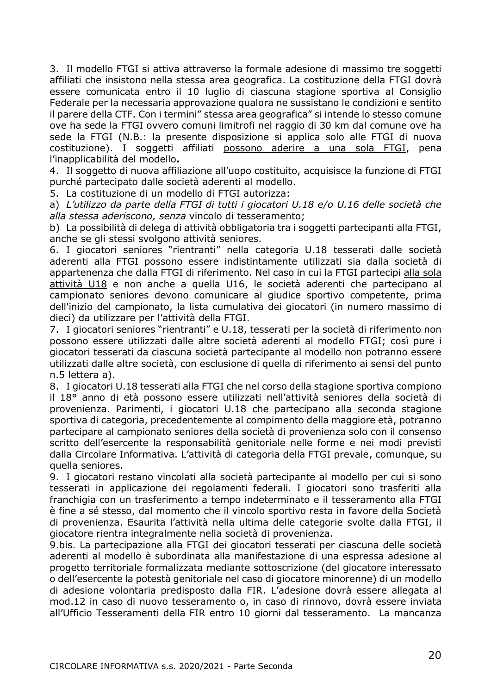3. Il modello FTGI si attiva attraverso la formale adesione di massimo tre soggetti affiliati che insistono nella stessa area geografica. La costituzione della FTGI dovrà essere comunicata entro il 10 luglio di ciascuna stagione sportiva al Consiglio Federale per la necessaria approvazione qualora ne sussistano le condizioni e sentito il parere della CTF. Con i termini" stessa area geografica" si intende lo stesso comune ove ha sede la FTGI ovvero comuni limitrofi nel raggio di 30 km dal comune ove ha sede la FTGI (N.B.: la presente disposizione si applica solo alle FTGI di nuova costituzione). I soggetti affiliati possono aderire a una sola FTGI, pena l'inapplicabilità del modello**.**

4. Il soggetto di nuova affiliazione all'uopo costituito, acquisisce la funzione di FTGI purché partecipato dalle società aderenti al modello.

5. La costituzione di un modello di FTGI autorizza:

a) *L'utilizzo da parte della FTGI di tutti i giocatori U.18 e/o U.16 delle società che alla stessa aderiscono, senza* vincolo di tesseramento;

b) La possibilità di delega di attività obbligatoria tra i soggetti partecipanti alla FTGI, anche se gli stessi svolgono attività seniores.

6. I giocatori seniores "rientranti" nella categoria U.18 tesserati dalle società aderenti alla FTGI possono essere indistintamente utilizzati sia dalla società di appartenenza che dalla FTGI di riferimento. Nel caso in cui la FTGI partecipi alla sola attività U18 e non anche a quella U16, le società aderenti che partecipano al campionato seniores devono comunicare al giudice sportivo competente, prima dell'inizio del campionato, la lista cumulativa dei giocatori (in numero massimo di dieci) da utilizzare per l'attività della FTGI.

7. I giocatori seniores "rientranti" e U.18, tesserati per la società di riferimento non possono essere utilizzati dalle altre società aderenti al modello FTGI; così pure i giocatori tesserati da ciascuna società partecipante al modello non potranno essere utilizzati dalle altre società, con esclusione di quella di riferimento ai sensi del punto n.5 lettera a).

8. I giocatori U.18 tesserati alla FTGI che nel corso della stagione sportiva compiono il 18° anno di età possono essere utilizzati nell'attività seniores della società di provenienza. Parimenti, i giocatori U.18 che partecipano alla seconda stagione sportiva di categoria, precedentemente al compimento della maggiore età, potranno partecipare al campionato seniores della società di provenienza solo con il consenso scritto dell'esercente la responsabilità genitoriale nelle forme e nei modi previsti dalla Circolare Informativa. L'attività di categoria della FTGI prevale, comunque, su quella seniores.

9. I giocatori restano vincolati alla società partecipante al modello per cui si sono tesserati in applicazione dei regolamenti federali. I giocatori sono trasferiti alla franchigia con un trasferimento a tempo indeterminato e il tesseramento alla FTGI è fine a sé stesso, dal momento che il vincolo sportivo resta in favore della Società di provenienza. Esaurita l'attività nella ultima delle categorie svolte dalla FTGI, il giocatore rientra integralmente nella società di provenienza.

9.bis. La partecipazione alla FTGI dei giocatori tesserati per ciascuna delle società aderenti al modello è subordinata alla manifestazione di una espressa adesione al progetto territoriale formalizzata mediante sottoscrizione (del giocatore interessato o dell'esercente la potestà genitoriale nel caso di giocatore minorenne) di un modello di adesione volontaria predisposto dalla FIR. L'adesione dovrà essere allegata al mod.12 in caso di nuovo tesseramento o, in caso di rinnovo, dovrà essere inviata all'Ufficio Tesseramenti della FIR entro 10 giorni dal tesseramento. La mancanza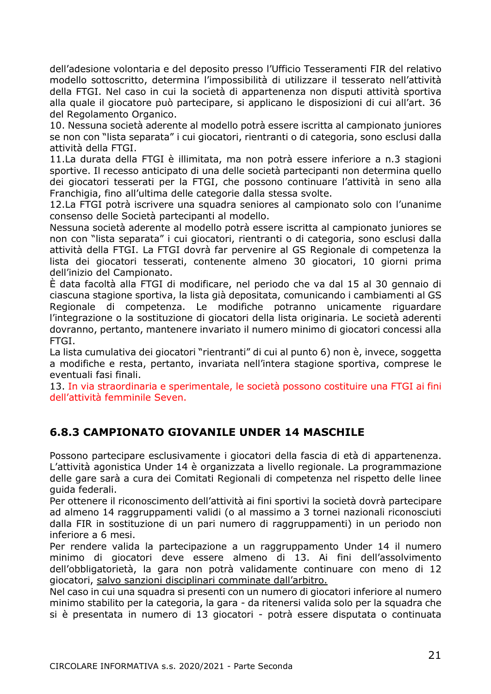dell'adesione volontaria e del deposito presso l'Ufficio Tesseramenti FIR del relativo modello sottoscritto, determina l'impossibilità di utilizzare il tesserato nell'attività della FTGI. Nel caso in cui la società di appartenenza non disputi attività sportiva alla quale il giocatore può partecipare, si applicano le disposizioni di cui all'art. 36 del Regolamento Organico.

10. Nessuna società aderente al modello potrà essere iscritta al campionato juniores se non con "lista separata" i cui giocatori, rientranti o di categoria, sono esclusi dalla attività della FTGI.

11.La durata della FTGI è illimitata, ma non potrà essere inferiore a n.3 stagioni sportive. Il recesso anticipato di una delle società partecipanti non determina quello dei giocatori tesserati per la FTGI, che possono continuare l'attività in seno alla Franchigia, fino all'ultima delle categorie dalla stessa svolte.

12.La FTGI potrà iscrivere una squadra seniores al campionato solo con l'unanime consenso delle Società partecipanti al modello.

Nessuna società aderente al modello potrà essere iscritta al campionato juniores se non con "lista separata" i cui giocatori, rientranti o di categoria, sono esclusi dalla attività della FTGI. La FTGI dovrà far pervenire al GS Regionale di competenza la lista dei giocatori tesserati, contenente almeno 30 giocatori, 10 giorni prima dell'inizio del Campionato.

È data facoltà alla FTGI di modificare, nel periodo che va dal 15 al 30 gennaio di ciascuna stagione sportiva, la lista già depositata, comunicando i cambiamenti al GS Regionale di competenza. Le modifiche potranno unicamente riguardare l'integrazione o la sostituzione di giocatori della lista originaria. Le società aderenti dovranno, pertanto, mantenere invariato il numero minimo di giocatori concessi alla FTGI.

La lista cumulativa dei giocatori "rientranti" di cui al punto 6) non è, invece, soggetta a modifiche e resta, pertanto, invariata nell'intera stagione sportiva, comprese le eventuali fasi finali.

13. In via straordinaria e sperimentale, le società possono costituire una FTGI ai fini dell'attività femminile Seven.

## <span id="page-20-0"></span>**6.8.3 CAMPIONATO GIOVANILE UNDER 14 MASCHILE**

Possono partecipare esclusivamente i giocatori della fascia di età di appartenenza. L'attività agonistica Under 14 è organizzata a livello regionale. La programmazione delle gare sarà a cura dei Comitati Regionali di competenza nel rispetto delle linee guida federali.

Per ottenere il riconoscimento dell'attività ai fini sportivi la società dovrà partecipare ad almeno 14 raggruppamenti validi (o al massimo a 3 tornei nazionali riconosciuti dalla FIR in sostituzione di un pari numero di raggruppamenti) in un periodo non inferiore a 6 mesi.

Per rendere valida la partecipazione a un raggruppamento Under 14 il numero minimo di giocatori deve essere almeno di 13. Ai fini dell'assolvimento dell'obbligatorietà, la gara non potrà validamente continuare con meno di 12 giocatori, salvo sanzioni disciplinari comminate dall'arbitro.

Nel caso in cui una squadra si presenti con un numero di giocatori inferiore al numero minimo stabilito per la categoria, la gara - da ritenersi valida solo per la squadra che si è presentata in numero di 13 giocatori - potrà essere disputata o continuata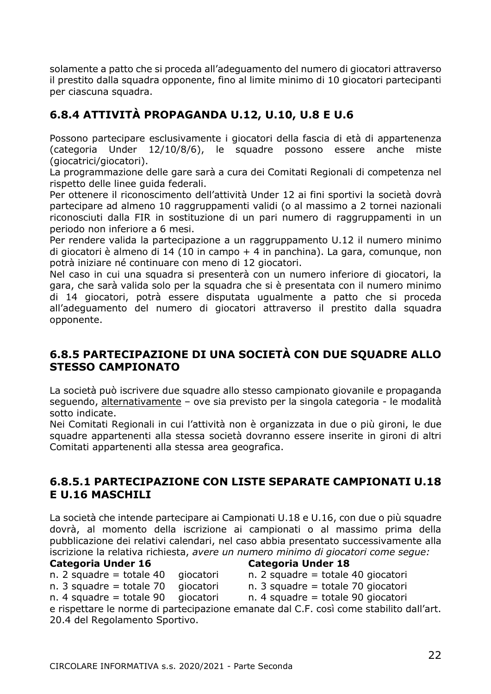solamente a patto che si proceda all'adeguamento del numero di giocatori attraverso il prestito dalla squadra opponente, fino al limite minimo di 10 giocatori partecipanti per ciascuna squadra.

## <span id="page-21-0"></span>**6.8.4 ATTIVITÀ PROPAGANDA U.12, U.10, U.8 E U.6**

Possono partecipare esclusivamente i giocatori della fascia di età di appartenenza (categoria Under 12/10/8/6), le squadre possono essere anche miste (giocatrici/giocatori).

La programmazione delle gare sarà a cura dei Comitati Regionali di competenza nel rispetto delle linee guida federali.

Per ottenere il riconoscimento dell'attività Under 12 ai fini sportivi la società dovrà partecipare ad almeno 10 raggruppamenti validi (o al massimo a 2 tornei nazionali riconosciuti dalla FIR in sostituzione di un pari numero di raggruppamenti in un periodo non inferiore a 6 mesi.

Per rendere valida la partecipazione a un raggruppamento U.12 il numero minimo di giocatori è almeno di 14 (10 in campo + 4 in panchina). La gara, comunque, non potrà iniziare né continuare con meno di 12 giocatori.

Nel caso in cui una squadra si presenterà con un numero inferiore di giocatori, la gara, che sarà valida solo per la squadra che si è presentata con il numero minimo di 14 giocatori, potrà essere disputata ugualmente a patto che si proceda all'adeguamento del numero di giocatori attraverso il prestito dalla squadra opponente.

## <span id="page-21-1"></span>**6.8.5 PARTECIPAZIONE DI UNA SOCIETÀ CON DUE SQUADRE ALLO STESSO CAMPIONATO**

La società può iscrivere due squadre allo stesso campionato giovanile e propaganda seguendo, alternativamente – ove sia previsto per la singola categoria - le modalità sotto indicate.

Nei Comitati Regionali in cui l'attività non è organizzata in due o più gironi, le due squadre appartenenti alla stessa società dovranno essere inserite in gironi di altri Comitati appartenenti alla stessa area geografica.

## <span id="page-21-2"></span>**6.8.5.1 PARTECIPAZIONE CON LISTE SEPARATE CAMPIONATI U.18 E U.16 MASCHILI**

La società che intende partecipare ai Campionati U.18 e U.16, con due o più squadre dovrà, al momento della iscrizione ai campionati o al massimo prima della pubblicazione dei relativi calendari, nel caso abbia presentato successivamente alla iscrizione la relativa richiesta, *avere un numero minimo di giocatori come segue:*

#### **Categoria Under 16 Categoria Under 18**

- n. 2 squadre = totale 40 qiocatori n. 2 squadre = totale 40 qiocatori
- n. 3 squadre = totale 70 giocatori n. 3 squadre = totale 70 giocatori
- n. 4 squadre = totale 90 qiocatori n. 4 squadre = totale 90 qiocatori

e rispettare le norme di partecipazione emanate dal C.F. così come stabilito dall'art. 20.4 del Regolamento Sportivo.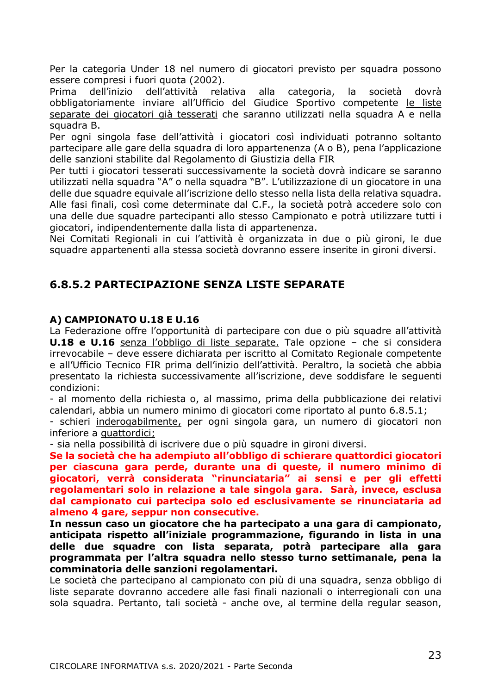Per la categoria Under 18 nel numero di giocatori previsto per squadra possono essere compresi i fuori quota (2002).

Prima dell'inizio dell'attività relativa alla categoria, la società dovrà obbligatoriamente inviare all'Ufficio del Giudice Sportivo competente le liste separate dei giocatori già tesserati che saranno utilizzati nella squadra A e nella squadra B.

Per ogni singola fase dell'attività i giocatori così individuati potranno soltanto partecipare alle gare della squadra di loro appartenenza (A o B), pena l'applicazione delle sanzioni stabilite dal Regolamento di Giustizia della FIR

Per tutti i giocatori tesserati successivamente la società dovrà indicare se saranno utilizzati nella squadra "A" o nella squadra "B". L'utilizzazione di un giocatore in una delle due squadre equivale all'iscrizione dello stesso nella lista della relativa squadra. Alle fasi finali, così come determinate dal C.F., la società potrà accedere solo con una delle due squadre partecipanti allo stesso Campionato e potrà utilizzare tutti i giocatori, indipendentemente dalla lista di appartenenza.

Nei Comitati Regionali in cui l'attività è organizzata in due o più gironi, le due squadre appartenenti alla stessa società dovranno essere inserite in gironi diversi.

## <span id="page-22-0"></span>**6.8.5.2 PARTECIPAZIONE SENZA LISTE SEPARATE**

#### **A) CAMPIONATO U.18 E U.16**

La Federazione offre l'opportunità di partecipare con due o più squadre all'attività **U.18 e U.16** senza l'obbligo di liste separate. Tale opzione – che si considera irrevocabile – deve essere dichiarata per iscritto al Comitato Regionale competente e all'Ufficio Tecnico FIR prima dell'inizio dell'attività. Peraltro, la società che abbia presentato la richiesta successivamente all'iscrizione, deve soddisfare le seguenti condizioni:

- al momento della richiesta o, al massimo, prima della pubblicazione dei relativi calendari, abbia un numero minimo di giocatori come riportato al punto 6.8.5.1;

- schieri inderogabilmente, per ogni singola gara, un numero di giocatori non inferiore a quattordici;

- sia nella possibilità di iscrivere due o più squadre in gironi diversi.

**Se la società che ha adempiuto all'obbligo di schierare quattordici giocatori per ciascuna gara perde, durante una di queste, il numero minimo di giocatori, verrà considerata "rinunciataria" ai sensi e per gli effetti regolamentari solo in relazione a tale singola gara. Sarà, invece, esclusa dal campionato cui partecipa solo ed esclusivamente se rinunciataria ad almeno 4 gare, seppur non consecutive.**

**In nessun caso un giocatore che ha partecipato a una gara di campionato, anticipata rispetto all'iniziale programmazione, figurando in lista in una delle due squadre con lista separata, potrà partecipare alla gara programmata per l'altra squadra nello stesso turno settimanale, pena la comminatoria delle sanzioni regolamentari.**

Le società che partecipano al campionato con più di una squadra, senza obbligo di liste separate dovranno accedere alle fasi finali nazionali o interregionali con una sola squadra. Pertanto, tali società - anche ove, al termine della regular season,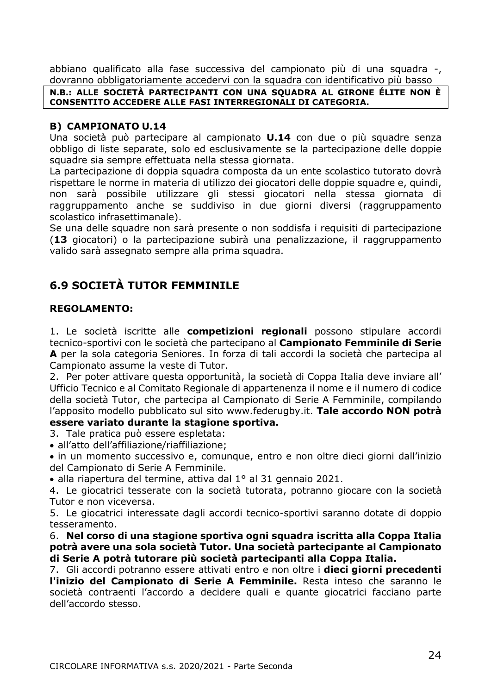abbiano qualificato alla fase successiva del campionato più di una squadra -, dovranno obbligatoriamente accedervi con la squadra con identificativo più basso

#### **N.B.: ALLE SOCIETÀ PARTECIPANTI CON UNA SQUADRA AL GIRONE ÉLITE NON È CONSENTITO ACCEDERE ALLE FASI INTERREGIONALI DI CATEGORIA.**

#### **B) CAMPIONATO U.14**

Una società può partecipare al campionato **U.14** con due o più squadre senza obbligo di liste separate, solo ed esclusivamente se la partecipazione delle doppie squadre sia sempre effettuata nella stessa giornata.

La partecipazione di doppia squadra composta da un ente scolastico tutorato dovrà rispettare le norme in materia di utilizzo dei giocatori delle doppie squadre e, quindi, non sarà possibile utilizzare gli stessi giocatori nella stessa giornata di raggruppamento anche se suddiviso in due giorni diversi (raggruppamento scolastico infrasettimanale).

Se una delle squadre non sarà presente o non soddisfa i requisiti di partecipazione (**13** giocatori) o la partecipazione subirà una penalizzazione, il raggruppamento valido sarà assegnato sempre alla prima squadra.

## <span id="page-23-0"></span>**6.9 SOCIETÀ TUTOR FEMMINILE**

## **REGOLAMENTO:**

1. Le società iscritte alle **competizioni regionali** possono stipulare accordi tecnico-sportivi con le società che partecipano al **Campionato Femminile di Serie A** per la sola categoria Seniores. In forza di tali accordi la società che partecipa al Campionato assume la veste di Tutor.

2. Per poter attivare questa opportunità, la società di Coppa Italia deve inviare all' Ufficio Tecnico e al Comitato Regionale di appartenenza il nome e il numero di codice della società Tutor, che partecipa al Campionato di Serie A Femminile, compilando l'apposito modello pubblicato sul sito www.federugby.it. **Tale accordo NON potrà essere variato durante la stagione sportiva.**

- 3. Tale pratica può essere espletata:
- all'atto dell'affiliazione/riaffiliazione;

• in un momento successivo e, comunque, entro e non oltre dieci giorni dall'inizio del Campionato di Serie A Femminile.

• alla riapertura del termine, attiva dal 1° al 31 gennaio 2021.

4. Le giocatrici tesserate con la società tutorata, potranno giocare con la società Tutor e non viceversa.

5. Le giocatrici interessate dagli accordi tecnico-sportivi saranno dotate di doppio tesseramento.

6. **Nel corso di una stagione sportiva ogni squadra iscritta alla Coppa Italia potrà avere una sola società Tutor. Una società partecipante al Campionato di Serie A potrà tutorare più società partecipanti alla Coppa Italia.**

7. Gli accordi potranno essere attivati entro e non oltre i **dieci giorni precedenti l'inizio del Campionato di Serie A Femminile.** Resta inteso che saranno le società contraenti l'accordo a decidere quali e quante giocatrici facciano parte dell'accordo stesso.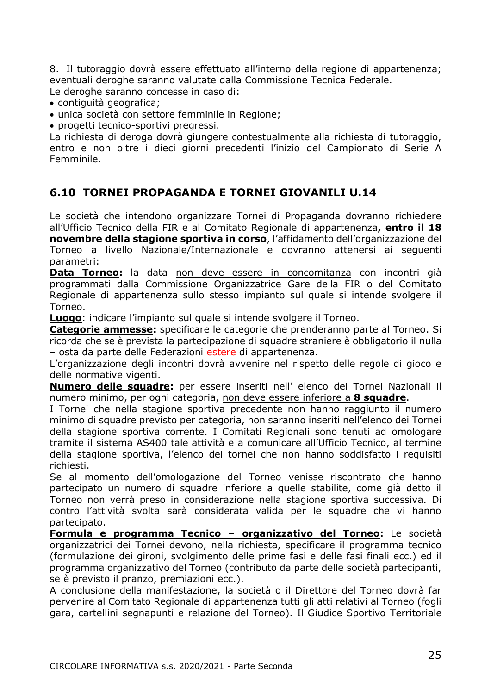8. Il tutoraggio dovrà essere effettuato all'interno della regione di appartenenza; eventuali deroghe saranno valutate dalla Commissione Tecnica Federale.

Le deroghe saranno concesse in caso di:

- contiguità geografica;
- unica società con settore femminile in Regione;
- progetti tecnico-sportivi pregressi.

La richiesta di deroga dovrà giungere contestualmente alla richiesta di tutoraggio, entro e non oltre i dieci giorni precedenti l'inizio del Campionato di Serie A Femminile.

## <span id="page-24-0"></span>**6.10 TORNEI PROPAGANDA E TORNEI GIOVANILI U.14**

Le società che intendono organizzare Tornei di Propaganda dovranno richiedere all'Ufficio Tecnico della FIR e al Comitato Regionale di appartenenza**, entro il 18 novembre della stagione sportiva in corso**, l'affidamento dell'organizzazione del Torneo a livello Nazionale/Internazionale e dovranno attenersi ai seguenti parametri:

**Data Torneo:** la data non deve essere in concomitanza con incontri già programmati dalla Commissione Organizzatrice Gare della FIR o del Comitato Regionale di appartenenza sullo stesso impianto sul quale si intende svolgere il Torneo.

**Luogo**: indicare l'impianto sul quale si intende svolgere il Torneo.

**Categorie ammesse:** specificare le categorie che prenderanno parte al Torneo. Si ricorda che se è prevista la partecipazione di squadre straniere è obbligatorio il nulla – osta da parte delle Federazioni estere di appartenenza.

L'organizzazione degli incontri dovrà avvenire nel rispetto delle regole di gioco e delle normative vigenti.

**Numero delle squadre:** per essere inseriti nell' elenco dei Tornei Nazionali il numero minimo, per ogni categoria, non deve essere inferiore a **8 squadre**.

I Tornei che nella stagione sportiva precedente non hanno raggiunto il numero minimo di squadre previsto per categoria, non saranno inseriti nell'elenco dei Tornei della stagione sportiva corrente. I Comitati Regionali sono tenuti ad omologare tramite il sistema AS400 tale attività e a comunicare all'Ufficio Tecnico, al termine della stagione sportiva, l'elenco dei tornei che non hanno soddisfatto i requisiti richiesti.

Se al momento dell'omologazione del Torneo venisse riscontrato che hanno partecipato un numero di squadre inferiore a quelle stabilite, come già detto il Torneo non verrà preso in considerazione nella stagione sportiva successiva. Di contro l'attività svolta sarà considerata valida per le squadre che vi hanno partecipato.

**Formula e programma Tecnico – organizzativo del Torneo:** Le società organizzatrici dei Tornei devono, nella richiesta, specificare il programma tecnico (formulazione dei gironi, svolgimento delle prime fasi e delle fasi finali ecc.) ed il programma organizzativo del Torneo (contributo da parte delle società partecipanti, se è previsto il pranzo, premiazioni ecc.).

A conclusione della manifestazione, la società o il Direttore del Torneo dovrà far pervenire al Comitato Regionale di appartenenza tutti gli atti relativi al Torneo (fogli gara, cartellini segnapunti e relazione del Torneo). Il Giudice Sportivo Territoriale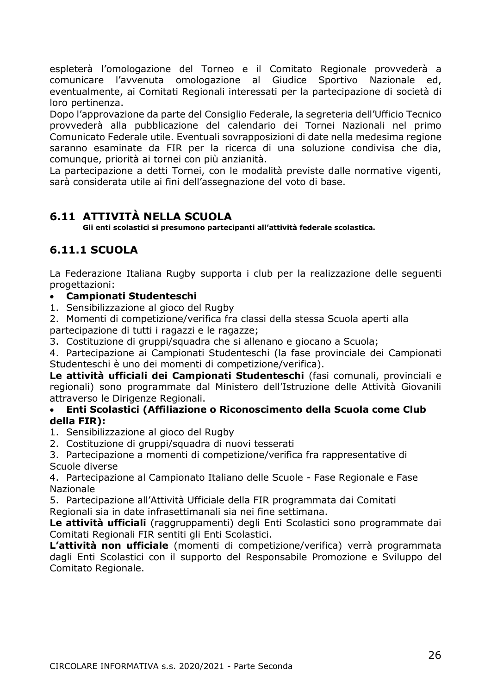espleterà l'omologazione del Torneo e il Comitato Regionale provvederà a comunicare l'avvenuta omologazione al Giudice Sportivo Nazionale ed, eventualmente, ai Comitati Regionali interessati per la partecipazione di società di loro pertinenza.

Dopo l'approvazione da parte del Consiglio Federale, la segreteria dell'Ufficio Tecnico provvederà alla pubblicazione del calendario dei Tornei Nazionali nel primo Comunicato Federale utile. Eventuali sovrapposizioni di date nella medesima regione saranno esaminate da FIR per la ricerca di una soluzione condivisa che dia, comunque, priorità ai tornei con più anzianità.

La partecipazione a detti Tornei, con le modalità previste dalle normative vigenti, sarà considerata utile ai fini dell'assegnazione del voto di base.

## <span id="page-25-0"></span>**6.11 ATTIVITÀ NELLA SCUOLA**

**Gli enti scolastici si presumono partecipanti all'attività federale scolastica.**

## <span id="page-25-1"></span>**6.11.1 SCUOLA**

La Federazione Italiana Rugby supporta i club per la realizzazione delle seguenti progettazioni:

## • **Campionati Studenteschi**

1. Sensibilizzazione al gioco del Rugby

2. Momenti di competizione/verifica fra classi della stessa Scuola aperti alla partecipazione di tutti i ragazzi e le ragazze;

3. Costituzione di gruppi/squadra che si allenano e giocano a Scuola;

4. Partecipazione ai Campionati Studenteschi (la fase provinciale dei Campionati Studenteschi è uno dei momenti di competizione/verifica).

**Le attività ufficiali dei Campionati Studenteschi** (fasi comunali, provinciali e regionali) sono programmate dal Ministero dell'Istruzione delle Attività Giovanili attraverso le Dirigenze Regionali.

## • **Enti Scolastici (Affiliazione o Riconoscimento della Scuola come Club della FIR):**

- 1. Sensibilizzazione al gioco del Rugby
- 2. Costituzione di gruppi/squadra di nuovi tesserati

3. Partecipazione a momenti di competizione/verifica fra rappresentative di Scuole diverse

4. Partecipazione al Campionato Italiano delle Scuole - Fase Regionale e Fase Nazionale

5. Partecipazione all'Attività Ufficiale della FIR programmata dai Comitati Regionali sia in date infrasettimanali sia nei fine settimana.

**Le attività ufficiali** (raggruppamenti) degli Enti Scolastici sono programmate dai Comitati Regionali FIR sentiti gli Enti Scolastici.

**L'attività non ufficiale** (momenti di competizione/verifica) verrà programmata dagli Enti Scolastici con il supporto del Responsabile Promozione e Sviluppo del Comitato Regionale.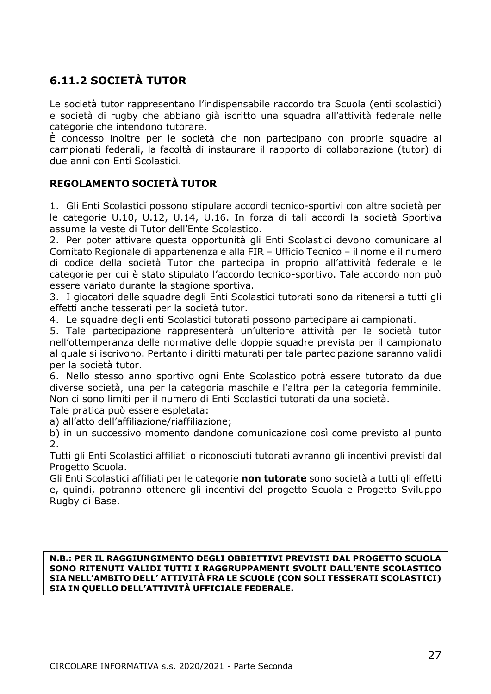## <span id="page-26-0"></span>**6.11.2 SOCIETÀ TUTOR**

Le società tutor rappresentano l'indispensabile raccordo tra Scuola (enti scolastici) e società di rugby che abbiano già iscritto una squadra all'attività federale nelle categorie che intendono tutorare.

È concesso inoltre per le società che non partecipano con proprie squadre ai campionati federali, la facoltà di instaurare il rapporto di collaborazione (tutor) di due anni con Enti Scolastici.

## **REGOLAMENTO SOCIETÀ TUTOR**

1. Gli Enti Scolastici possono stipulare accordi tecnico-sportivi con altre società per le categorie U.10, U.12, U.14, U.16. In forza di tali accordi la società Sportiva assume la veste di Tutor dell'Ente Scolastico.

2. Per poter attivare questa opportunità gli Enti Scolastici devono comunicare al Comitato Regionale di appartenenza e alla FIR – Ufficio Tecnico – il nome e il numero di codice della società Tutor che partecipa in proprio all'attività federale e le categorie per cui è stato stipulato l'accordo tecnico-sportivo. Tale accordo non può essere variato durante la stagione sportiva.

3. I giocatori delle squadre degli Enti Scolastici tutorati sono da ritenersi a tutti gli effetti anche tesserati per la società tutor.

4. Le squadre degli enti Scolastici tutorati possono partecipare ai campionati.

5. Tale partecipazione rappresenterà un'ulteriore attività per le società tutor nell'ottemperanza delle normative delle doppie squadre prevista per il campionato al quale si iscrivono. Pertanto i diritti maturati per tale partecipazione saranno validi per la società tutor.

6. Nello stesso anno sportivo ogni Ente Scolastico potrà essere tutorato da due diverse società, una per la categoria maschile e l'altra per la categoria femminile. Non ci sono limiti per il numero di Enti Scolastici tutorati da una società.

Tale pratica può essere espletata:

a) all'atto dell'affiliazione/riaffiliazione;

b) in un successivo momento dandone comunicazione così come previsto al punto 2.

Tutti gli Enti Scolastici affiliati o riconosciuti tutorati avranno gli incentivi previsti dal Progetto Scuola.

Gli Enti Scolastici affiliati per le categorie **non tutorate** sono società a tutti gli effetti e, quindi, potranno ottenere gli incentivi del progetto Scuola e Progetto Sviluppo Rugby di Base.

**N.B.: PER IL RAGGIUNGIMENTO DEGLI OBBIETTIVI PREVISTI DAL PROGETTO SCUOLA SONO RITENUTI VALIDI TUTTI I RAGGRUPPAMENTI SVOLTI DALL'ENTE SCOLASTICO SIA NELL'AMBITO DELL' ATTIVITÀ FRA LE SCUOLE (CON SOLI TESSERATI SCOLASTICI) SIA IN QUELLO DELL'ATTIVITÀ UFFICIALE FEDERALE.**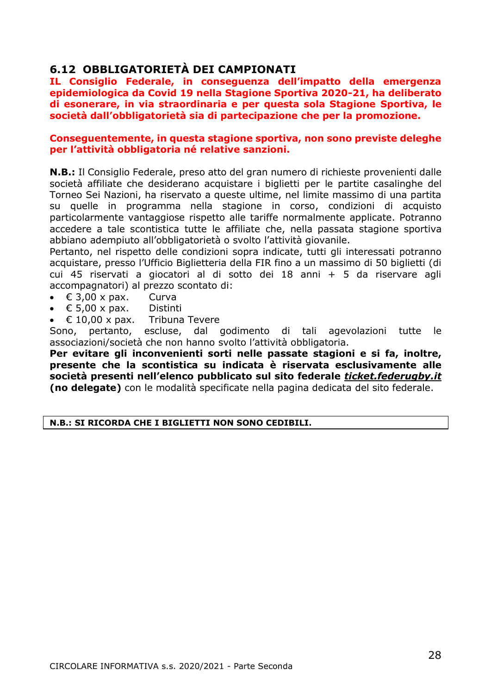## <span id="page-27-0"></span>**6.12 OBBLIGATORIETÀ DEI CAMPIONATI**

**IL Consiglio Federale, in conseguenza dell'impatto della emergenza epidemiologica da Covid 19 nella Stagione Sportiva 2020-21, ha deliberato di esonerare, in via straordinaria e per questa sola Stagione Sportiva, le società dall'obbligatorietà sia di partecipazione che per la promozione.**

#### **Conseguentemente, in questa stagione sportiva, non sono previste deleghe per l'attività obbligatoria né relative sanzioni.**

**N.B.:** Il Consiglio Federale, preso atto del gran numero di richieste provenienti dalle società affiliate che desiderano acquistare i biglietti per le partite casalinghe del Torneo Sei Nazioni, ha riservato a queste ultime, nel limite massimo di una partita su quelle in programma nella stagione in corso, condizioni di acquisto particolarmente vantaggiose rispetto alle tariffe normalmente applicate. Potranno accedere a tale scontistica tutte le affiliate che, nella passata stagione sportiva abbiano adempiuto all'obbligatorietà o svolto l'attività giovanile.

Pertanto, nel rispetto delle condizioni sopra indicate, tutti gli interessati potranno acquistare, presso l'Ufficio Biglietteria della FIR fino a un massimo di 50 biglietti (di cui 45 riservati a giocatori al di sotto dei 18 anni + 5 da riservare agli accompagnatori) al prezzo scontato di:

- $\bullet$   $\in$  3.00 x pax. Curva
- € 5,00 x pax. Distinti
- $\epsilon$  10,00 x pax. Tribuna Tevere

Sono, pertanto, escluse, dal godimento di tali agevolazioni tutte le associazioni/società che non hanno svolto l'attività obbligatoria.

**Per evitare gli inconvenienti sorti nelle passate stagioni e si fa, inoltre, presente che la scontistica su indicata è riservata esclusivamente alle società presenti nell'elenco pubblicato sul sito federale** *[ticket.federugby.it](http://ticket.federugby.it/)* **(no delegate)** con le modalità specificate nella pagina dedicata del sito federale.

#### **N.B.: SI RICORDA CHE I BIGLIETTI NON SONO CEDIBILI.**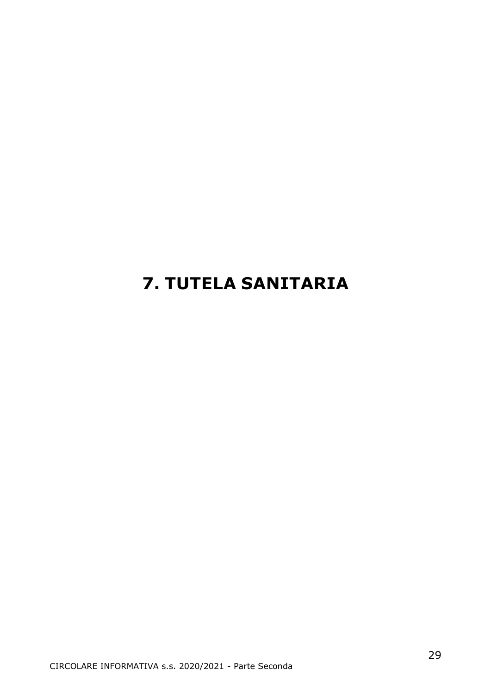# <span id="page-28-0"></span>**7. TUTELA SANITARIA**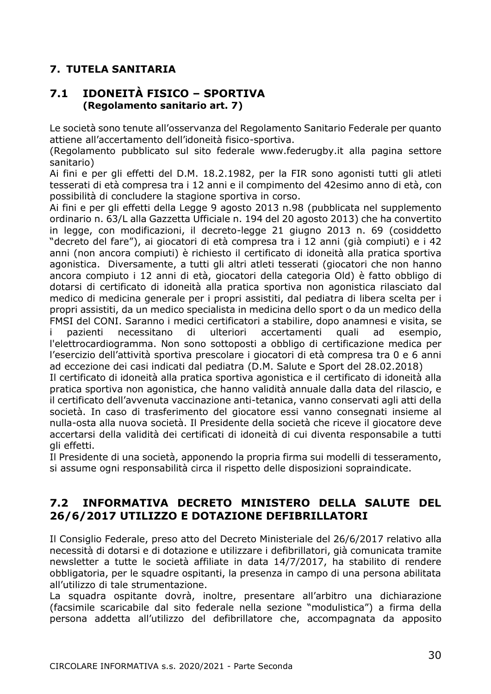## **7. TUTELA SANITARIA**

## <span id="page-29-0"></span>**7.1 IDONEITÀ FISICO – SPORTIVA (Regolamento sanitario art. 7)**

Le società sono tenute all'osservanza del Regolamento Sanitario Federale per quanto attiene all'accertamento dell'idoneità fisico-sportiva.

(Regolamento pubblicato sul sito federale www.federugby.it alla pagina settore sanitario)

Ai fini e per gli effetti del D.M. 18.2.1982, per la FIR sono agonisti tutti gli atleti tesserati di età compresa tra i 12 anni e il compimento del 42esimo anno di età, con possibilità di concludere la stagione sportiva in corso.

Ai fini e per gli effetti della Legge 9 agosto 2013 n.98 (pubblicata nel supplemento ordinario n. 63/L alla Gazzetta Ufficiale n. 194 del 20 agosto 2013) che ha convertito in legge, con modificazioni, il decreto-legge 21 giugno 2013 n. 69 (cosiddetto "decreto del fare"), ai giocatori di età compresa tra i 12 anni (già compiuti) e i 42 anni (non ancora compiuti) è richiesto il certificato di idoneità alla pratica sportiva agonistica. Diversamente, a tutti gli altri atleti tesserati (giocatori che non hanno ancora compiuto i 12 anni di età, giocatori della categoria Old) è fatto obbligo di dotarsi di certificato di idoneità alla pratica sportiva non agonistica rilasciato dal medico di medicina generale per i propri assistiti, dal pediatra di libera scelta per i propri assistiti, da un medico specialista in medicina dello sport o da un medico della FMSI del CONI. Saranno i medici certificatori a stabilire, dopo anamnesi e visita, se i pazienti necessitano di ulteriori accertamenti quali ad esempio, l'elettrocardiogramma. Non sono sottoposti a obbligo di certificazione medica per l'esercizio dell'attività sportiva prescolare i giocatori di età compresa tra 0 e 6 anni ad eccezione dei casi indicati dal pediatra (D.M. Salute e Sport del 28.02.2018) Il certificato di idoneità alla pratica sportiva agonistica e il certificato di idoneità alla pratica sportiva non agonistica, che hanno validità annuale dalla data del rilascio, e

il certificato dell'avvenuta vaccinazione anti-tetanica, vanno conservati agli atti della società. In caso di trasferimento del giocatore essi vanno consegnati insieme al nulla-osta alla nuova società. Il Presidente della società che riceve il giocatore deve accertarsi della validità dei certificati di idoneità di cui diventa responsabile a tutti gli effetti.

Il Presidente di una società, apponendo la propria firma sui modelli di tesseramento, si assume ogni responsabilità circa il rispetto delle disposizioni sopraindicate.

## <span id="page-29-1"></span>**7.2 INFORMATIVA DECRETO MINISTERO DELLA SALUTE DEL 26/6/2017 UTILIZZO E DOTAZIONE DEFIBRILLATORI**

Il Consiglio Federale, preso atto del Decreto Ministeriale del 26/6/2017 relativo alla necessità di dotarsi e di dotazione e utilizzare i defibrillatori, già comunicata tramite newsletter a tutte le società affiliate in data 14/7/2017, ha stabilito di rendere obbligatoria, per le squadre ospitanti, la presenza in campo di una persona abilitata all'utilizzo di tale strumentazione.

La squadra ospitante dovrà, inoltre, presentare all'arbitro una dichiarazione (facsimile scaricabile dal sito federale nella sezione "modulistica") a firma della persona addetta all'utilizzo del defibrillatore che, accompagnata da apposito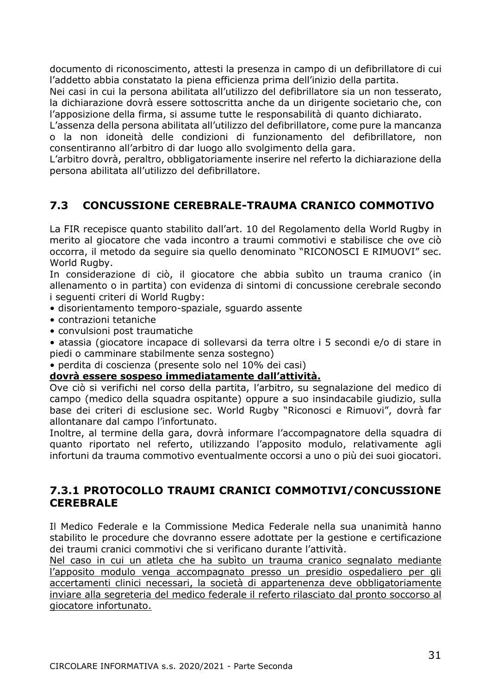documento di riconoscimento, attesti la presenza in campo di un defibrillatore di cui l'addetto abbia constatato la piena efficienza prima dell'inizio della partita.

Nei casi in cui la persona abilitata all'utilizzo del defibrillatore sia un non tesserato, la dichiarazione dovrà essere sottoscritta anche da un dirigente societario che, con l'apposizione della firma, si assume tutte le responsabilità di quanto dichiarato.

L'assenza della persona abilitata all'utilizzo del defibrillatore, come pure la mancanza o la non idoneità delle condizioni di funzionamento del defibrillatore, non consentiranno all'arbitro di dar luogo allo svolgimento della gara.

L'arbitro dovrà, peraltro, obbligatoriamente inserire nel referto la dichiarazione della persona abilitata all'utilizzo del defibrillatore.

## <span id="page-30-0"></span>**7.3 CONCUSSIONE CEREBRALE-TRAUMA CRANICO COMMOTIVO**

La FIR recepisce quanto stabilito dall'art. 10 del Regolamento della World Rugby in merito al giocatore che vada incontro a traumi commotivi e stabilisce che ove ciò occorra, il metodo da seguire sia quello denominato "RICONOSCI E RIMUOVI" sec. World Rugby.

In considerazione di ciò, il giocatore che abbia subìto un trauma cranico (in allenamento o in partita) con evidenza di sintomi di concussione cerebrale secondo i seguenti criteri di World Rugby:

- disorientamento temporo-spaziale, sguardo assente
- contrazioni tetaniche
- convulsioni post traumatiche
- atassia (giocatore incapace di sollevarsi da terra oltre i 5 secondi e/o di stare in piedi o camminare stabilmente senza sostegno)
- perdita di coscienza (presente solo nel 10% dei casi)

## **dovrà essere sospeso immediatamente dall'attività.**

Ove ciò si verifichi nel corso della partita, l'arbitro, su segnalazione del medico di campo (medico della squadra ospitante) oppure a suo insindacabile giudizio, sulla base dei criteri di esclusione sec. World Rugby "Riconosci e Rimuovi", dovrà far allontanare dal campo l'infortunato.

Inoltre, al termine della gara, dovrà informare l'accompagnatore della squadra di quanto riportato nel referto, utilizzando l'apposito modulo, relativamente agli infortuni da trauma commotivo eventualmente occorsi a uno o più dei suoi giocatori.

## <span id="page-30-1"></span>**7.3.1 PROTOCOLLO TRAUMI CRANICI COMMOTIVI/CONCUSSIONE CEREBRALE**

Il Medico Federale e la Commissione Medica Federale nella sua unanimità hanno stabilito le procedure che dovranno essere adottate per la gestione e certificazione dei traumi cranici commotivi che si verificano durante l'attività.

Nel caso in cui un atleta che ha subìto un trauma cranico segnalato mediante l'apposito modulo venga accompagnato presso un presidio ospedaliero per gli accertamenti clinici necessari, la società di appartenenza deve obbligatoriamente inviare alla segreteria del medico federale il referto rilasciato dal pronto soccorso al giocatore infortunato.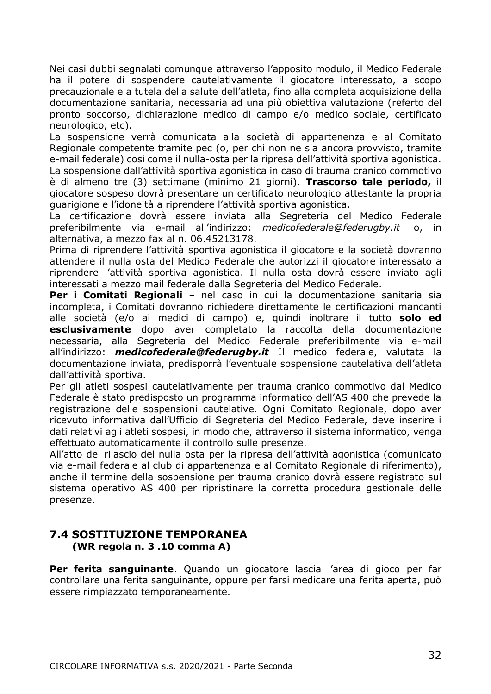Nei casi dubbi segnalati comunque attraverso l'apposito modulo, il Medico Federale ha il potere di sospendere cautelativamente il giocatore interessato, a scopo precauzionale e a tutela della salute dell'atleta, fino alla completa acquisizione della documentazione sanitaria, necessaria ad una più obiettiva valutazione (referto del pronto soccorso, dichiarazione medico di campo e/o medico sociale, certificato neurologico, etc).

La sospensione verrà comunicata alla società di appartenenza e al Comitato Regionale competente tramite pec (o, per chi non ne sia ancora provvisto, tramite e-mail federale) così come il nulla-osta per la ripresa dell'attività sportiva agonistica. La sospensione dall'attività sportiva agonistica in caso di trauma cranico commotivo è di almeno tre (3) settimane (minimo 21 giorni). **Trascorso tale periodo,** il giocatore sospeso dovrà presentare un certificato neurologico attestante la propria guarigione e l'idoneità a riprendere l'attività sportiva agonistica.

La certificazione dovrà essere inviata alla Segreteria del Medico Federale preferibilmente via e-mail all'indirizzo: *[medicofederale@federugby.it](mailto:federale@federugby.it)* o, in alternativa, a mezzo fax al n. 06.45213178.

Prima di riprendere l'attività sportiva agonistica il giocatore e la società dovranno attendere il nulla osta del Medico Federale che autorizzi il giocatore interessato a riprendere l'attività sportiva agonistica. Il nulla osta dovrà essere inviato agli interessati a mezzo mail federale dalla Segreteria del Medico Federale.

**Per i Comitati Regionali** – nel caso in cui la documentazione sanitaria sia incompleta, i Comitati dovranno richiedere direttamente le certificazioni mancanti alle società (e/o ai medici di campo) e, quindi inoltrare il tutto **solo ed esclusivamente** dopo aver completato la raccolta della documentazione necessaria, alla Segreteria del Medico Federale preferibilmente via e-mail all'indirizzo: *[medicofederale@federugby.it](mailto:medicofederale@federugby.it)* Il medico federale, valutata la documentazione inviata, predisporrà l'eventuale sospensione cautelativa dell'atleta dall'attività sportiva.

Per gli atleti sospesi cautelativamente per trauma cranico commotivo dal Medico Federale è stato predisposto un programma informatico dell'AS 400 che prevede la registrazione delle sospensioni cautelative. Ogni Comitato Regionale, dopo aver ricevuto informativa dall'Ufficio di Segreteria del Medico Federale, deve inserire i dati relativi agli atleti sospesi, in modo che, attraverso il sistema informatico, venga effettuato automaticamente il controllo sulle presenze.

All'atto del rilascio del nulla osta per la ripresa dell'attività agonistica (comunicato via e-mail federale al club di appartenenza e al Comitato Regionale di riferimento), anche il termine della sospensione per trauma cranico dovrà essere registrato sul sistema operativo AS 400 per ripristinare la corretta procedura gestionale delle presenze.

## <span id="page-31-0"></span>**7.4 SOSTITUZIONE TEMPORANEA (WR regola n. 3 .10 comma A)**

**Per ferita sanguinante**. Quando un giocatore lascia l'area di gioco per far controllare una ferita sanguinante, oppure per farsi medicare una ferita aperta, può essere rimpiazzato temporaneamente.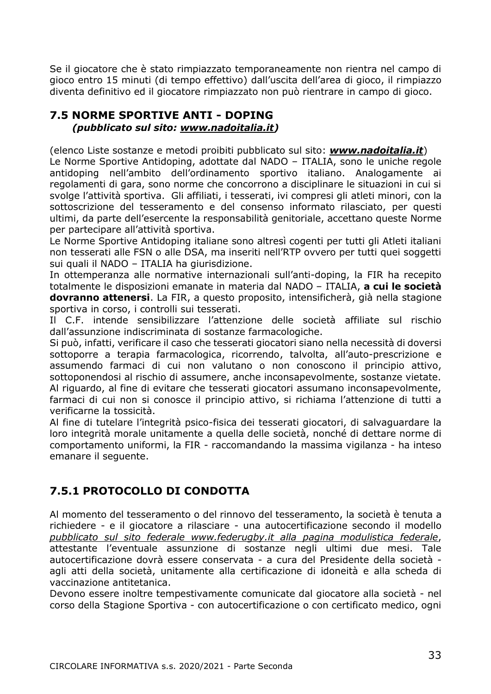Se il giocatore che è stato rimpiazzato temporaneamente non rientra nel campo di gioco entro 15 minuti (di tempo effettivo) dall'uscita dell'area di gioco, il rimpiazzo diventa definitivo ed il giocatore rimpiazzato non può rientrare in campo di gioco.

## <span id="page-32-0"></span>**7.5 NORME SPORTIVE ANTI - DOPING**  *(pubblicato sul sito: www.nadoitalia.it)*

(elenco Liste sostanze e metodi proibiti pubblicato sul sito: *[www.nadoitalia.it](http://www.nadoitalia.it/)*) Le Norme Sportive Antidoping, adottate dal NADO – ITALIA, sono le uniche regole antidoping nell'ambito dell'ordinamento sportivo italiano. Analogamente ai regolamenti di gara, sono norme che concorrono a disciplinare le situazioni in cui si svolge l'attività sportiva. Gli affiliati, i tesserati, ivi compresi gli atleti minori, con la sottoscrizione del tesseramento e del consenso informato rilasciato, per questi ultimi, da parte dell'esercente la responsabilità genitoriale, accettano queste Norme per partecipare all'attività sportiva.

Le Norme Sportive Antidoping italiane sono altresì cogenti per tutti gli Atleti italiani non tesserati alle FSN o alle DSA, ma inseriti nell'RTP ovvero per tutti quei soggetti sui quali il NADO – ITALIA ha giurisdizione.

In ottemperanza alle normative internazionali sull'anti-doping, la FIR ha recepito totalmente le disposizioni emanate in materia dal NADO – ITALIA, **a cui le società dovranno attenersi**. La FIR, a questo proposito, intensificherà, già nella stagione sportiva in corso, i controlli sui tesserati.

Il C.F. intende sensibilizzare l'attenzione delle società affiliate sul rischio dall'assunzione indiscriminata di sostanze farmacologiche.

Si può, infatti, verificare il caso che tesserati giocatori siano nella necessità di doversi sottoporre a terapia farmacologica, ricorrendo, talvolta, all'auto-prescrizione e assumendo farmaci di cui non valutano o non conoscono il principio attivo, sottoponendosi al rischio di assumere, anche inconsapevolmente, sostanze vietate. Al riguardo, al fine di evitare che tesserati giocatori assumano inconsapevolmente, farmaci di cui non si conosce il principio attivo, si richiama l'attenzione di tutti a verificarne la tossicità.

Al fine di tutelare l'integrità psico-fisica dei tesserati giocatori, di salvaguardare la loro integrità morale unitamente a quella delle società, nonché di dettare norme di comportamento uniformi, la FIR - raccomandando la massima vigilanza - ha inteso emanare il seguente.

## <span id="page-32-1"></span>**7.5.1 PROTOCOLLO DI CONDOTTA**

Al momento del tesseramento o del rinnovo del tesseramento, la società è tenuta a richiedere - e il giocatore a rilasciare - una autocertificazione secondo il modello *pubblicato sul sito federale www.federugby.it alla pagina modulistica federale*, attestante l'eventuale assunzione di sostanze negli ultimi due mesi. Tale autocertificazione dovrà essere conservata - a cura del Presidente della società agli atti della società, unitamente alla certificazione di idoneità e alla scheda di vaccinazione antitetanica.

Devono essere inoltre tempestivamente comunicate dal giocatore alla società - nel corso della Stagione Sportiva - con autocertificazione o con certificato medico, ogni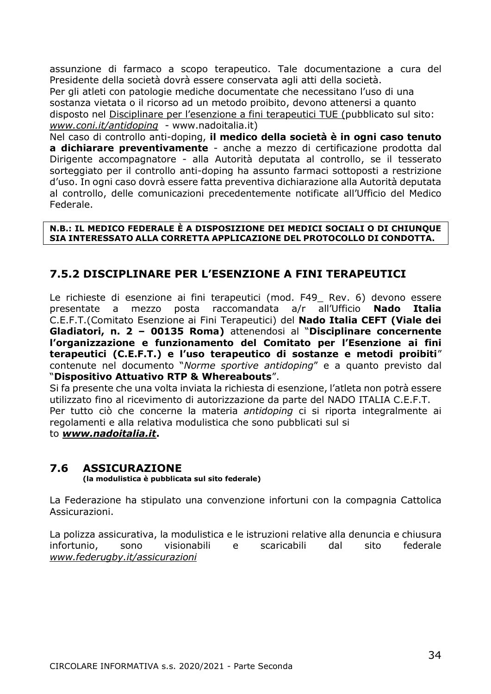assunzione di farmaco a scopo terapeutico. Tale documentazione a cura del Presidente della società dovrà essere conservata agli atti della società.

Per gli atleti con patologie mediche documentate che necessitano l'uso di una sostanza vietata o il ricorso ad un metodo proibito, devono attenersi a quanto disposto nel Disciplinare per l'esenzione a fini terapeutici TUE (pubblicato sul sito: *[www.coni.it/antidoping](http://www.coni.it/antidoping)* - www.nadoitalia.it)

Nel caso di controllo anti-doping, **il medico della società è in ogni caso tenuto a dichiarare preventivamente** - anche a mezzo di certificazione prodotta dal Dirigente accompagnatore - alla Autorità deputata al controllo, se il tesserato sorteggiato per il controllo anti-doping ha assunto farmaci sottoposti a restrizione d'uso. In ogni caso dovrà essere fatta preventiva dichiarazione alla Autorità deputata al controllo, delle comunicazioni precedentemente notificate all'Ufficio del Medico Federale.

#### **N.B.: IL MEDICO FEDERALE È A DISPOSIZIONE DEI MEDICI SOCIALI O DI CHIUNQUE SIA INTERESSATO ALLA CORRETTA APPLICAZIONE DEL PROTOCOLLO DI CONDOTTA.**

## <span id="page-33-0"></span>**7.5.2 DISCIPLINARE PER L'ESENZIONE A FINI TERAPEUTICI**

Le richieste di esenzione ai fini terapeutici (mod. F49 Rev. 6) devono essere presentate a mezzo posta raccomandata a/r all'Ufficio **Nado Italia**  C.E.F.T.(Comitato Esenzione ai Fini Terapeutici) del **Nado Italia CEFT (Viale dei Gladiatori, n. 2 – 00135 Roma)** attenendosi al "**Disciplinare concernente l'organizzazione e funzionamento del Comitato per l'Esenzione ai fini terapeutici (C.E.F.T.) e l'uso terapeutico di sostanze e metodi proibiti**" contenute nel documento "*Norme sportive antidoping*" e a quanto previsto dal "**Dispositivo Attuativo RTP & Whereabouts**".

Si fa presente che una volta inviata la richiesta di esenzione, l'atleta non potrà essere utilizzato fino al ricevimento di autorizzazione da parte del NADO ITALIA C.E.F.T. Per tutto ciò che concerne la materia *antidoping* ci si riporta integralmente ai regolamenti e alla relativa modulistica che sono pubblicati sul si to *[www.nadoitalia.it](http://www.nadoitalia.it/)***.**

## <span id="page-33-1"></span>**7.6 ASSICURAZIONE**

**(la modulistica è pubblicata sul sito federale)**

La Federazione ha stipulato una convenzione infortuni con la compagnia Cattolica Assicurazioni.

La polizza assicurativa, la modulistica e le istruzioni relative alla denuncia e chiusura infortunio, sono visionabili e scaricabili dal sito federale *[www.federugby.it/assicurazioni](http://www.federugby.it/assicurazioni)*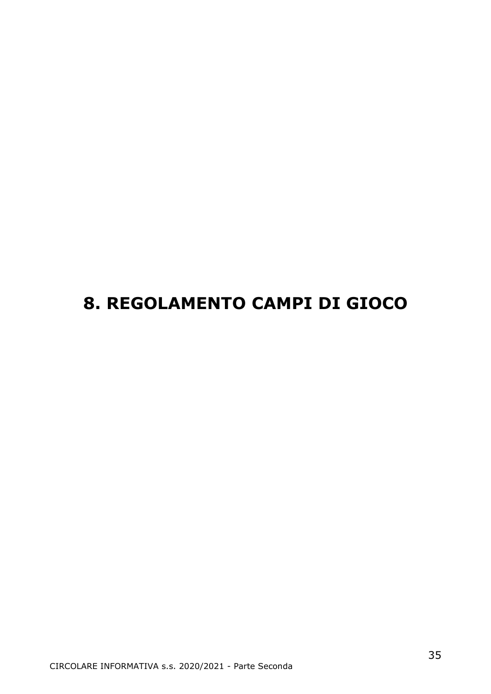# **8. REGOLAMENTO CAMPI DI GIOCO**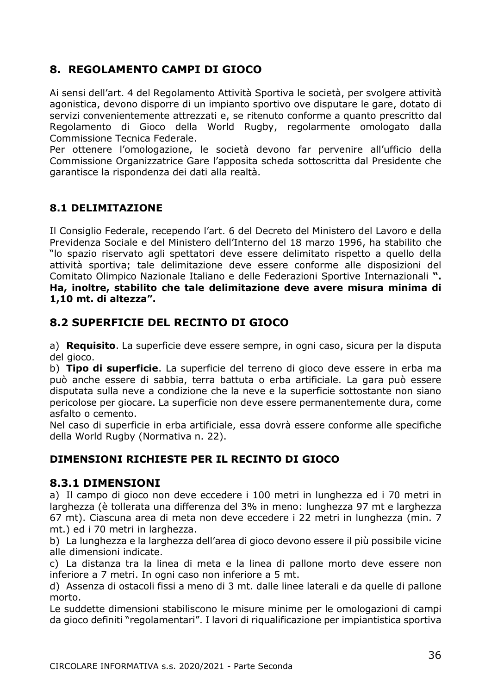## <span id="page-35-0"></span>**8. REGOLAMENTO CAMPI DI GIOCO**

Ai sensi dell'art. 4 del Regolamento Attività Sportiva le società, per svolgere attività agonistica, devono disporre di un impianto sportivo ove disputare le gare, dotato di servizi convenientemente attrezzati e, se ritenuto conforme a quanto prescritto dal Regolamento di Gioco della World Rugby, regolarmente omologato dalla Commissione Tecnica Federale.

Per ottenere l'omologazione, le società devono far pervenire all'ufficio della Commissione Organizzatrice Gare l'apposita scheda sottoscritta dal Presidente che garantisce la rispondenza dei dati alla realtà.

## <span id="page-35-1"></span>**8.1 DELIMITAZIONE**

Il Consiglio Federale, recependo l'art. 6 del Decreto del Ministero del Lavoro e della Previdenza Sociale e del Ministero dell'Interno del 18 marzo 1996, ha stabilito che "lo spazio riservato agli spettatori deve essere delimitato rispetto a quello della attività sportiva; tale delimitazione deve essere conforme alle disposizioni del Comitato Olimpico Nazionale Italiano e delle Federazioni Sportive Internazionali **". Ha, inoltre, stabilito che tale delimitazione deve avere misura minima di 1,10 mt. di altezza".**

## <span id="page-35-2"></span>**8.2 SUPERFICIE DEL RECINTO DI GIOCO**

a) **Requisito**. La superficie deve essere sempre, in ogni caso, sicura per la disputa del gioco.

b) **Tipo di superficie**. La superficie del terreno di gioco deve essere in erba ma può anche essere di sabbia, terra battuta o erba artificiale. La gara può essere disputata sulla neve a condizione che la neve e la superficie sottostante non siano pericolose per giocare. La superficie non deve essere permanentemente dura, come asfalto o cemento.

Nel caso di superficie in erba artificiale, essa dovrà essere conforme alle specifiche della World Rugby (Normativa n. 22).

## **DIMENSIONI RICHIESTE PER IL RECINTO DI GIOCO**

## <span id="page-35-3"></span>**8.3.1 DIMENSIONI**

a) Il campo di gioco non deve eccedere i 100 metri in lunghezza ed i 70 metri in larghezza (è tollerata una differenza del 3% in meno: lunghezza 97 mt e larghezza 67 mt). Ciascuna area di meta non deve eccedere i 22 metri in lunghezza (min. 7 mt.) ed i 70 metri in larghezza.

b) La lunghezza e la larghezza dell'area di gioco devono essere il più possibile vicine alle dimensioni indicate.

c) La distanza tra la linea di meta e la linea di pallone morto deve essere non inferiore a 7 metri. In ogni caso non inferiore a 5 mt.

d) Assenza di ostacoli fissi a meno di 3 mt. dalle linee laterali e da quelle di pallone morto.

Le suddette dimensioni stabiliscono le misure minime per le omologazioni di campi da gioco definiti "regolamentari". I lavori di riqualificazione per impiantistica sportiva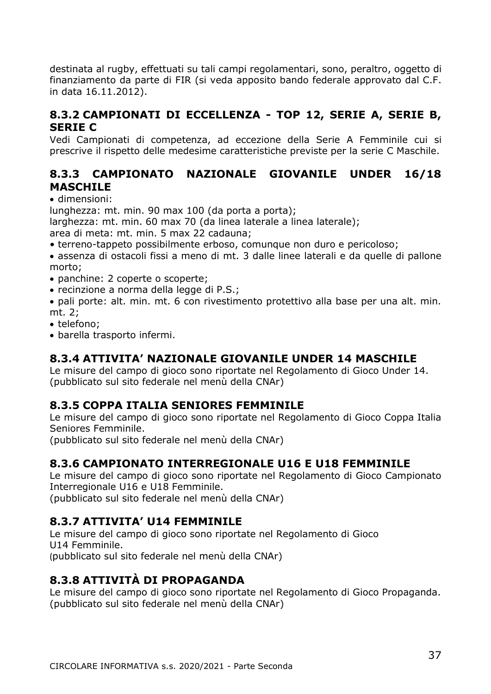destinata al rugby, effettuati su tali campi regolamentari, sono, peraltro, oggetto di finanziamento da parte di FIR (si veda apposito bando federale approvato dal C.F. in data 16.11.2012).

## **8.3.2 CAMPIONATI DI ECCELLENZA - TOP 12, SERIE A, SERIE B, SERIE C**

Vedi Campionati di competenza, ad eccezione della Serie A Femminile cui si prescrive il rispetto delle medesime caratteristiche previste per la serie C Maschile.

## **8.3.3 CAMPIONATO NAZIONALE GIOVANILE UNDER 16/18 MASCHILE**

• dimensioni:

lunghezza: mt. min. 90 max 100 (da porta a porta);

larghezza: mt. min. 60 max 70 (da linea laterale a linea laterale);

area di meta: mt. min. 5 max 22 cadauna;

- terreno-tappeto possibilmente erboso, comunque non duro e pericoloso;
- assenza di ostacoli fissi a meno di mt. 3 dalle linee laterali e da quelle di pallone morto;
- panchine: 2 coperte o scoperte;
- recinzione a norma della legge di P.S.;
- pali porte: alt. min. mt. 6 con rivestimento protettivo alla base per una alt. min. mt. 2;
- telefono;
- barella trasporto infermi.

## **8.3.4 ATTIVITA' NAZIONALE GIOVANILE UNDER 14 MASCHILE**

Le misure del campo di gioco sono riportate nel Regolamento di Gioco Under 14. (pubblicato sul sito federale nel menù della CNAr)

## **8.3.5 COPPA ITALIA SENIORES FEMMINILE**

Le misure del campo di gioco sono riportate nel Regolamento di Gioco Coppa Italia Seniores Femminile.

(pubblicato sul sito federale nel menù della CNAr)

## **8.3.6 CAMPIONATO INTERREGIONALE U16 E U18 FEMMINILE**

Le misure del campo di gioco sono riportate nel Regolamento di Gioco Campionato Interregionale U16 e U18 Femminile.

(pubblicato sul sito federale nel menù della CNAr)

### **8.3.7 ATTIVITA' U14 FEMMINILE**

Le misure del campo di gioco sono riportate nel Regolamento di Gioco U14 Femminile. (pubblicato sul sito federale nel menù della CNAr)

## **8.3.8 ATTIVITÀ DI PROPAGANDA**

Le misure del campo di gioco sono riportate nel Regolamento di Gioco Propaganda. (pubblicato sul sito federale nel menù della CNAr)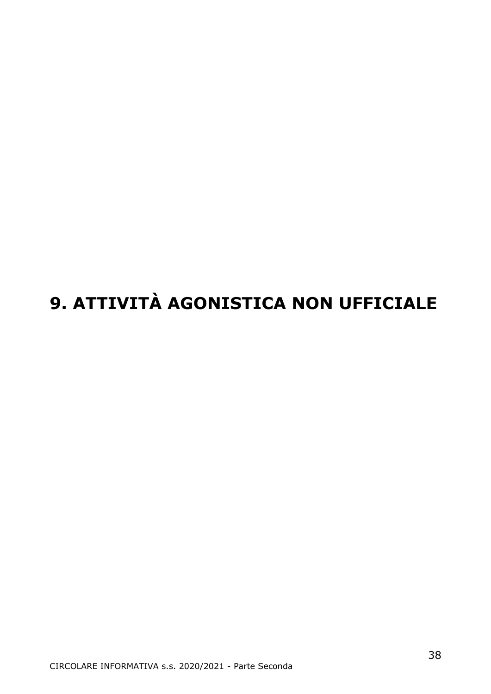# **9. ATTIVITÀ AGONISTICA NON UFFICIALE**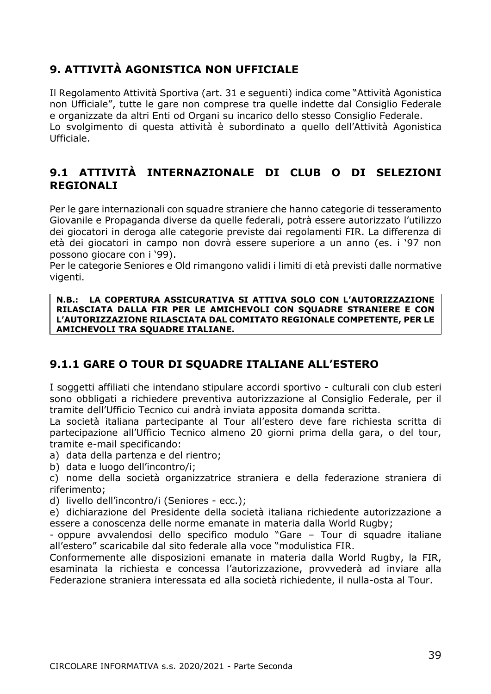## **9. ATTIVITÀ AGONISTICA NON UFFICIALE**

Il Regolamento Attività Sportiva (art. 31 e seguenti) indica come "Attività Agonistica non Ufficiale", tutte le gare non comprese tra quelle indette dal Consiglio Federale e organizzate da altri Enti od Organi su incarico dello stesso Consiglio Federale. Lo svolgimento di questa attività è subordinato a quello dell'Attività Agonistica Ufficiale.

## **9.1 ATTIVITÀ INTERNAZIONALE DI CLUB O DI SELEZIONI REGIONALI**

Per le gare internazionali con squadre straniere che hanno categorie di tesseramento Giovanile e Propaganda diverse da quelle federali, potrà essere autorizzato l'utilizzo dei giocatori in deroga alle categorie previste dai regolamenti FIR. La differenza di età dei giocatori in campo non dovrà essere superiore a un anno (es. i '97 non possono giocare con i '99).

Per le categorie Seniores e Old rimangono validi i limiti di età previsti dalle normative vigenti.

**N.B.: LA COPERTURA ASSICURATIVA SI ATTIVA SOLO CON L'AUTORIZZAZIONE RILASCIATA DALLA FIR PER LE AMICHEVOLI CON SQUADRE STRANIERE E CON L'AUTORIZZAZIONE RILASCIATA DAL COMITATO REGIONALE COMPETENTE, PER LE AMICHEVOLI TRA SQUADRE ITALIANE.**

## **9.1.1 GARE O TOUR DI SQUADRE ITALIANE ALL'ESTERO**

I soggetti affiliati che intendano stipulare accordi sportivo - culturali con club esteri sono obbligati a richiedere preventiva autorizzazione al Consiglio Federale, per il tramite dell'Ufficio Tecnico cui andrà inviata apposita domanda scritta.

La società italiana partecipante al Tour all'estero deve fare richiesta scritta di partecipazione all'Ufficio Tecnico almeno 20 giorni prima della gara, o del tour, tramite e-mail specificando:

a) data della partenza e del rientro;

b) data e luogo dell'incontro/i;

c) nome della società organizzatrice straniera e della federazione straniera di riferimento;

d) livello dell'incontro/i (Seniores - ecc.);

e) dichiarazione del Presidente della società italiana richiedente autorizzazione a essere a conoscenza delle norme emanate in materia dalla World Rugby;

- oppure avvalendosi dello specifico modulo "Gare – Tour di squadre italiane all'estero" scaricabile dal sito federale alla voce "modulistica FIR.

Conformemente alle disposizioni emanate in materia dalla World Rugby, la FIR, esaminata la richiesta e concessa l'autorizzazione, provvederà ad inviare alla Federazione straniera interessata ed alla società richiedente, il nulla-osta al Tour.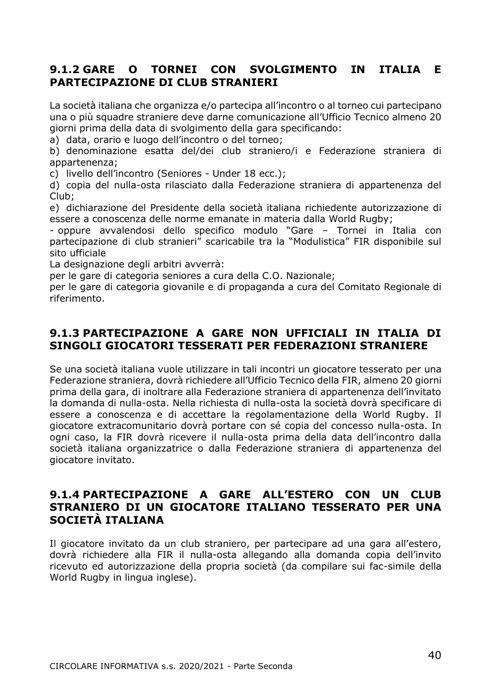## **9.1.2 GARE O TORNEI CON SVOLGIMENTO IN ITALIA E PARTECIPAZIONE DI CLUB STRANIERI**

La società italiana che organizza e/o partecipa all'incontro o al torneo cui partecipano una o più squadre straniere deve darne comunicazione all'Ufficio Tecnico almeno 20 giorni prima della data di svolgimento della gara specificando:

a) data, orario e luogo dell'incontro o del torneo;

b) denominazione esatta del/dei club straniero/i e Federazione straniera di appartenenza;

c) livello dell'incontro (Seniores - Under 18 ecc.);

d) copia del nulla-osta rilasciato dalla Federazione straniera di appartenenza del Club;

e) dichiarazione del Presidente della società italiana richiedente autorizzazione di essere a conoscenza delle norme emanate in materia dalla World Rugby;

- oppure avvalendosi dello specifico modulo "Gare – Tornei in Italia con partecipazione di club stranieri" scaricabile tra la "Modulistica" FIR disponibile sul sito ufficiale

La designazione degli arbitri avverrà:

per le gare di categoria seniores a cura della C.O. Nazionale;

per le gare di categoria giovanile e di propaganda a cura del Comitato Regionale di riferimento.

## **9.1.3 PARTECIPAZIONE A GARE NON UFFICIALI IN ITALIA DI SINGOLI GIOCATORI TESSERATI PER FEDERAZIONI STRANIERE**

Se una società italiana vuole utilizzare in tali incontri un giocatore tesserato per una Federazione straniera, dovrà richiedere all'Ufficio Tecnico della FIR, almeno 20 giorni prima della gara, di inoltrare alla Federazione straniera di appartenenza dell'invitato la domanda di nulla-osta. Nella richiesta di nulla-osta la società dovrà specificare di essere a conoscenza e di accettare la regolamentazione della World Rugby. Il giocatore extracomunitario dovrà portare con sé copia del concesso nulla-osta. In ogni caso, la FIR dovrà ricevere il nulla-osta prima della data dell'incontro dalla società italiana organizzatrice o dalla Federazione straniera di appartenenza del giocatore invitato.

### **9.1.4 PARTECIPAZIONE A GARE ALL'ESTERO CON UN CLUB STRANIERO DI UN GIOCATORE ITALIANO TESSERATO PER UNA SOCIETÀ ITALIANA**

Il giocatore invitato da un club straniero, per partecipare ad una gara all'estero, dovrà richiedere alla FIR il nulla-osta allegando alla domanda copia dell'invito ricevuto ed autorizzazione della propria società (da compilare sui fac-simile della World Rugby in lingua inglese).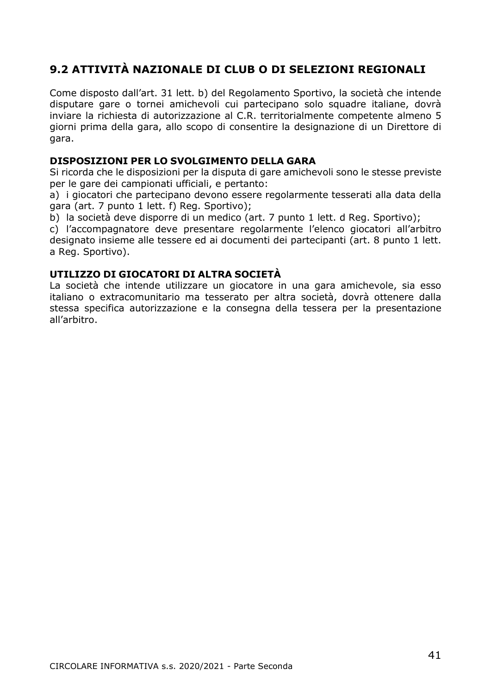## **9.2 ATTIVITÀ NAZIONALE DI CLUB O DI SELEZIONI REGIONALI**

Come disposto dall'art. 31 lett. b) del Regolamento Sportivo, la società che intende disputare gare o tornei amichevoli cui partecipano solo squadre italiane, dovrà inviare la richiesta di autorizzazione al C.R. territorialmente competente almeno 5 giorni prima della gara, allo scopo di consentire la designazione di un Direttore di gara.

#### **DISPOSIZIONI PER LO SVOLGIMENTO DELLA GARA**

Si ricorda che le disposizioni per la disputa di gare amichevoli sono le stesse previste per le gare dei campionati ufficiali, e pertanto:

a) i giocatori che partecipano devono essere regolarmente tesserati alla data della gara (art. 7 punto 1 lett. f) Reg. Sportivo);

b) la società deve disporre di un medico (art. 7 punto 1 lett. d Reg. Sportivo);

c) l'accompagnatore deve presentare regolarmente l'elenco giocatori all'arbitro designato insieme alle tessere ed ai documenti dei partecipanti (art. 8 punto 1 lett. a Reg. Sportivo).

#### **UTILIZZO DI GIOCATORI DI ALTRA SOCIETÀ**

La società che intende utilizzare un giocatore in una gara amichevole, sia esso italiano o extracomunitario ma tesserato per altra società, dovrà ottenere dalla stessa specifica autorizzazione e la consegna della tessera per la presentazione all'arbitro.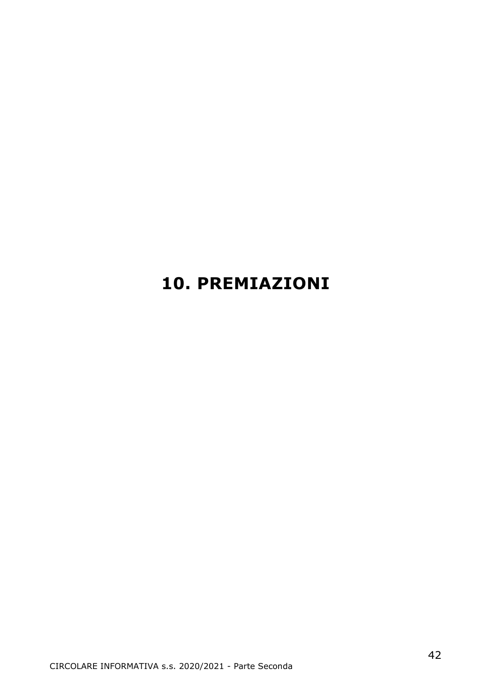## **10. PREMIAZIONI**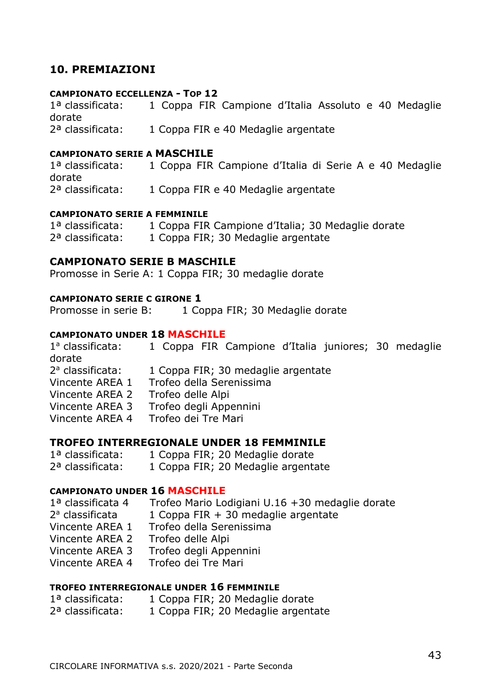### **10. PREMIAZIONI**

#### **CAMPIONATO ECCELLENZA - TOP 12**

1ª classificata: 1 Coppa FIR Campione d'Italia Assoluto e 40 Medaglie dorate 2ª classificata: 1 Coppa FIR e 40 Medaglie argentate

#### **CAMPIONATO SERIE A MASCHILE**

1ª classificata: 1 Coppa FIR Campione d'Italia di Serie A e 40 Medaglie dorate 2ª classificata: 1 Coppa FIR e 40 Medaglie argentate

#### **CAMPIONATO SERIE A FEMMINILE**

| 1 <sup>a</sup> classificata: | 1 Coppa FIR Campione d'Italia; 30 Medaglie dorate |
|------------------------------|---------------------------------------------------|
| 2 <sup>a</sup> classificata: | 1 Coppa FIR; 30 Medaglie argentate                |

#### **CAMPIONATO SERIE B MASCHILE**

Promosse in Serie A: 1 Coppa FIR; 30 medaglie dorate

#### **CAMPIONATO SERIE C GIRONE 1**

Promosse in serie B: 1 Coppa FIR; 30 Medaglie dorate

#### **CAMPIONATO UNDER 18 MASCHILE**

1ª classificata: 1 Coppa FIR Campione d'Italia juniores; 30 medaglie dorate 2ª classificata: 1 Coppa FIR; 30 medaglie argentate Vincente AREA 1 Trofeo della Serenissima Vincente AREA 2 Trofeo delle Alpi Vincente AREA 3 Trofeo degli Appennini Vincente AREA 4 Trofeo dei Tre Mari

#### **TROFEO INTERREGIONALE UNDER 18 FEMMINILE**

1ª classificata: 1 Coppa FIR; 20 Medaglie dorate 2ª classificata: 1 Coppa FIR; 20 Medaglie argentate

#### **CAMPIONATO UNDER 16 MASCHILE**

| 1ª classificata 4 | Trofeo Mario Lodigiani U.16 +30 medaglie dorate |
|-------------------|-------------------------------------------------|
| 2ª classificata   | 1 Coppa FIR + 30 medaglie argentate             |
| Vincente AREA 1   | Trofeo della Serenissima                        |
| Vincente AREA 2   | Trofeo delle Alpi                               |
| Vincente AREA 3   | Trofeo degli Appennini                          |
| Vincente AREA 4   | Trofeo dei Tre Mari                             |

#### **TROFEO INTERREGIONALE UNDER 16 FEMMINILE**

| 1ª classificata: | 1 Coppa FIR; 20 Medaglie dorate    |
|------------------|------------------------------------|
| 2ª classificata: | 1 Coppa FIR; 20 Medaglie argentate |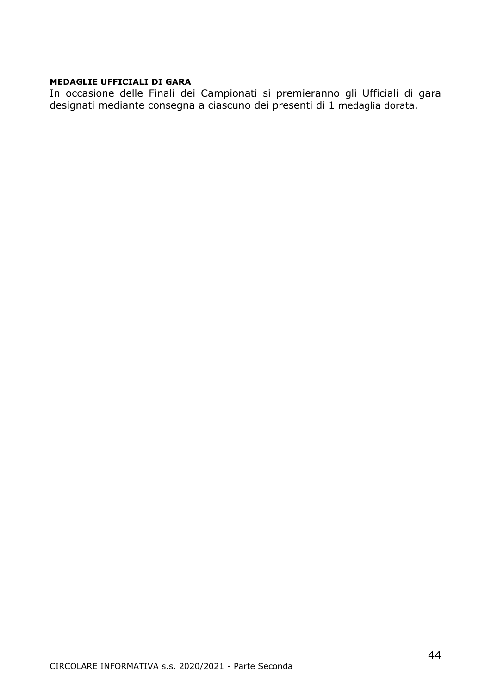#### **MEDAGLIE UFFICIALI DI GARA**

In occasione delle Finali dei Campionati si premieranno gli Ufficiali di gara designati mediante consegna a ciascuno dei presenti di 1 medaglia dorata.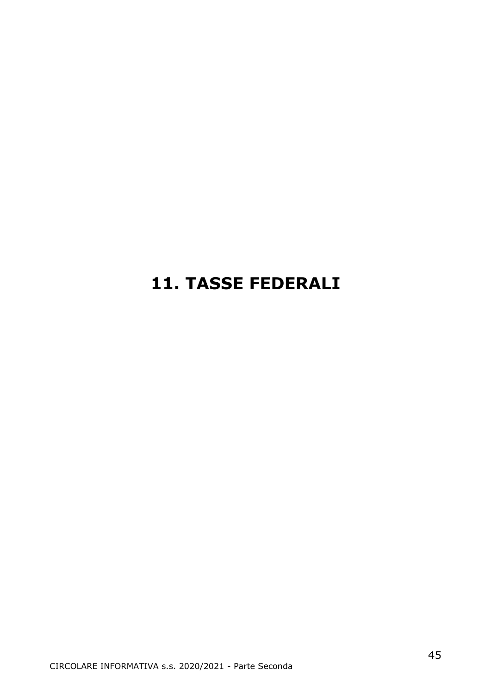## **11. TASSE FEDERALI**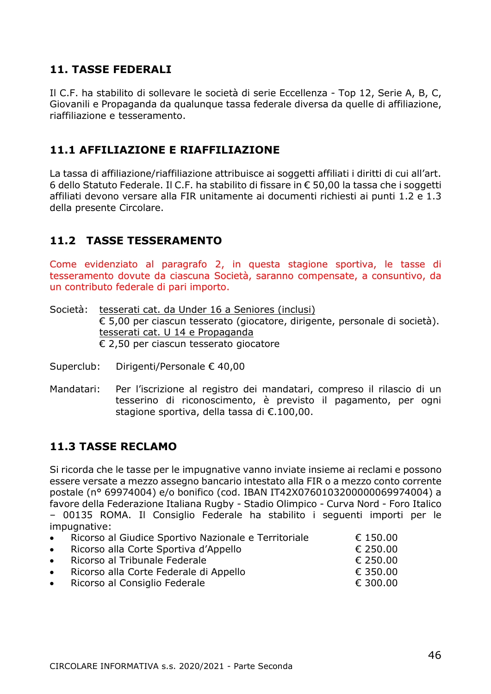## **11. TASSE FEDERALI**

Il C.F. ha stabilito di sollevare le società di serie Eccellenza - Top 12, Serie A, B, C, Giovanili e Propaganda da qualunque tassa federale diversa da quelle di affiliazione, riaffiliazione e tesseramento.

## **11.1 AFFILIAZIONE E RIAFFILIAZIONE**

La tassa di affiliazione/riaffiliazione attribuisce ai soggetti affiliati i diritti di cui all'art. 6 dello Statuto Federale. Il C.F. ha stabilito di fissare in € 50,00 la tassa che i soggetti affiliati devono versare alla FIR unitamente ai documenti richiesti ai punti 1.2 e 1.3 della presente Circolare.

## **11.2 TASSE TESSERAMENTO**

Come evidenziato al paragrafo 2, in questa stagione sportiva, le tasse di tesseramento dovute da ciascuna Società, saranno compensate, a consuntivo, da un contributo federale di pari importo.

Società: tesserati cat. da Under 16 a Seniores (inclusi) € 5,00 per ciascun tesserato (giocatore, dirigente, personale di società). tesserati cat. U 14 e Propaganda € 2,50 per ciascun tesserato giocatore

Superclub: Dirigenti/Personale € 40,00

Mandatari: Per l'iscrizione al registro dei mandatari, compreso il rilascio di un tesserino di riconoscimento, è previsto il pagamento, per ogni stagione sportiva, della tassa di €.100,00.

## **11.3 TASSE RECLAMO**

Si ricorda che le tasse per le impugnative vanno inviate insieme ai reclami e possono essere versate a mezzo assegno bancario intestato alla FIR o a mezzo conto corrente postale (n° 69974004) e/o bonifico (cod. IBAN IT42X0760103200000069974004) a favore della Federazione Italiana Rugby - Stadio Olimpico - Curva Nord - Foro Italico – 00135 ROMA. Il Consiglio Federale ha stabilito i seguenti importi per le impugnative:

| • Ricorso al Giudice Sportivo Nazionale e Territoriale | € 150.00 |
|--------------------------------------------------------|----------|
| • Ricorso alla Corte Sportiva d'Appello                | € 250.00 |
| • Ricorso al Tribunale Federale                        | € 250.00 |
| • Ricorso alla Corte Federale di Appello               | € 350.00 |
| • Ricorso al Consiglio Federale                        | € 300.00 |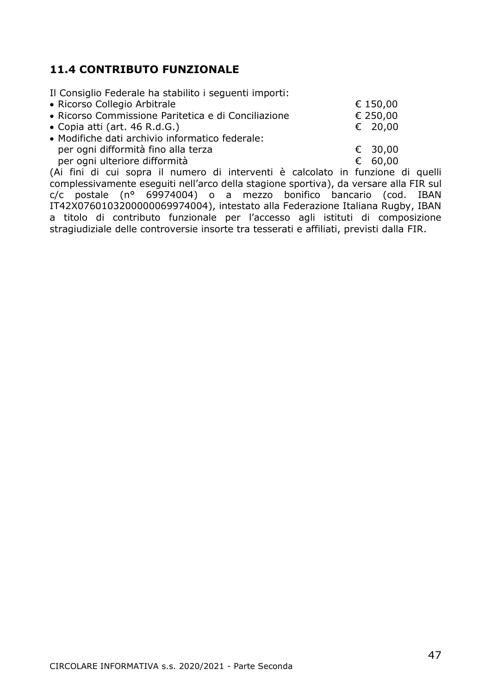## **11.4 CONTRIBUTO FUNZIONALE**

|  |  |  | Il Consiglio Federale ha stabilito i seguenti importi: |  |  |  |
|--|--|--|--------------------------------------------------------|--|--|--|
|--|--|--|--------------------------------------------------------|--|--|--|

| • Ricorso Collegio Arbitrale                                                                |  | € 150.00 |
|---------------------------------------------------------------------------------------------|--|----------|
| • Ricorso Commissione Paritetica e di Conciliazione                                         |  | € 250,00 |
| • Copia atti (art. 46 R.d.G.)                                                               |  | € 20.00  |
| • Modifiche dati archivio informatico federale:                                             |  |          |
| per ogni difformità fino alla terza                                                         |  | € 30.00  |
| per ogni ulteriore difformità                                                               |  | € 60.00  |
| 7.Ad Boot alt and against the consequence alt to be consequent of complete the Bootstand of |  |          |

(Ai fini di cui sopra il numero di interventi è calcolato in funzione di quelli complessivamente eseguiti nell'arco della stagione sportiva), da versare alla FIR sul  $c/c$  postale (n° 69974004) o a mezzo bonifico bancario (cod. IBAN IT42X0760103200000069974004), intestato alla Federazione Italiana Rugby, IBAN a titolo di contributo funzionale per l'accesso agli istituti di composizione stragiudiziale delle controversie insorte tra tesserati e affiliati, previsti dalla FIR.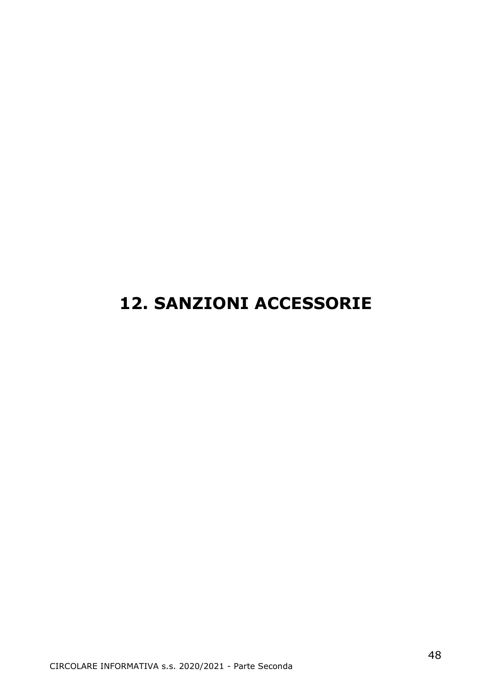## **12. SANZIONI ACCESSORIE**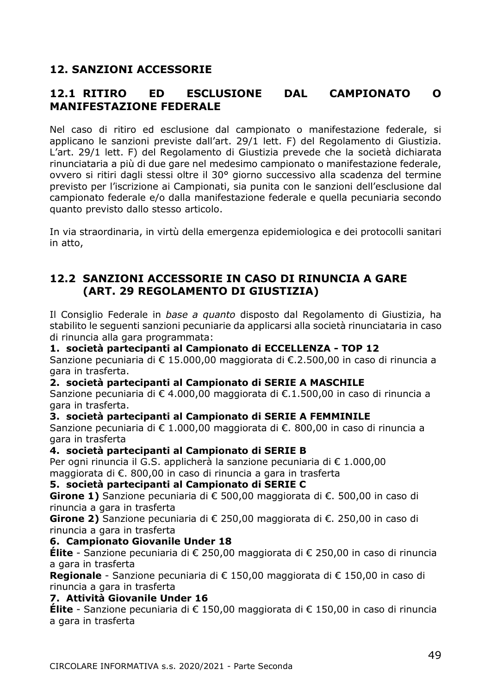## **12. SANZIONI ACCESSORIE**

## **12.1 RITIRO ED ESCLUSIONE DAL CAMPIONATO O MANIFESTAZIONE FEDERALE**

Nel caso di ritiro ed esclusione dal campionato o manifestazione federale, si applicano le sanzioni previste dall'art. 29/1 lett. F) del Regolamento di Giustizia. L'art. 29/1 lett. F) del Regolamento di Giustizia prevede che la società dichiarata rinunciataria a più di due gare nel medesimo campionato o manifestazione federale, ovvero si ritiri dagli stessi oltre il 30° giorno successivo alla scadenza del termine previsto per l'iscrizione ai Campionati, sia punita con le sanzioni dell'esclusione dal campionato federale e/o dalla manifestazione federale e quella pecuniaria secondo quanto previsto dallo stesso articolo.

In via straordinaria, in virtù della emergenza epidemiologica e dei protocolli sanitari in atto,

## **12.2 SANZIONI ACCESSORIE IN CASO DI RINUNCIA A GARE (ART. 29 REGOLAMENTO DI GIUSTIZIA)**

Il Consiglio Federale in *base a quanto* disposto dal Regolamento di Giustizia, ha stabilito le seguenti sanzioni pecuniarie da applicarsi alla società rinunciataria in caso di rinuncia alla gara programmata:

#### **1. società partecipanti al Campionato di ECCELLENZA - TOP 12**

Sanzione pecuniaria di € 15.000,00 maggiorata di €.2.500,00 in caso di rinuncia a gara in trasferta.

#### **2. società partecipanti al Campionato di SERIE A MASCHILE**

Sanzione pecuniaria di € 4.000,00 maggiorata di €.1.500,00 in caso di rinuncia a gara in trasferta.

#### **3. società partecipanti al Campionato di SERIE A FEMMINILE**

Sanzione pecuniaria di € 1.000,00 maggiorata di €. 800,00 in caso di rinuncia a gara in trasferta

#### **4. società partecipanti al Campionato di SERIE B**

Per ogni rinuncia il G.S. applicherà la sanzione pecuniaria di € 1.000,00 maggiorata di €. 800,00 in caso di rinuncia a gara in trasferta

#### **5. società partecipanti al Campionato di SERIE C**

**Girone 1)** Sanzione pecuniaria di € 500,00 maggiorata di €. 500,00 in caso di rinuncia a gara in trasferta

**Girone 2)** Sanzione pecuniaria di € 250,00 maggiorata di €. 250,00 in caso di rinuncia a gara in trasferta

#### **6. Campionato Giovanile Under 18**

**Élite** - Sanzione pecuniaria di € 250,00 maggiorata di € 250,00 in caso di rinuncia a gara in trasferta

**Regionale** - Sanzione pecuniaria di € 150,00 maggiorata di € 150,00 in caso di rinuncia a gara in trasferta

#### **7. Attività Giovanile Under 16**

**Élite** - Sanzione pecuniaria di € 150,00 maggiorata di € 150,00 in caso di rinuncia a gara in trasferta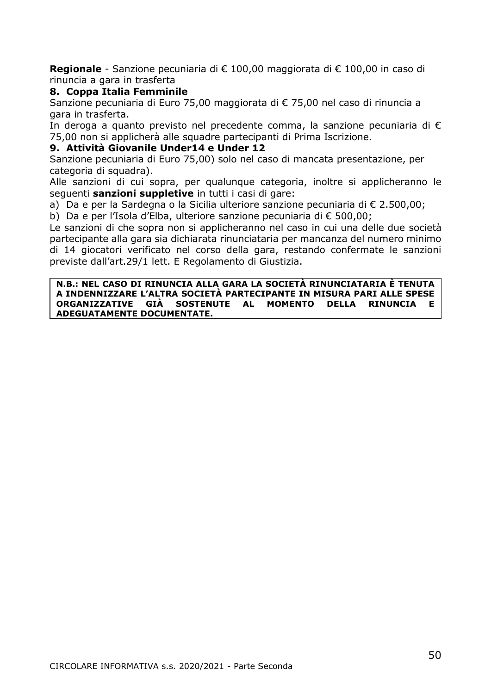**Regionale** - Sanzione pecuniaria di € 100,00 maggiorata di € 100,00 in caso di rinuncia a gara in trasferta

#### **8. Coppa Italia Femminile**

Sanzione pecuniaria di Euro 75,00 maggiorata di € 75,00 nel caso di rinuncia a gara in trasferta.

In deroga a quanto previsto nel precedente comma, la sanzione pecuniaria di € 75,00 non si applicherà alle squadre partecipanti di Prima Iscrizione.

#### **9. Attività Giovanile Under14 e Under 12**

Sanzione pecuniaria di Euro 75,00) solo nel caso di mancata presentazione, per categoria di squadra).

Alle sanzioni di cui sopra, per qualunque categoria, inoltre si applicheranno le seguenti **sanzioni suppletive** in tutti i casi di gare:

a) Da e per la Sardegna o la Sicilia ulteriore sanzione pecuniaria di € 2.500,00;

b) Da e per l'Isola d'Elba, ulteriore sanzione pecuniaria di € 500,00;

Le sanzioni di che sopra non si applicheranno nel caso in cui una delle due società partecipante alla gara sia dichiarata rinunciataria per mancanza del numero minimo di 14 giocatori verificato nel corso della gara, restando confermate le sanzioni previste dall'art.29/1 lett. E Regolamento di Giustizia.

#### **N.B.: NEL CASO DI RINUNCIA ALLA GARA LA SOCIETÀ RINUNCIATARIA È TENUTA A INDENNIZZARE L'ALTRA SOCIETÀ PARTECIPANTE IN MISURA PARI ALLE SPESE ORGANIZZATIVE GIÀ SOSTENUTE AL MOMENTO DELLA RINUNCIA E ADEGUATAMENTE DOCUMENTATE.**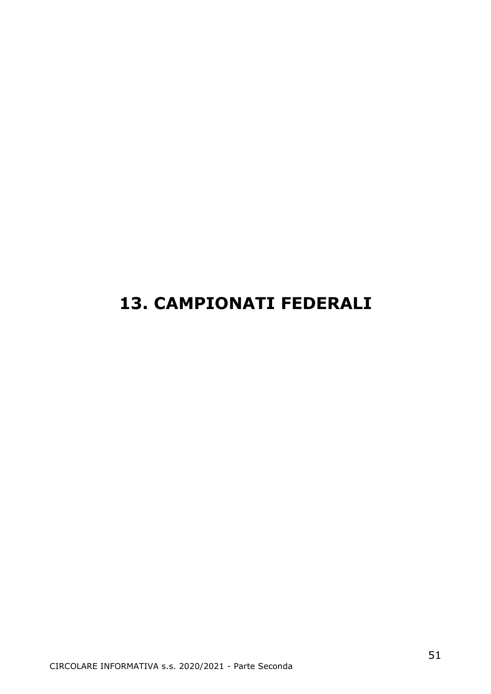## **13. CAMPIONATI FEDERALI**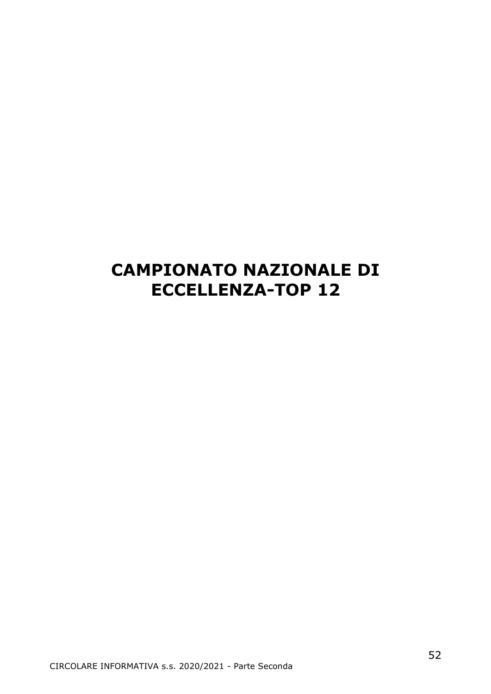## **CAMPIONATO NAZIONALE DI ECCELLENZA-TOP 12**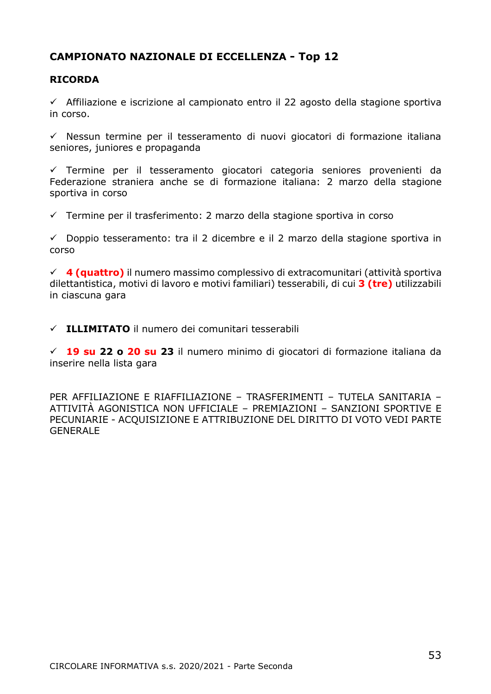### **CAMPIONATO NAZIONALE DI ECCELLENZA - Top 12**

#### **RICORDA**

 $\checkmark$  Affiliazione e iscrizione al campionato entro il 22 agosto della stagione sportiva in corso.

✓ Nessun termine per il tesseramento di nuovi giocatori di formazione italiana seniores, juniores e propaganda

✓ Termine per il tesseramento giocatori categoria seniores provenienti da Federazione straniera anche se di formazione italiana: 2 marzo della stagione sportiva in corso

 $\checkmark$  Termine per il trasferimento: 2 marzo della stagione sportiva in corso

 $\checkmark$  Doppio tesseramento: tra il 2 dicembre e il 2 marzo della stagione sportiva in corso

✓ **4 (quattro)** il numero massimo complessivo di extracomunitari (attività sportiva dilettantistica, motivi di lavoro e motivi familiari) tesserabili, di cui **3 (tre)** utilizzabili in ciascuna gara

✓ **ILLIMITATO** il numero dei comunitari tesserabili

✓ **19 su 22 o 20 su 23** il numero minimo di giocatori di formazione italiana da inserire nella lista gara

PER AFFILIAZIONE E RIAFFILIAZIONE – TRASFERIMENTI – TUTELA SANITARIA – ATTIVITÀ AGONISTICA NON UFFICIALE – PREMIAZIONI – SANZIONI SPORTIVE E PECUNIARIE - ACQUISIZIONE E ATTRIBUZIONE DEL DIRITTO DI VOTO VEDI PARTE GENERALE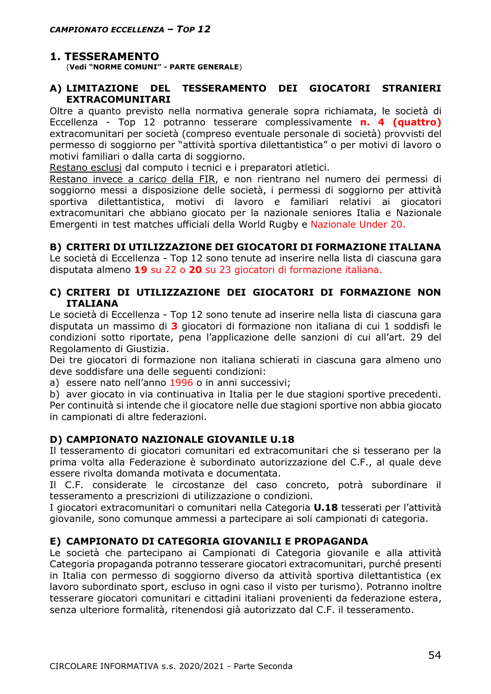## **1. TESSERAMENTO**

(**Vedi "NORME COMUNI" - PARTE GENERALE**)

#### **A) LIMITAZIONE DEL TESSERAMENTO DEI GIOCATORI STRANIERI EXTRACOMUNITARI**

Oltre a quanto previsto nella normativa generale sopra richiamata, le società di Eccellenza - Top 12 potranno tesserare complessivamente **n. 4 (quattro)** extracomunitari per società (compreso eventuale personale di società) provvisti del permesso di soggiorno per "attività sportiva dilettantistica" o per motivi di lavoro o motivi familiari o dalla carta di soggiorno.

Restano esclusi dal computo i tecnici e i preparatori atletici.

Restano invece a carico della FIR, e non rientrano nel numero dei permessi di soggiorno messi a disposizione delle società, i permessi di soggiorno per attività sportiva dilettantistica, motivi di lavoro e familiari relativi ai giocatori extracomunitari che abbiano giocato per la nazionale seniores Italia e Nazionale Emergenti in test matches ufficiali della World Rugby e Nazionale Under 20.

#### **B) CRITERI DI UTILIZZAZIONE DEI GIOCATORI DI FORMAZIONE ITALIANA**

Le società di Eccellenza - Top 12 sono tenute ad inserire nella lista di ciascuna gara disputata almeno **19** su 22 o **20** su 23 giocatori di formazione italiana.

#### **C) CRITERI DI UTILIZZAZIONE DEI GIOCATORI DI FORMAZIONE NON ITALIANA**

Le società di Eccellenza - Top 12 sono tenute ad inserire nella lista di ciascuna gara disputata un massimo di **3** giocatori di formazione non italiana di cui 1 soddisfi le condizioni sotto riportate, pena l'applicazione delle sanzioni di cui all'art. 29 del Regolamento di Giustizia.

Dei tre giocatori di formazione non italiana schierati in ciascuna gara almeno uno deve soddisfare una delle seguenti condizioni:

a) essere nato nell'anno 1996 o in anni successivi;

b) aver giocato in via continuativa in Italia per le due stagioni sportive precedenti. Per continuità si intende che il giocatore nelle due stagioni sportive non abbia giocato in campionati di altre federazioni.

#### **D) CAMPIONATO NAZIONALE GIOVANILE U.18**

Il tesseramento di giocatori comunitari ed extracomunitari che si tesserano per la prima volta alla Federazione è subordinato autorizzazione del C.F., al quale deve essere rivolta domanda motivata e documentata.

Il C.F. considerate le circostanze del caso concreto, potrà subordinare il tesseramento a prescrizioni di utilizzazione o condizioni.

I giocatori extracomunitari o comunitari nella Categoria **U.18** tesserati per l'attività giovanile, sono comunque ammessi a partecipare ai soli campionati di categoria.

#### **E) CAMPIONATO DI CATEGORIA GIOVANILI E PROPAGANDA**

Le società che partecipano ai Campionati di Categoria giovanile e alla attività Categoria propaganda potranno tesserare giocatori extracomunitari, purché presenti in Italia con permesso di soggiorno diverso da attività sportiva dilettantistica (ex lavoro subordinato sport, escluso in ogni caso il visto per turismo). Potranno inoltre tesserare giocatori comunitari e cittadini italiani provenienti da federazione estera, senza ulteriore formalità, ritenendosi già autorizzato dal C.F. il tesseramento.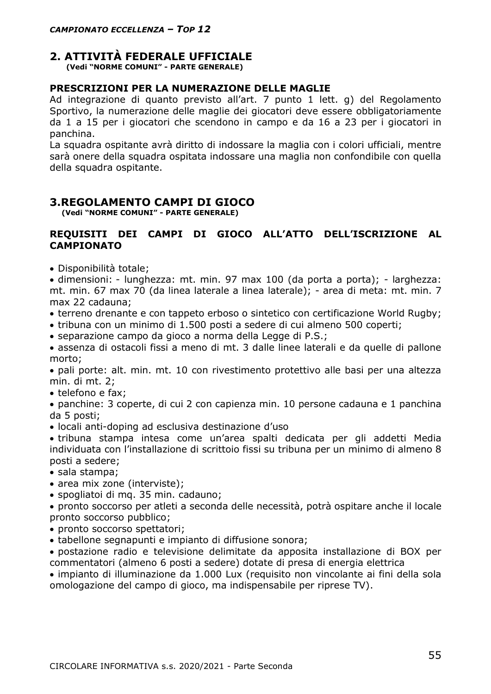## **2. ATTIVITÀ FEDERALE UFFICIALE**

**(Vedi "NORME COMUNI" - PARTE GENERALE)**

#### **PRESCRIZIONI PER LA NUMERAZIONE DELLE MAGLIE**

Ad integrazione di quanto previsto all'art. 7 punto 1 lett. g) del Regolamento Sportivo, la numerazione delle maglie dei giocatori deve essere obbligatoriamente da 1 a 15 per i giocatori che scendono in campo e da 16 a 23 per i giocatori in panchina.

La squadra ospitante avrà diritto di indossare la maglia con i colori ufficiali, mentre sarà onere della squadra ospitata indossare una maglia non confondibile con quella della squadra ospitante.

#### **3.REGOLAMENTO CAMPI DI GIOCO**

 **(Vedi "NORME COMUNI" - PARTE GENERALE)** 

#### **REQUISITI DEI CAMPI DI GIOCO ALL'ATTO DELL'ISCRIZIONE AL CAMPIONATO**

• Disponibilità totale;

• dimensioni: - lunghezza: mt. min. 97 max 100 (da porta a porta); - larghezza: mt. min. 67 max 70 (da linea laterale a linea laterale); - area di meta: mt. min. 7 max 22 cadauna;

- terreno drenante e con tappeto erboso o sintetico con certificazione World Rugby;
- tribuna con un minimo di 1.500 posti a sedere di cui almeno 500 coperti;
- separazione campo da gioco a norma della Legge di P.S.;

• assenza di ostacoli fissi a meno di mt. 3 dalle linee laterali e da quelle di pallone morto;

• pali porte: alt. min. mt. 10 con rivestimento protettivo alle basi per una altezza min. di mt. 2;

• telefono e fax;

• panchine: 3 coperte, di cui 2 con capienza min. 10 persone cadauna e 1 panchina da 5 posti;

• locali anti-doping ad esclusiva destinazione d'uso

• tribuna stampa intesa come un'area spalti dedicata per gli addetti Media individuata con l'installazione di scrittoio fissi su tribuna per un minimo di almeno 8 posti a sedere;

- sala stampa;
- area mix zone (interviste);
- spogliatoi di mq. 35 min. cadauno;
- pronto soccorso per atleti a seconda delle necessità, potrà ospitare anche il locale pronto soccorso pubblico;
- pronto soccorso spettatori;
- tabellone segnapunti e impianto di diffusione sonora;

• postazione radio e televisione delimitate da apposita installazione di BOX per commentatori (almeno 6 posti a sedere) dotate di presa di energia elettrica

• impianto di illuminazione da 1.000 Lux (requisito non vincolante ai fini della sola omologazione del campo di gioco, ma indispensabile per riprese TV).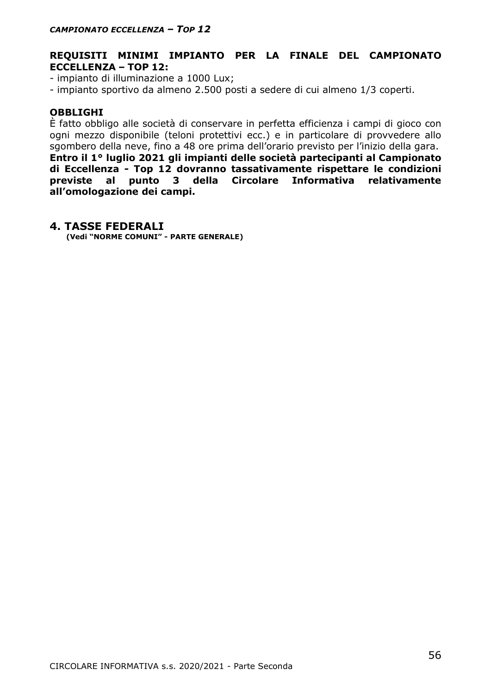#### **REQUISITI MINIMI IMPIANTO PER LA FINALE DEL CAMPIONATO ECCELLENZA – TOP 12:**

- impianto di illuminazione a 1000 Lux;

- impianto sportivo da almeno 2.500 posti a sedere di cui almeno 1/3 coperti.

#### **OBBLIGHI**

È fatto obbligo alle società di conservare in perfetta efficienza i campi di gioco con ogni mezzo disponibile (teloni protettivi ecc.) e in particolare di provvedere allo sgombero della neve, fino a 48 ore prima dell'orario previsto per l'inizio della gara. **Entro il 1° luglio 2021 gli impianti delle società partecipanti al Campionato di Eccellenza - Top 12 dovranno tassativamente rispettare le condizioni previste al punto 3 della Circolare Informativa relativamente all'omologazione dei campi.**

#### **4. TASSE FEDERALI**

**(Vedi "NORME COMUNI" - PARTE GENERALE)**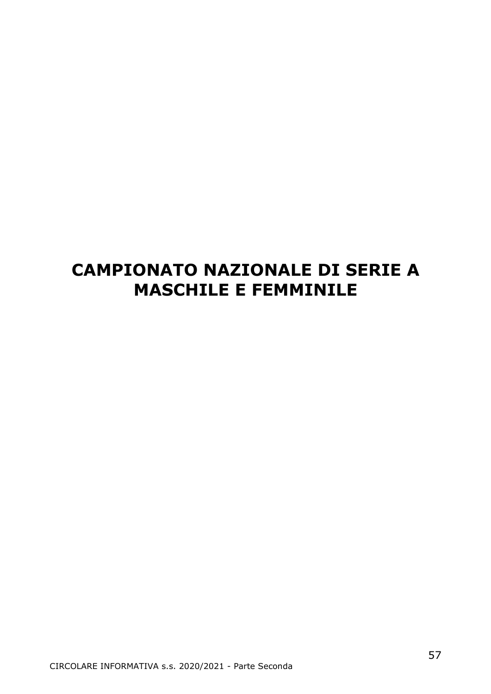## **CAMPIONATO NAZIONALE DI SERIE A MASCHILE E FEMMINILE**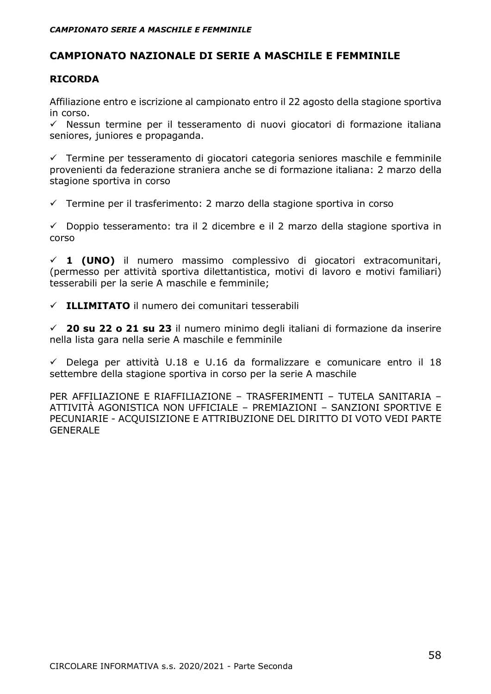### **CAMPIONATO NAZIONALE DI SERIE A MASCHILE E FEMMINILE**

#### **RICORDA**

Affiliazione entro e iscrizione al campionato entro il 22 agosto della stagione sportiva in corso.

✓ Nessun termine per il tesseramento di nuovi giocatori di formazione italiana seniores, juniores e propaganda.

✓ Termine per tesseramento di giocatori categoria seniores maschile e femminile provenienti da federazione straniera anche se di formazione italiana: 2 marzo della stagione sportiva in corso

✓ Termine per il trasferimento: 2 marzo della stagione sportiva in corso

 $\checkmark$  Doppio tesseramento: tra il 2 dicembre e il 2 marzo della stagione sportiva in corso

✓ **1 (UNO)** il numero massimo complessivo di giocatori extracomunitari, (permesso per attività sportiva dilettantistica, motivi di lavoro e motivi familiari) tesserabili per la serie A maschile e femminile;

✓ **ILLIMITATO** il numero dei comunitari tesserabili

✓ **20 su 22 o 21 su 23** il numero minimo degli italiani di formazione da inserire nella lista gara nella serie A maschile e femminile

 $\checkmark$  Delega per attività U.18 e U.16 da formalizzare e comunicare entro il 18 settembre della stagione sportiva in corso per la serie A maschile

PER AFFILIAZIONE E RIAFFILIAZIONE – TRASFERIMENTI – TUTELA SANITARIA – ATTIVITÀ AGONISTICA NON UFFICIALE – PREMIAZIONI – SANZIONI SPORTIVE E PECUNIARIE - ACQUISIZIONE E ATTRIBUZIONE DEL DIRITTO DI VOTO VEDI PARTE GENERALE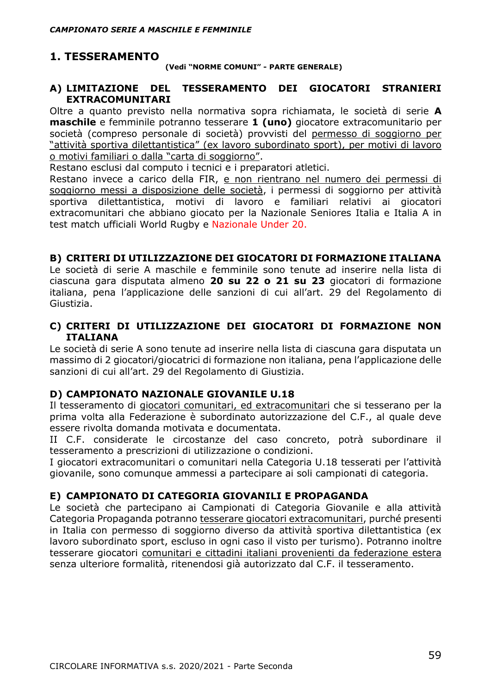## **1. TESSERAMENTO**

**(Vedi "NORME COMUNI" - PARTE GENERALE)**

#### **A) LIMITAZIONE DEL TESSERAMENTO DEI GIOCATORI STRANIERI EXTRACOMUNITARI**

Oltre a quanto previsto nella normativa sopra richiamata, le società di serie **A maschile** e femminile potranno tesserare **1 (uno)** giocatore extracomunitario per società (compreso personale di società) provvisti del permesso di soggiorno per "attività sportiva dilettantistica" (ex lavoro subordinato sport), per motivi di lavoro o motivi familiari o dalla "carta di soggiorno".

Restano esclusi dal computo i tecnici e i preparatori atletici.

Restano invece a carico della FIR, e non rientrano nel numero dei permessi di soggiorno messi a disposizione delle società, i permessi di soggiorno per attività sportiva dilettantistica, motivi di lavoro e familiari relativi ai giocatori extracomunitari che abbiano giocato per la Nazionale Seniores Italia e Italia A in test match ufficiali World Rugby e Nazionale Under 20.

#### **B) CRITERI DI UTILIZZAZIONE DEI GIOCATORI DI FORMAZIONE ITALIANA**

Le società di serie A maschile e femminile sono tenute ad inserire nella lista di ciascuna gara disputata almeno **20 su 22 o 21 su 23** giocatori di formazione italiana, pena l'applicazione delle sanzioni di cui all'art. 29 del Regolamento di Giustizia.

#### **C) CRITERI DI UTILIZZAZIONE DEI GIOCATORI DI FORMAZIONE NON ITALIANA**

Le società di serie A sono tenute ad inserire nella lista di ciascuna gara disputata un massimo di 2 giocatori/giocatrici di formazione non italiana, pena l'applicazione delle sanzioni di cui all'art. 29 del Regolamento di Giustizia.

#### **D) CAMPIONATO NAZIONALE GIOVANILE U.18**

Il tesseramento di giocatori comunitari, ed extracomunitari che si tesserano per la prima volta alla Federazione è subordinato autorizzazione del C.F., al quale deve essere rivolta domanda motivata e documentata.

II C.F. considerate le circostanze del caso concreto, potrà subordinare il tesseramento a prescrizioni di utilizzazione o condizioni.

I giocatori extracomunitari o comunitari nella Categoria U.18 tesserati per l'attività giovanile, sono comunque ammessi a partecipare ai soli campionati di categoria.

#### **E) CAMPIONATO DI CATEGORIA GIOVANILI E PROPAGANDA**

Le società che partecipano ai Campionati di Categoria Giovanile e alla attività Categoria Propaganda potranno tesserare giocatori extracomunitari, purché presenti in Italia con permesso di soggiorno diverso da attività sportiva dilettantistica (ex lavoro subordinato sport, escluso in ogni caso il visto per turismo). Potranno inoltre tesserare giocatori comunitari e cittadini italiani provenienti da federazione estera senza ulteriore formalità, ritenendosi già autorizzato dal C.F. il tesseramento.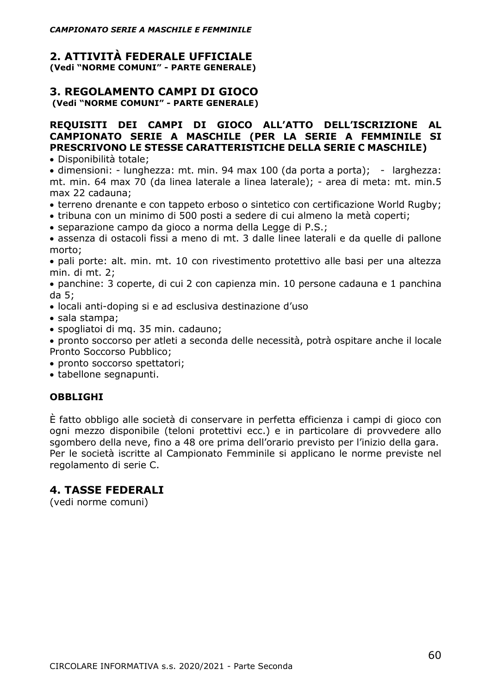#### **2. ATTIVITÀ FEDERALE UFFICIALE (Vedi "NORME COMUNI" - PARTE GENERALE)**

#### **3. REGOLAMENTO CAMPI DI GIOCO (Vedi "NORME COMUNI" - PARTE GENERALE)**

#### **REQUISITI DEI CAMPI DI GIOCO ALL'ATTO DELL'ISCRIZIONE AL CAMPIONATO SERIE A MASCHILE (PER LA SERIE A FEMMINILE SI PRESCRIVONO LE STESSE CARATTERISTICHE DELLA SERIE C MASCHILE)**

• Disponibilità totale;

• dimensioni: - lunghezza: mt. min. 94 max 100 (da porta a porta); - larghezza: mt. min. 64 max 70 (da linea laterale a linea laterale); - area di meta: mt. min.5 max 22 cadauna;

- terreno drenante e con tappeto erboso o sintetico con certificazione World Rugby;
- tribuna con un minimo di 500 posti a sedere di cui almeno la metà coperti;
- separazione campo da gioco a norma della Legge di P.S.;

• assenza di ostacoli fissi a meno di mt. 3 dalle linee laterali e da quelle di pallone morto;

• pali porte: alt. min. mt. 10 con rivestimento protettivo alle basi per una altezza min. di mt. 2;

• panchine: 3 coperte, di cui 2 con capienza min. 10 persone cadauna e 1 panchina da 5;

- locali anti-doping si e ad esclusiva destinazione d'uso
- sala stampa;
- spogliatoi di mq. 35 min. cadauno;

• pronto soccorso per atleti a seconda delle necessità, potrà ospitare anche il locale Pronto Soccorso Pubblico;

- pronto soccorso spettatori;
- tabellone segnapunti.

#### **OBBLIGHI**

È fatto obbligo alle società di conservare in perfetta efficienza i campi di gioco con ogni mezzo disponibile (teloni protettivi ecc.) e in particolare di provvedere allo sgombero della neve, fino a 48 ore prima dell'orario previsto per l'inizio della gara. Per le società iscritte al Campionato Femminile si applicano le norme previste nel regolamento di serie C.

### **4. TASSE FEDERALI**

(vedi norme comuni)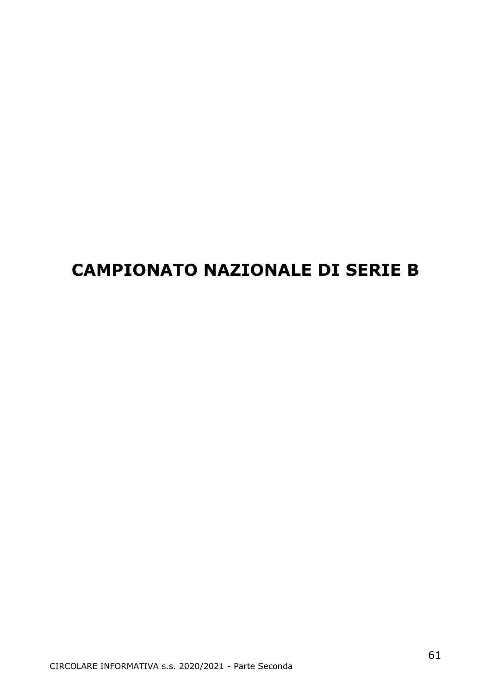## **CAMPIONATO NAZIONALE DI SERIE B**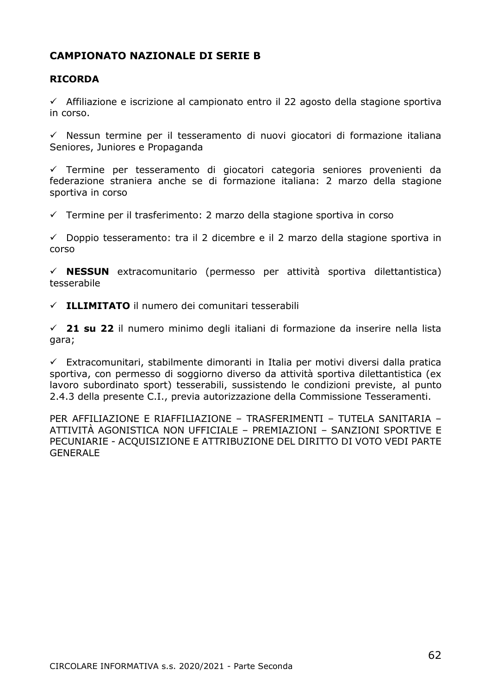### **CAMPIONATO NAZIONALE DI SERIE B**

#### **RICORDA**

✓ Affiliazione e iscrizione al campionato entro il 22 agosto della stagione sportiva in corso.

✓ Nessun termine per il tesseramento di nuovi giocatori di formazione italiana Seniores, Juniores e Propaganda

✓ Termine per tesseramento di giocatori categoria seniores provenienti da federazione straniera anche se di formazione italiana: 2 marzo della stagione sportiva in corso

✓ Termine per il trasferimento: 2 marzo della stagione sportiva in corso

 $\checkmark$  Doppio tesseramento: tra il 2 dicembre e il 2 marzo della stagione sportiva in corso

✓ **NESSUN** extracomunitario (permesso per attività sportiva dilettantistica) tesserabile

✓ **ILLIMITATO** il numero dei comunitari tesserabili

✓ **21 su 22** il numero minimo degli italiani di formazione da inserire nella lista gara;

 $\checkmark$  Extracomunitari, stabilmente dimoranti in Italia per motivi diversi dalla pratica sportiva, con permesso di soggiorno diverso da attività sportiva dilettantistica (ex lavoro subordinato sport) tesserabili, sussistendo le condizioni previste, al punto 2.4.3 della presente C.I., previa autorizzazione della Commissione Tesseramenti.

PER AFFILIAZIONE E RIAFFILIAZIONE – TRASFERIMENTI – TUTELA SANITARIA – ATTIVITÀ AGONISTICA NON UFFICIALE – PREMIAZIONI – SANZIONI SPORTIVE E PECUNIARIE - ACQUISIZIONE E ATTRIBUZIONE DEL DIRITTO DI VOTO VEDI PARTE GENERALE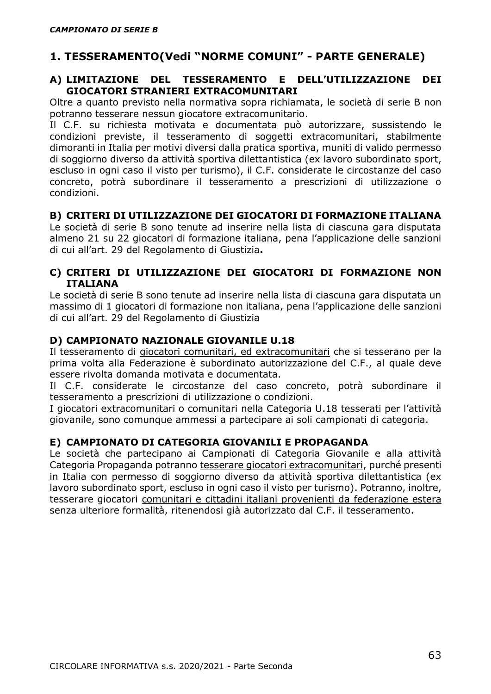## **1. TESSERAMENTO(Vedi "NORME COMUNI" - PARTE GENERALE)**

#### **A) LIMITAZIONE DEL TESSERAMENTO E DELL'UTILIZZAZIONE DEI GIOCATORI STRANIERI EXTRACOMUNITARI**

Oltre a quanto previsto nella normativa sopra richiamata, le società di serie B non potranno tesserare nessun giocatore extracomunitario.

Il C.F. su richiesta motivata e documentata può autorizzare, sussistendo le condizioni previste, il tesseramento di soggetti extracomunitari, stabilmente dimoranti in Italia per motivi diversi dalla pratica sportiva, muniti di valido permesso di soggiorno diverso da attività sportiva dilettantistica (ex lavoro subordinato sport, escluso in ogni caso il visto per turismo), il C.F. considerate le circostanze del caso concreto, potrà subordinare il tesseramento a prescrizioni di utilizzazione o condizioni.

#### **B) CRITERI DI UTILIZZAZIONE DEI GIOCATORI DI FORMAZIONE ITALIANA**

Le società di serie B sono tenute ad inserire nella lista di ciascuna gara disputata almeno 21 su 22 giocatori di formazione italiana, pena l'applicazione delle sanzioni di cui all'art. 29 del Regolamento di Giustizia**.**

#### **C) CRITERI DI UTILIZZAZIONE DEI GIOCATORI DI FORMAZIONE NON ITALIANA**

Le società di serie B sono tenute ad inserire nella lista di ciascuna gara disputata un massimo di 1 giocatori di formazione non italiana, pena l'applicazione delle sanzioni di cui all'art. 29 del Regolamento di Giustizia

#### **D) CAMPIONATO NAZIONALE GIOVANILE U.18**

Il tesseramento di giocatori comunitari, ed extracomunitari che si tesserano per la prima volta alla Federazione è subordinato autorizzazione del C.F., al quale deve essere rivolta domanda motivata e documentata.

Il C.F. considerate le circostanze del caso concreto, potrà subordinare il tesseramento a prescrizioni di utilizzazione o condizioni.

I giocatori extracomunitari o comunitari nella Categoria U.18 tesserati per l'attività giovanile, sono comunque ammessi a partecipare ai soli campionati di categoria.

#### **E) CAMPIONATO DI CATEGORIA GIOVANILI E PROPAGANDA**

Le società che partecipano ai Campionati di Categoria Giovanile e alla attività Categoria Propaganda potranno tesserare giocatori extracomunitari, purché presenti in Italia con permesso di soggiorno diverso da attività sportiva dilettantistica (ex lavoro subordinato sport, escluso in ogni caso il visto per turismo). Potranno, inoltre, tesserare giocatori comunitari e cittadini italiani provenienti da federazione estera senza ulteriore formalità, ritenendosi già autorizzato dal C.F. il tesseramento.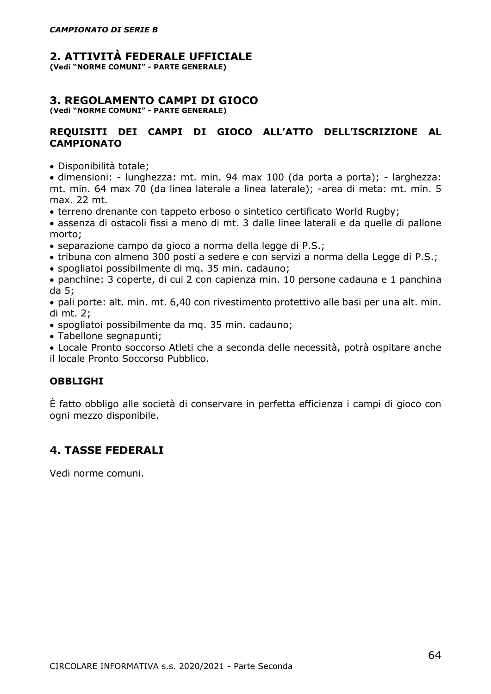#### **2. ATTIVITÀ FEDERALE UFFICIALE**

**(Vedi "NORME COMUNI" - PARTE GENERALE)**

## **3. REGOLAMENTO CAMPI DI GIOCO**

**(Vedi "NORME COMUNI" - PARTE GENERALE)**

#### **REQUISITI DEI CAMPI DI GIOCO ALL'ATTO DELL'ISCRIZIONE AL CAMPIONATO**

• Disponibilità totale;

• dimensioni: - lunghezza: mt. min. 94 max 100 (da porta a porta); - larghezza: mt. min. 64 max 70 (da linea laterale a linea laterale); -area di meta: mt. min. 5 max. 22 mt.

• terreno drenante con tappeto erboso o sintetico certificato World Rugby;

• assenza di ostacoli fissi a meno di mt. 3 dalle linee laterali e da quelle di pallone morto;

- separazione campo da gioco a norma della legge di P.S.;
- tribuna con almeno 300 posti a sedere e con servizi a norma della Legge di P.S.;
- spogliatoi possibilmente di mq. 35 min. cadauno;

• panchine: 3 coperte, di cui 2 con capienza min. 10 persone cadauna e 1 panchina da 5;

• pali porte: alt. min. mt. 6,40 con rivestimento protettivo alle basi per una alt. min. di mt. 2;

- spogliatoi possibilmente da mq. 35 min. cadauno;
- Tabellone segnapunti;
- Locale Pronto soccorso Atleti che a seconda delle necessità, potrà ospitare anche il locale Pronto Soccorso Pubblico.

#### **OBBLIGHI**

È fatto obbligo alle società di conservare in perfetta efficienza i campi di gioco con ogni mezzo disponibile.

## **4. TASSE FEDERALI**

Vedi norme comuni.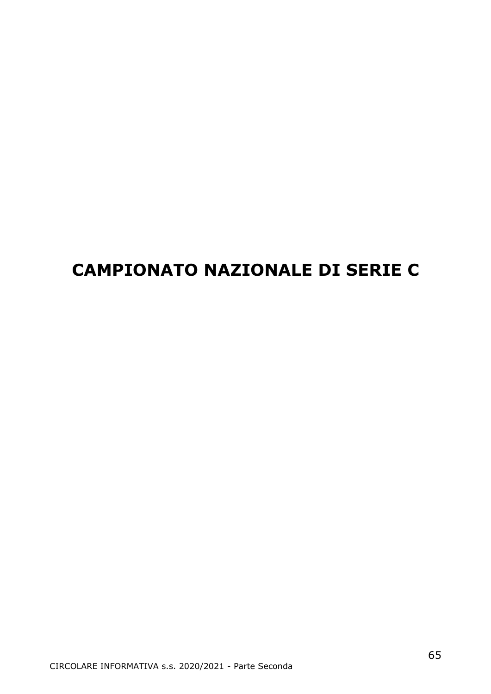## **CAMPIONATO NAZIONALE DI SERIE C**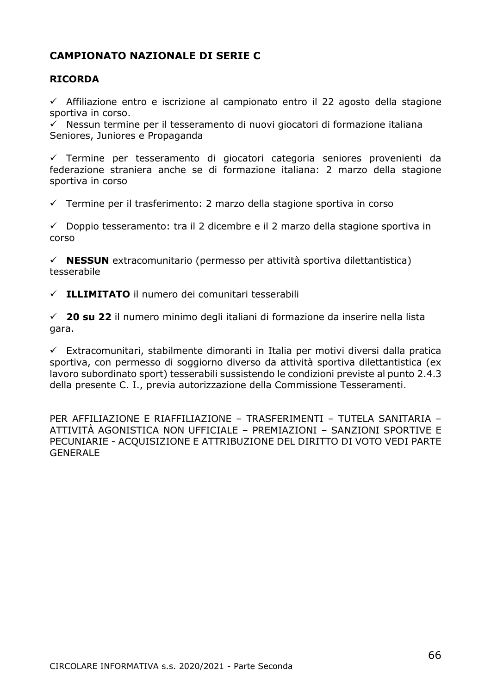## **CAMPIONATO NAZIONALE DI SERIE C**

#### **RICORDA**

 $\checkmark$  Affiliazione entro e iscrizione al campionato entro il 22 agosto della stagione sportiva in corso.

 $\overrightarrow{y}$  Nessun termine per il tesseramento di nuovi giocatori di formazione italiana Seniores, Juniores e Propaganda

✓ Termine per tesseramento di giocatori categoria seniores provenienti da federazione straniera anche se di formazione italiana: 2 marzo della stagione sportiva in corso

✓ Termine per il trasferimento: 2 marzo della stagione sportiva in corso

 $\checkmark$  Doppio tesseramento: tra il 2 dicembre e il 2 marzo della stagione sportiva in corso

✓ **NESSUN** extracomunitario (permesso per attività sportiva dilettantistica) tesserabile

✓ **ILLIMITATO** il numero dei comunitari tesserabili

✓ **20 su 22** il numero minimo degli italiani di formazione da inserire nella lista gara.

 $\checkmark$  Extracomunitari, stabilmente dimoranti in Italia per motivi diversi dalla pratica sportiva, con permesso di soggiorno diverso da attività sportiva dilettantistica (ex lavoro subordinato sport) tesserabili sussistendo le condizioni previste al punto 2.4.3 della presente C. I., previa autorizzazione della Commissione Tesseramenti.

PER AFFILIAZIONE E RIAFFILIAZIONE – TRASFERIMENTI – TUTELA SANITARIA – ATTIVITÀ AGONISTICA NON UFFICIALE – PREMIAZIONI – SANZIONI SPORTIVE E PECUNIARIE - ACQUISIZIONE E ATTRIBUZIONE DEL DIRITTO DI VOTO VEDI PARTE GENERALE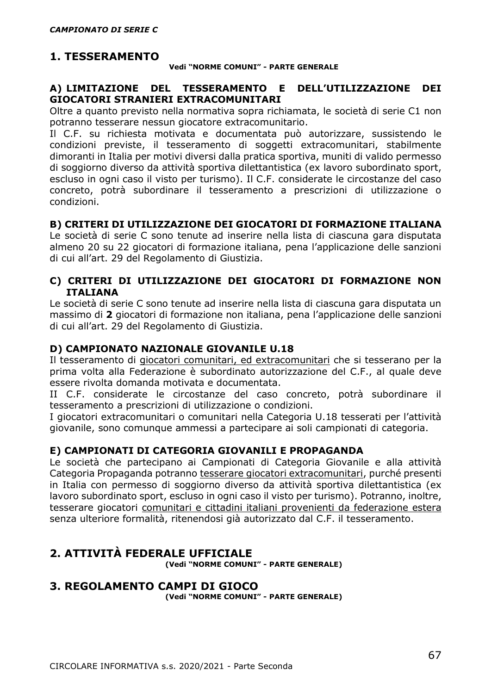### **1. TESSERAMENTO**

#### **Vedi "NORME COMUNI" - PARTE GENERALE**

#### **A) LIMITAZIONE DEL TESSERAMENTO E DELL'UTILIZZAZIONE DEI GIOCATORI STRANIERI EXTRACOMUNITARI**

Oltre a quanto previsto nella normativa sopra richiamata, le società di serie C1 non potranno tesserare nessun giocatore extracomunitario.

Il C.F. su richiesta motivata e documentata può autorizzare, sussistendo le condizioni previste, il tesseramento di soggetti extracomunitari, stabilmente dimoranti in Italia per motivi diversi dalla pratica sportiva, muniti di valido permesso di soggiorno diverso da attività sportiva dilettantistica (ex lavoro subordinato sport, escluso in ogni caso il visto per turismo). Il C.F. considerate le circostanze del caso concreto, potrà subordinare il tesseramento a prescrizioni di utilizzazione o condizioni.

#### **B) CRITERI DI UTILIZZAZIONE DEI GIOCATORI DI FORMAZIONE ITALIANA**

Le società di serie C sono tenute ad inserire nella lista di ciascuna gara disputata almeno 20 su 22 giocatori di formazione italiana, pena l'applicazione delle sanzioni di cui all'art. 29 del Regolamento di Giustizia.

#### **C) CRITERI DI UTILIZZAZIONE DEI GIOCATORI DI FORMAZIONE NON ITALIANA**

Le società di serie C sono tenute ad inserire nella lista di ciascuna gara disputata un massimo di **2** giocatori di formazione non italiana, pena l'applicazione delle sanzioni di cui all'art. 29 del Regolamento di Giustizia.

#### **D) CAMPIONATO NAZIONALE GIOVANILE U.18**

Il tesseramento di giocatori comunitari, ed extracomunitari che si tesserano per la prima volta alla Federazione è subordinato autorizzazione del C.F., al quale deve essere rivolta domanda motivata e documentata.

II C.F. considerate le circostanze del caso concreto, potrà subordinare il tesseramento a prescrizioni di utilizzazione o condizioni.

I giocatori extracomunitari o comunitari nella Categoria U.18 tesserati per l'attività giovanile, sono comunque ammessi a partecipare ai soli campionati di categoria.

#### **E) CAMPIONATI DI CATEGORIA GIOVANILI E PROPAGANDA**

Le società che partecipano ai Campionati di Categoria Giovanile e alla attività Categoria Propaganda potranno tesserare giocatori extracomunitari, purché presenti in Italia con permesso di soggiorno diverso da attività sportiva dilettantistica (ex lavoro subordinato sport, escluso in ogni caso il visto per turismo). Potranno, inoltre, tesserare giocatori comunitari e cittadini italiani provenienti da federazione estera senza ulteriore formalità, ritenendosi già autorizzato dal C.F. il tesseramento.

#### **2. ATTIVITÀ FEDERALE UFFICIALE (Vedi "NORME COMUNI" - PARTE GENERALE)**

#### **3. REGOLAMENTO CAMPI DI GIOCO**

**(Vedi "NORME COMUNI" - PARTE GENERALE)**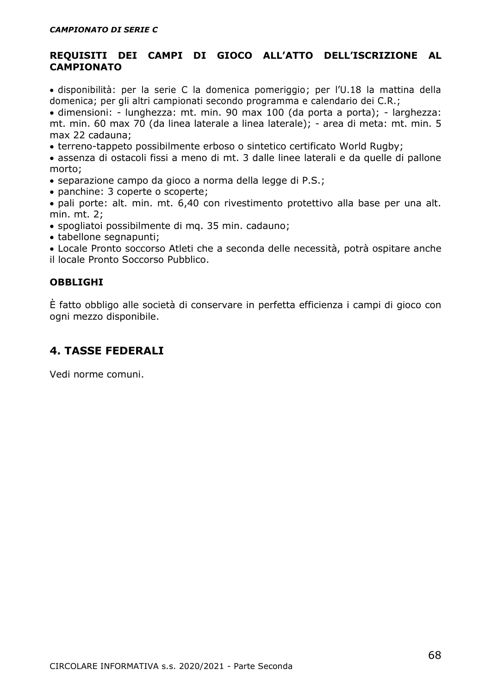#### **REQUISITI DEI CAMPI DI GIOCO ALL'ATTO DELL'ISCRIZIONE AL CAMPIONATO**

• disponibilità: per la serie C la domenica pomeriggio; per l'U.18 la mattina della domenica; per gli altri campionati secondo programma e calendario dei C.R.;

• dimensioni: - lunghezza: mt. min. 90 max 100 (da porta a porta); - larghezza: mt. min. 60 max 70 (da linea laterale a linea laterale); - area di meta: mt. min. 5 max 22 cadauna;

• terreno-tappeto possibilmente erboso o sintetico certificato World Rugby;

• assenza di ostacoli fissi a meno di mt. 3 dalle linee laterali e da quelle di pallone morto;

• separazione campo da gioco a norma della legge di P.S.;

- panchine: 3 coperte o scoperte;
- pali porte: alt. min. mt. 6,40 con rivestimento protettivo alla base per una alt. min. mt. 2;
- spogliatoi possibilmente di mq. 35 min. cadauno;
- tabellone segnapunti;
- Locale Pronto soccorso Atleti che a seconda delle necessità, potrà ospitare anche il locale Pronto Soccorso Pubblico.

#### **OBBLIGHI**

È fatto obbligo alle società di conservare in perfetta efficienza i campi di gioco con ogni mezzo disponibile.

## **4. TASSE FEDERALI**

Vedi norme comuni.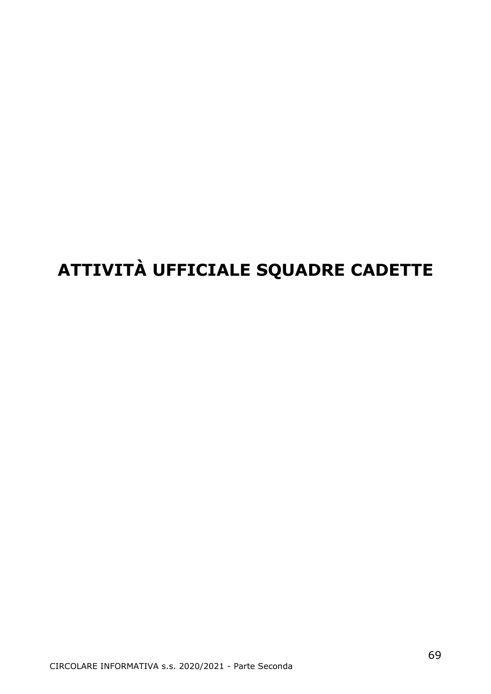# **ATTIVITÀ UFFICIALE SQUADRE CADETTE**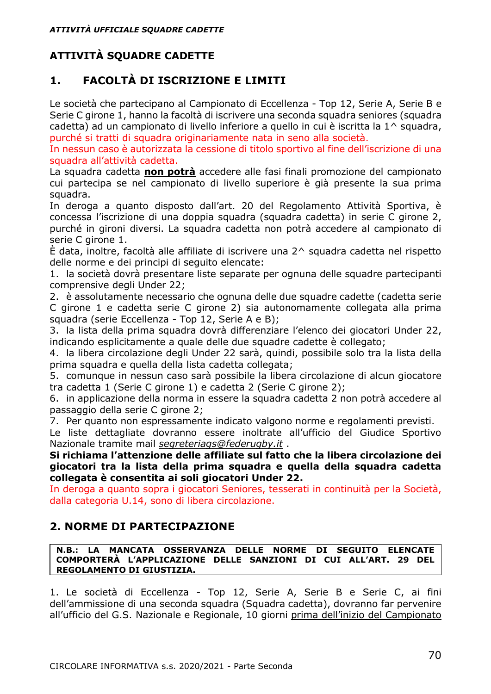## **ATTIVITÀ SQUADRE CADETTE**

## **1. FACOLTÀ DI ISCRIZIONE E LIMITI**

Le società che partecipano al Campionato di Eccellenza - Top 12, Serie A, Serie B e Serie C girone 1, hanno la facoltà di iscrivere una seconda squadra seniores (squadra cadetta) ad un campionato di livello inferiore a quello in cui è iscritta la 1^ squadra, purché si tratti di squadra originariamente nata in seno alla società.

In nessun caso è autorizzata la cessione di titolo sportivo al fine dell'iscrizione di una squadra all'attività cadetta.

La squadra cadetta **non potrà** accedere alle fasi finali promozione del campionato cui partecipa se nel campionato di livello superiore è già presente la sua prima squadra.

In deroga a quanto disposto dall'art. 20 del Regolamento Attività Sportiva, è concessa l'iscrizione di una doppia squadra (squadra cadetta) in serie C girone 2, purché in gironi diversi. La squadra cadetta non potrà accedere al campionato di serie C girone 1.

È data, inoltre, facoltà alle affiliate di iscrivere una 2^ squadra cadetta nel rispetto delle norme e dei principi di seguito elencate:

1. la società dovrà presentare liste separate per ognuna delle squadre partecipanti comprensive degli Under 22;

2. è assolutamente necessario che ognuna delle due squadre cadette (cadetta serie C girone 1 e cadetta serie C girone 2) sia autonomamente collegata alla prima squadra (serie Eccellenza - Top 12, Serie A e B);

3. la lista della prima squadra dovrà differenziare l'elenco dei giocatori Under 22, indicando esplicitamente a quale delle due squadre cadette è collegato;

4. la libera circolazione degli Under 22 sarà, quindi, possibile solo tra la lista della prima squadra e quella della lista cadetta collegata;

5. comunque in nessun caso sarà possibile la libera circolazione di alcun giocatore tra cadetta 1 (Serie C girone 1) e cadetta 2 (Serie C girone 2);

6. in applicazione della norma in essere la squadra cadetta 2 non potrà accedere al passaggio della serie C girone 2;

7. Per quanto non espressamente indicato valgono norme e regolamenti previsti.

Le liste dettagliate dovranno essere inoltrate all'ufficio del Giudice Sportivo Nazionale tramite mail *[segreteriags@federugby.it](mailto:segreteriags@federugby.it)* .

**Si richiama l'attenzione delle affiliate sul fatto che la libera circolazione dei giocatori tra la lista della prima squadra e quella della squadra cadetta collegata è consentita ai soli giocatori Under 22.**

In deroga a quanto sopra i giocatori Seniores, tesserati in continuità per la Società, dalla categoria U.14, sono di libera circolazione.

## **2. NORME DI PARTECIPAZIONE**

**N.B.: LA MANCATA OSSERVANZA DELLE NORME DI SEGUITO ELENCATE COMPORTERÀ L'APPLICAZIONE DELLE SANZIONI DI CUI ALL'ART. 29 DEL REGOLAMENTO DI GIUSTIZIA.**

1. Le società di Eccellenza - Top 12, Serie A, Serie B e Serie C, ai fini dell'ammissione di una seconda squadra (Squadra cadetta), dovranno far pervenire all'ufficio del G.S. Nazionale e Regionale, 10 giorni prima dell'inizio del Campionato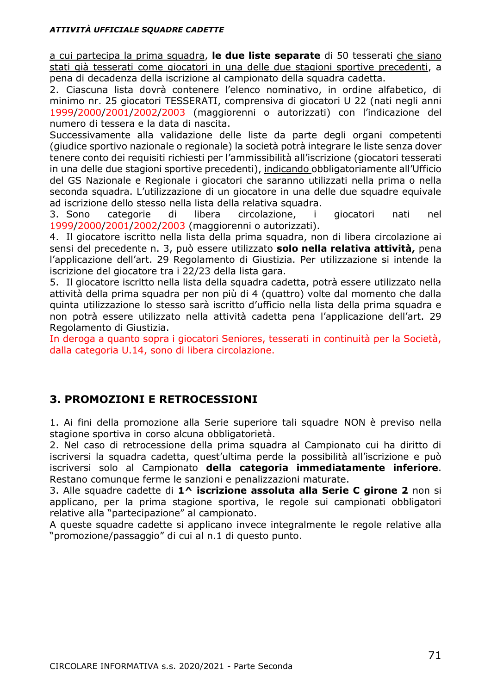#### *ATTIVITÀ UFFICIALE SQUADRE CADETTE*

a cui partecipa la prima squadra, **le due liste separate** di 50 tesserati che siano stati già tesserati come giocatori in una delle due stagioni sportive precedenti, a pena di decadenza della iscrizione al campionato della squadra cadetta.

2. Ciascuna lista dovrà contenere l'elenco nominativo, in ordine alfabetico, di minimo nr. 25 giocatori TESSERATI, comprensiva di giocatori U 22 (nati negli anni 1999/2000/2001/2002/2003 (maggiorenni o autorizzati) con l'indicazione del numero di tessera e la data di nascita.

Successivamente alla validazione delle liste da parte degli organi competenti (giudice sportivo nazionale o regionale) la società potrà integrare le liste senza dover tenere conto dei requisiti richiesti per l'ammissibilità all'iscrizione (giocatori tesserati in una delle due stagioni sportive precedenti), indicando obbligatoriamente all'Ufficio del GS Nazionale e Regionale i giocatori che saranno utilizzati nella prima o nella seconda squadra. L'utilizzazione di un giocatore in una delle due squadre equivale ad iscrizione dello stesso nella lista della relativa squadra.

3. Sono categorie di libera circolazione, i giocatori nati nel 1999/2000/2001/2002/2003 (maggiorenni o autorizzati).

4. Il giocatore iscritto nella lista della prima squadra, non di libera circolazione ai sensi del precedente n. 3, può essere utilizzato **solo nella relativa attività,** pena l'applicazione dell'art. 29 Regolamento di Giustizia. Per utilizzazione si intende la iscrizione del giocatore tra i 22/23 della lista gara.

5. Il giocatore iscritto nella lista della squadra cadetta, potrà essere utilizzato nella attività della prima squadra per non più di 4 (quattro) volte dal momento che dalla quinta utilizzazione lo stesso sarà iscritto d'ufficio nella lista della prima squadra e non potrà essere utilizzato nella attività cadetta pena l'applicazione dell'art. 29 Regolamento di Giustizia.

In deroga a quanto sopra i giocatori Seniores, tesserati in continuità per la Società, dalla categoria U.14, sono di libera circolazione.

## **3. PROMOZIONI E RETROCESSIONI**

1. Ai fini della promozione alla Serie superiore tali squadre NON è previso nella stagione sportiva in corso alcuna obbligatorietà.

2. Nel caso di retrocessione della prima squadra al Campionato cui ha diritto di iscriversi la squadra cadetta, quest'ultima perde la possibilità all'iscrizione e può iscriversi solo al Campionato **della categoria immediatamente inferiore**. Restano comunque ferme le sanzioni e penalizzazioni maturate.

3. Alle squadre cadette di **1^ iscrizione assoluta alla Serie C girone 2** non si applicano, per la prima stagione sportiva, le regole sui campionati obbligatori relative alla "partecipazione" al campionato.

A queste squadre cadette si applicano invece integralmente le regole relative alla "promozione/passaggio" di cui al n.1 di questo punto.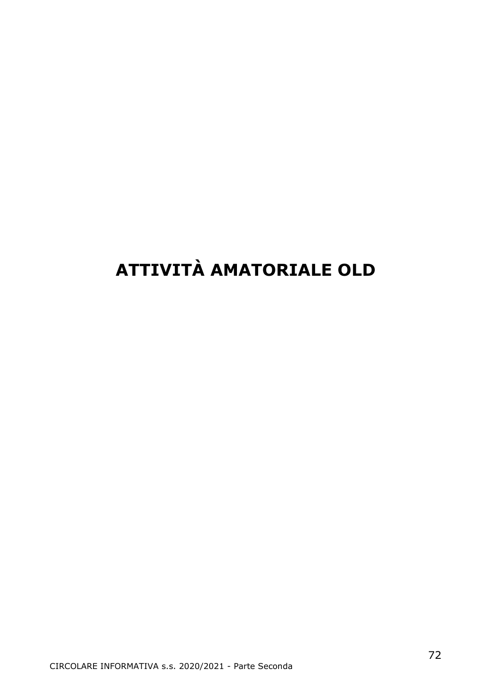# **ATTIVITÀ AMATORIALE OLD**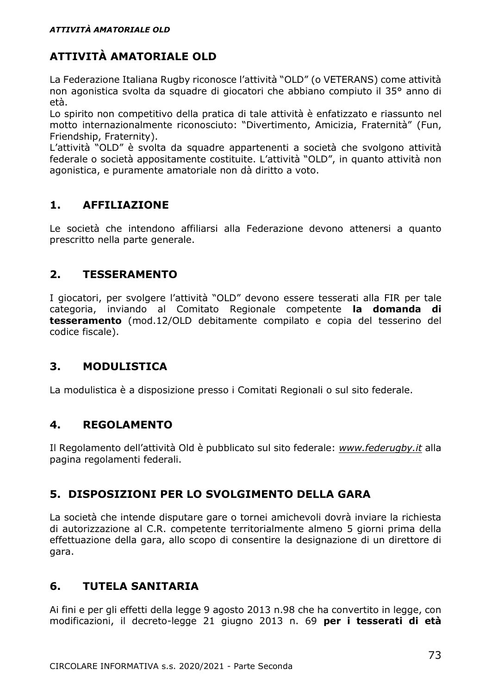# **ATTIVITÀ AMATORIALE OLD**

La Federazione Italiana Rugby riconosce l'attività "OLD" (o VETERANS) come attività non agonistica svolta da squadre di giocatori che abbiano compiuto il 35° anno di età.

Lo spirito non competitivo della pratica di tale attività è enfatizzato e riassunto nel motto internazionalmente riconosciuto: "Divertimento, Amicizia, Fraternità" (Fun, Friendship, Fraternity).

L'attività "OLD" è svolta da squadre appartenenti a società che svolgono attività federale o società appositamente costituite. L'attività "OLD", in quanto attività non agonistica, e puramente amatoriale non dà diritto a voto.

#### **1. AFFILIAZIONE**

Le società che intendono affiliarsi alla Federazione devono attenersi a quanto prescritto nella parte generale.

#### **2. TESSERAMENTO**

I giocatori, per svolgere l'attività "OLD" devono essere tesserati alla FIR per tale categoria, inviando al Comitato Regionale competente **la domanda di tesseramento** (mod.12/OLD debitamente compilato e copia del tesserino del codice fiscale).

### **3. MODULISTICA**

La modulistica è a disposizione presso i Comitati Regionali o sul sito federale.

#### **4. REGOLAMENTO**

Il Regolamento dell'attività Old è pubblicato sul sito federale: *[www.federugby.it](http://www.federugby.it/)* alla pagina regolamenti federali.

#### **5. DISPOSIZIONI PER LO SVOLGIMENTO DELLA GARA**

La società che intende disputare gare o tornei amichevoli dovrà inviare la richiesta di autorizzazione al C.R. competente territorialmente almeno 5 giorni prima della effettuazione della gara, allo scopo di consentire la designazione di un direttore di gara.

#### **6. TUTELA SANITARIA**

Ai fini e per gli effetti della legge 9 agosto 2013 n.98 che ha convertito in legge, con modificazioni, il decreto-legge 21 giugno 2013 n. 69 **per i tesserati di età**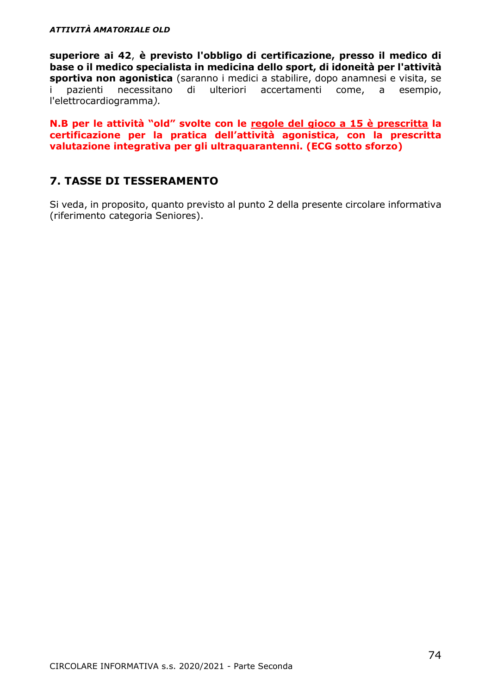**superiore ai 42**, **è previsto l'obbligo di certificazione, presso il medico di base o il medico specialista in medicina dello sport, di idoneità per l'attività sportiva non agonistica** (saranno i medici a stabilire, dopo anamnesi e visita, se necessitano di ulteriori accertamenti come, a l'elettrocardiogramma*).*

**N.B per le attività "old" svolte con le regole del gioco a 15 è prescritta la certificazione per la pratica dell'attività agonistica, con la prescritta valutazione integrativa per gli ultraquarantenni. (ECG sotto sforzo)**

#### **7. TASSE DI TESSERAMENTO**

Si veda, in proposito, quanto previsto al punto 2 della presente circolare informativa (riferimento categoria Seniores).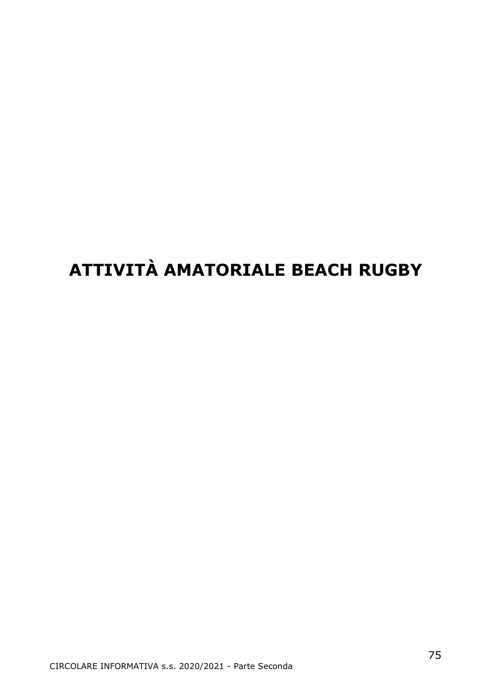# **ATTIVITÀ AMATORIALE BEACH RUGBY**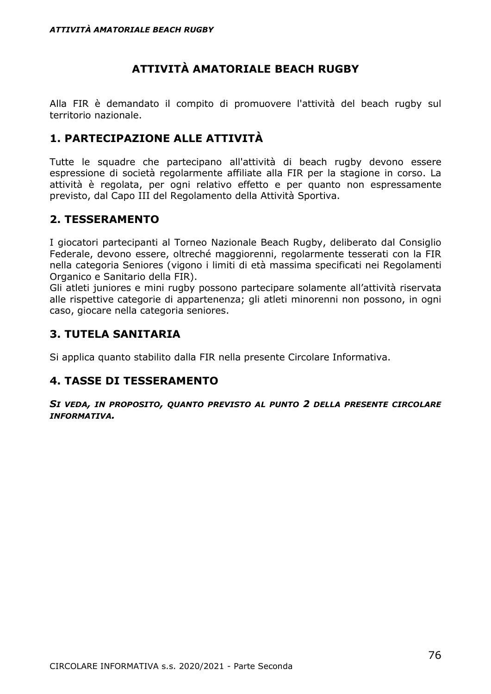## **ATTIVITÀ AMATORIALE BEACH RUGBY**

Alla FIR è demandato il compito di promuovere l'attività del beach rugby sul territorio nazionale.

#### **1. PARTECIPAZIONE ALLE ATTIVITÀ**

Tutte le squadre che partecipano all'attività di beach rugby devono essere espressione di società regolarmente affiliate alla FIR per la stagione in corso. La attività è regolata, per ogni relativo effetto e per quanto non espressamente previsto, dal Capo III del Regolamento della Attività Sportiva.

#### **2. TESSERAMENTO**

I giocatori partecipanti al Torneo Nazionale Beach Rugby, deliberato dal Consiglio Federale, devono essere, oltreché maggiorenni, regolarmente tesserati con la FIR nella categoria Seniores (vigono i limiti di età massima specificati nei Regolamenti Organico e Sanitario della FIR).

Gli atleti juniores e mini rugby possono partecipare solamente all'attività riservata alle rispettive categorie di appartenenza; gli atleti minorenni non possono, in ogni caso, giocare nella categoria seniores.

#### **3. TUTELA SANITARIA**

Si applica quanto stabilito dalla FIR nella presente Circolare Informativa.

#### **4. TASSE DI TESSERAMENTO**

*SI VEDA, IN PROPOSITO, QUANTO PREVISTO AL PUNTO 2 DELLA PRESENTE CIRCOLARE INFORMATIVA.*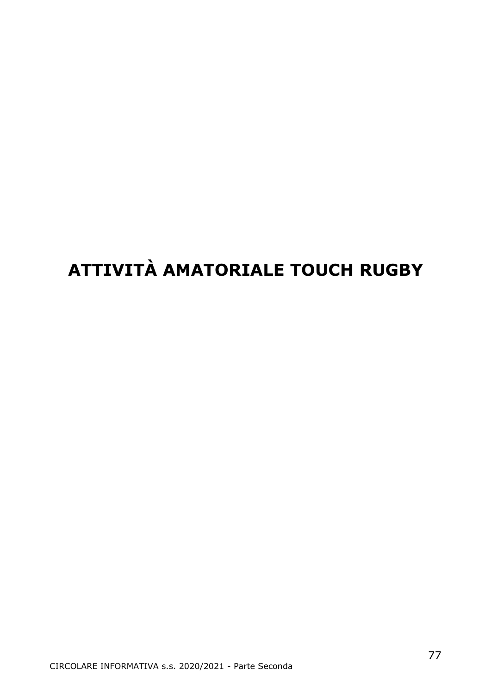# **ATTIVITÀ AMATORIALE TOUCH RUGBY**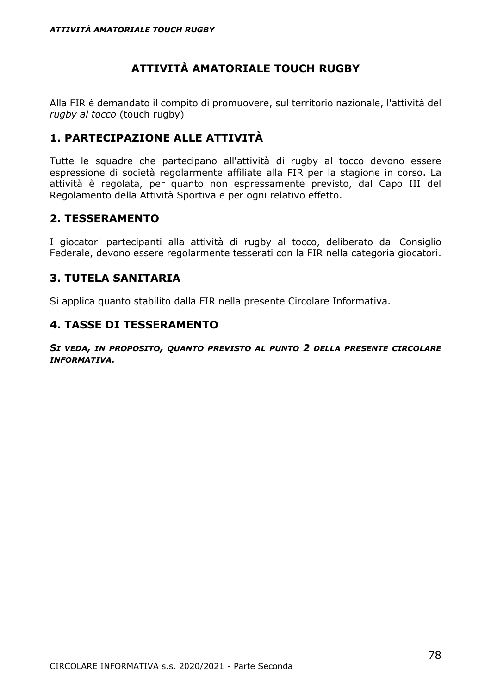# **ATTIVITÀ AMATORIALE TOUCH RUGBY**

Alla FIR è demandato il compito di promuovere, sul territorio nazionale, l'attività del *rugby al tocco* (touch rugby)

#### **1. PARTECIPAZIONE ALLE ATTIVITÀ**

Tutte le squadre che partecipano all'attività di rugby al tocco devono essere espressione di società regolarmente affiliate alla FIR per la stagione in corso. La attività è regolata, per quanto non espressamente previsto, dal Capo III del Regolamento della Attività Sportiva e per ogni relativo effetto.

#### **2. TESSERAMENTO**

I giocatori partecipanti alla attività di rugby al tocco, deliberato dal Consiglio Federale, devono essere regolarmente tesserati con la FIR nella categoria giocatori.

#### **3. TUTELA SANITARIA**

Si applica quanto stabilito dalla FIR nella presente Circolare Informativa.

#### **4. TASSE DI TESSERAMENTO**

*SI VEDA, IN PROPOSITO, QUANTO PREVISTO AL PUNTO 2 DELLA PRESENTE CIRCOLARE INFORMATIVA.*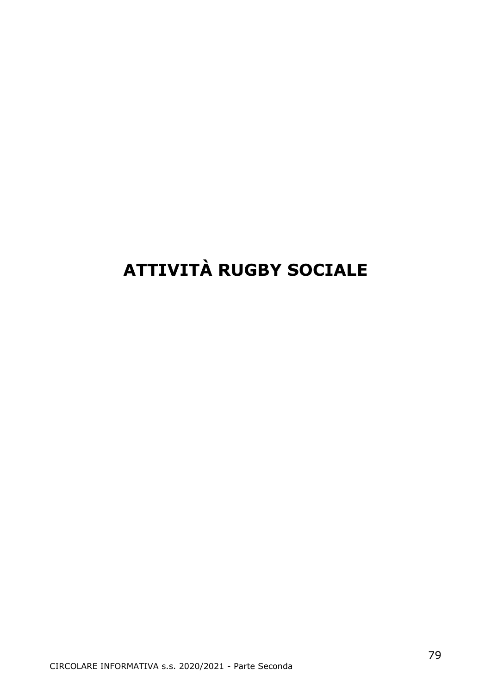# **ATTIVITÀ RUGBY SOCIALE**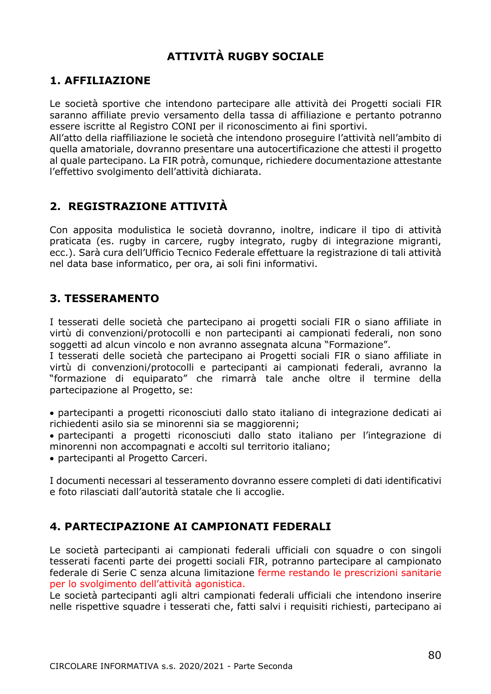### **ATTIVITÀ RUGBY SOCIALE**

#### **1. AFFILIAZIONE**

Le società sportive che intendono partecipare alle attività dei Progetti sociali FIR saranno affiliate previo versamento della tassa di affiliazione e pertanto potranno essere iscritte al Registro CONI per il riconoscimento ai fini sportivi.

All'atto della riaffiliazione le società che intendono proseguire l'attività nell'ambito di quella amatoriale, dovranno presentare una autocertificazione che attesti il progetto al quale partecipano. La FIR potrà, comunque, richiedere documentazione attestante l'effettivo svolgimento dell'attività dichiarata.

#### **2. REGISTRAZIONE ATTIVITÀ**

Con apposita modulistica le società dovranno, inoltre, indicare il tipo di attività praticata (es. rugby in carcere, rugby integrato, rugby di integrazione migranti, ecc.). Sarà cura dell'Ufficio Tecnico Federale effettuare la registrazione di tali attività nel data base informatico, per ora, ai soli fini informativi.

#### **3. TESSERAMENTO**

I tesserati delle società che partecipano ai progetti sociali FIR o siano affiliate in virtù di convenzioni/protocolli e non partecipanti ai campionati federali, non sono soggetti ad alcun vincolo e non avranno assegnata alcuna "Formazione".

I tesserati delle società che partecipano ai Progetti sociali FIR o siano affiliate in virtù di convenzioni/protocolli e partecipanti ai campionati federali, avranno la "formazione di equiparato" che rimarrà tale anche oltre il termine della partecipazione al Progetto, se:

• partecipanti a progetti riconosciuti dallo stato italiano di integrazione dedicati ai richiedenti asilo sia se minorenni sia se maggiorenni;

• partecipanti a progetti riconosciuti dallo stato italiano per l'integrazione di minorenni non accompagnati e accolti sul territorio italiano;

• partecipanti al Progetto Carceri.

I documenti necessari al tesseramento dovranno essere completi di dati identificativi e foto rilasciati dall'autorità statale che li accoglie.

#### **4. PARTECIPAZIONE AI CAMPIONATI FEDERALI**

Le società partecipanti ai campionati federali ufficiali con squadre o con singoli tesserati facenti parte dei progetti sociali FIR, potranno partecipare al campionato federale di Serie C senza alcuna limitazione ferme restando le prescrizioni sanitarie per lo svolgimento dell'attività agonistica.

Le società partecipanti agli altri campionati federali ufficiali che intendono inserire nelle rispettive squadre i tesserati che, fatti salvi i requisiti richiesti, partecipano ai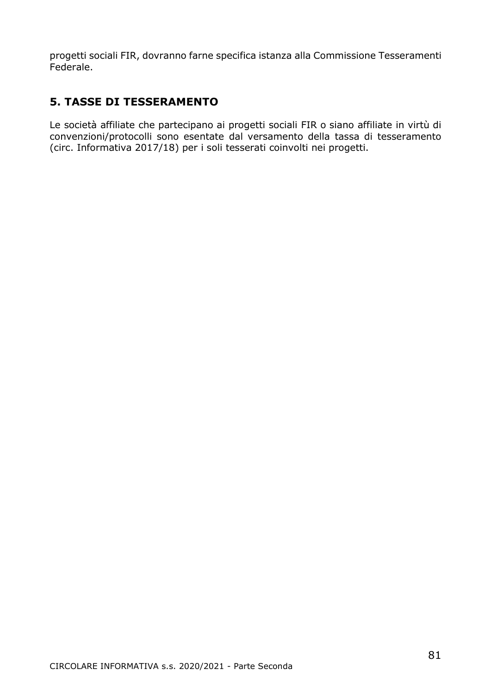progetti sociali FIR, dovranno farne specifica istanza alla Commissione Tesseramenti Federale.

### **5. TASSE DI TESSERAMENTO**

Le società affiliate che partecipano ai progetti sociali FIR o siano affiliate in virtù di convenzioni/protocolli sono esentate dal versamento della tassa di tesseramento (circ. Informativa 2017/18) per i soli tesserati coinvolti nei progetti.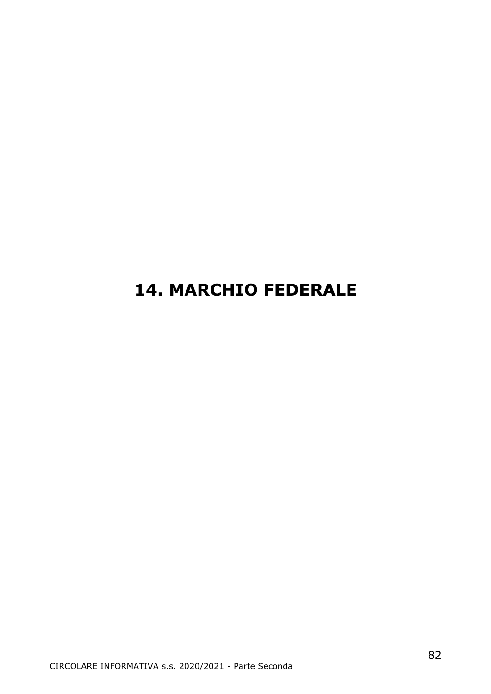# **14. MARCHIO FEDERALE**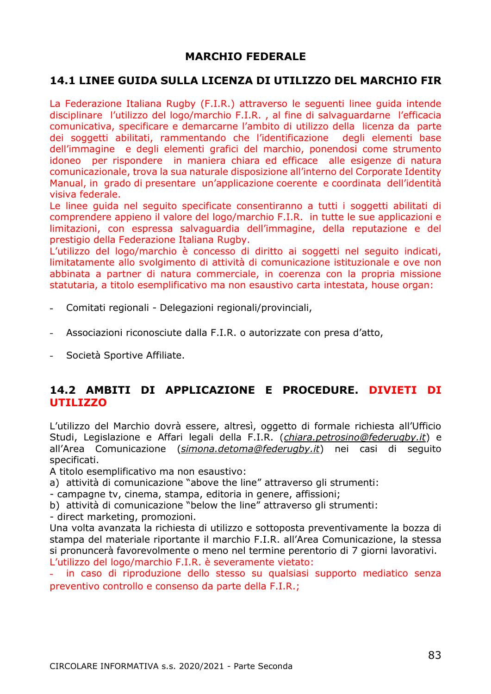#### **MARCHIO FEDERALE**

#### **14.1 LINEE GUIDA SULLA LICENZA DI UTILIZZO DEL MARCHIO FIR**

La Federazione Italiana Rugby (F.I.R.) attraverso le seguenti linee guida intende disciplinare l'utilizzo del logo/marchio F.I.R. , al fine di salvaguardarne l'efficacia comunicativa, specificare e demarcarne l'ambito di utilizzo della licenza da parte dei soggetti abilitati, rammentando che l'identificazione degli elementi base dell'immagine e degli elementi grafici del marchio, ponendosi come strumento idoneo per rispondere in maniera chiara ed efficace alle esigenze di natura comunicazionale, trova la sua naturale disposizione all'interno del Corporate Identity Manual, in grado di presentare un'applicazione coerente e coordinata dell'identità visiva federale.

Le linee guida nel seguito specificate consentiranno a tutti i soggetti abilitati di comprendere appieno il valore del logo/marchio F.I.R. in tutte le sue applicazioni e limitazioni, con espressa salvaguardia dell'immagine, della reputazione e del prestigio della Federazione Italiana Rugby.

L'utilizzo del logo/marchio è concesso di diritto ai soggetti nel seguito indicati, limitatamente allo svolgimento di attività di comunicazione istituzionale e ove non abbinata a partner di natura commerciale, in coerenza con la propria missione statutaria, a titolo esemplificativo ma non esaustivo carta intestata, house organ:

- Comitati regionali Delegazioni regionali/provinciali,  $\overline{a}$
- Associazioni riconosciute dalla F.I.R. o autorizzate con presa d'atto,
- Società Sportive Affiliate.  $\omega_{\rm{max}}$

#### **14.2 AMBITI DI APPLICAZIONE E PROCEDURE. DIVIETI DI UTILIZZO**

L'utilizzo del Marchio dovrà essere, altresì, oggetto di formale richiesta all'Ufficio Studi, Legislazione e Affari legali della F.I.R. (*[chiara.petrosino@federugby.it](mailto:chiara.petrosino@federugby.it)*) e all'Area Comunicazione (*[simona.detoma@federugby.it](mailto:simona.detoma@federugby.it)*) nei casi di seguito specificati.

A titolo esemplificativo ma non esaustivo:

a) attività di comunicazione "above the line" attraverso gli strumenti:

- campagne tv, cinema, stampa, editoria in genere, affissioni;

b) attività di comunicazione "below the line" attraverso gli strumenti:

- direct marketing, promozioni.

Una volta avanzata la richiesta di utilizzo e sottoposta preventivamente la bozza di stampa del materiale riportante il marchio F.I.R. all'Area Comunicazione, la stessa si pronuncerà favorevolmente o meno nel termine perentorio di 7 giorni lavorativi. L'utilizzo del logo/marchio F.I.R. è severamente vietato:

in caso di riproduzione dello stesso su qualsiasi supporto mediatico senza ä, preventivo controllo e consenso da parte della F.I.R.;